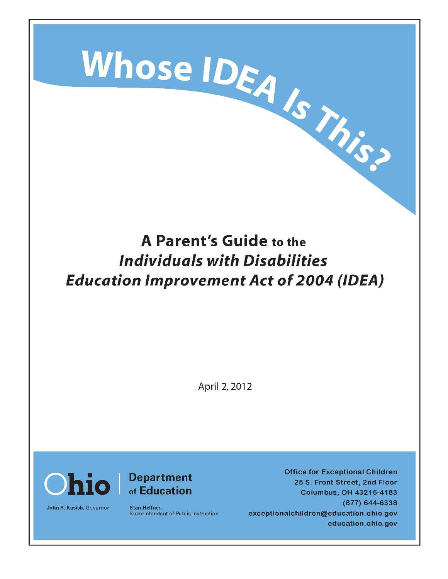

# **A Parent's Guide to the Individuals with Disabilities Education Improvement Act of 2004 (IDEA)**

April 2, 2012



John R. Kasich, Governor

hio Department

Stan Heffner, Superintendent of Public Instruction

**Office for Exceptional Children** 25 S. Front Street, 2nd Floor **Columbus, OH 43215-4183** (877) 644-6338 exceptionalchildren@education.ohio.gov education.ohio.gov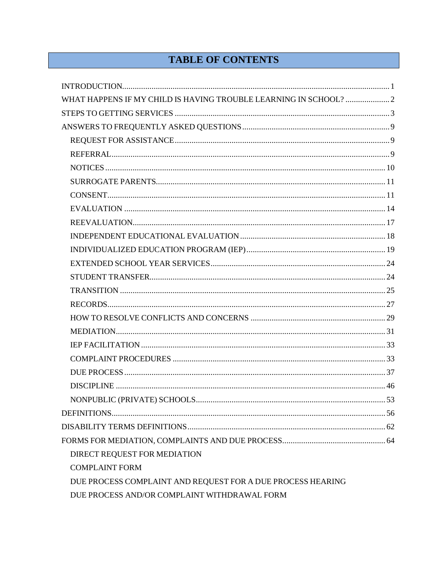# **TABLE OF CONTENTS**

| WHAT HAPPENS IF MY CHILD IS HAVING TROUBLE LEARNING IN SCHOOL?  2 |  |
|-------------------------------------------------------------------|--|
|                                                                   |  |
|                                                                   |  |
|                                                                   |  |
|                                                                   |  |
|                                                                   |  |
|                                                                   |  |
|                                                                   |  |
|                                                                   |  |
|                                                                   |  |
|                                                                   |  |
|                                                                   |  |
|                                                                   |  |
|                                                                   |  |
|                                                                   |  |
|                                                                   |  |
|                                                                   |  |
|                                                                   |  |
|                                                                   |  |
|                                                                   |  |
|                                                                   |  |
|                                                                   |  |
|                                                                   |  |
|                                                                   |  |
|                                                                   |  |
|                                                                   |  |
| DIRECT REQUEST FOR MEDIATION                                      |  |
| <b>COMPLAINT FORM</b>                                             |  |
| DUE PROCESS COMPLAINT AND REQUEST FOR A DUE PROCESS HEARING       |  |
| DUE PROCESS AND/OR COMPLAINT WITHDRAWAL FORM                      |  |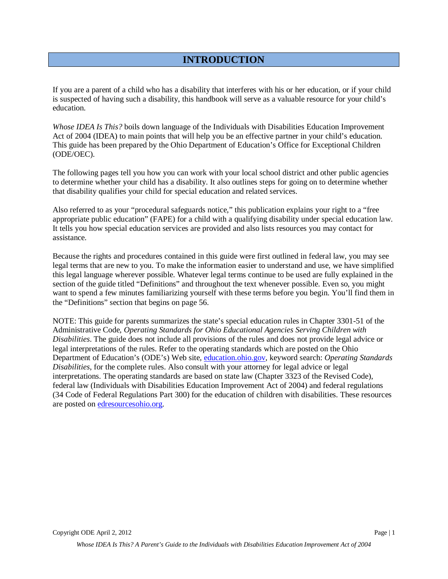# **INTRODUCTION**

If you are a parent of a child who has a disability that interferes with his or her education, or if your child is suspected of having such a disability, this handbook will serve as a valuable resource for your child's education.

*Whose IDEA Is This?* boils down language of the Individuals with Disabilities Education Improvement Act of 2004 (IDEA) to main points that will help you be an effective partner in your child's education. This guide has been prepared by the Ohio Department of Education's Office for Exceptional Children (ODE/OEC).

The following pages tell you how you can work with your local school district and other public agencies to determine whether your child has a disability. It also outlines steps for going on to determine whether that disability qualifies your child for special education and related services.

Also referred to as your "procedural safeguards notice," this publication explains your right to a "free appropriate public education" (FAPE) for a child with a qualifying disability under special education law. It tells you how special education services are provided and also lists resources you may contact for assistance.

Because the rights and procedures contained in this guide were first outlined in federal law, you may see legal terms that are new to you. To make the information easier to understand and use, we have simplified this legal language wherever possible. Whatever legal terms continue to be used are fully explained in the section of the guide titled "Definitions" and throughout the text whenever possible. Even so, you might want to spend a few minutes familiarizing yourself with these terms before you begin. You'll find them in the "Definitions" section that begins on page 56.

NOTE: This guide for parents summarizes the state's special education rules in Chapter 3301-51 of the Administrative Code, *Operating Standards for Ohio Educational Agencies Serving Children with Disabilities*. The guide does not include all provisions of the rules and does not provide legal advice or legal interpretations of the rules. Refer to the operating standards which are posted on the Ohio Department of Education's (ODE's) Web site, education.ohio.gov, keyword search: *Operating Standards Disabilities*, for the complete rules. Also consult with your attorney for legal advice or legal interpretations. The operating standards are based on state law (Chapter 3323 of the Revised Code), federal law (Individuals with Disabilities Education Improvement Act of 2004) and federal regulations (34 Code of Federal Regulations Part 300) for the education of children with disabilities. These resources are posted on edresourcesohio.org.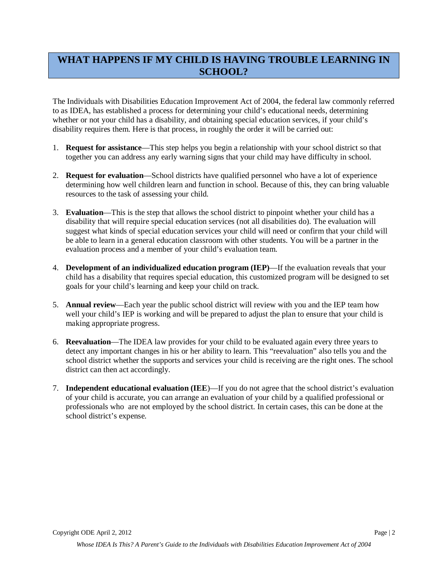# **WHAT HAPPENS IF MY CHILD IS HAVING TROUBLE LEARNING IN SCHOOL?**

The Individuals with Disabilities Education Improvement Act of 2004, the federal law commonly referred to as IDEA, has established a process for determining your child's educational needs, determining whether or not your child has a disability, and obtaining special education services, if your child's disability requires them. Here is that process, in roughly the order it will be carried out:

- 1. **Request for assistance**—This step helps you begin a relationship with your school district so that together you can address any early warning signs that your child may have difficulty in school.
- 2. **Request for evaluation**—School districts have qualified personnel who have a lot of experience determining how well children learn and function in school. Because of this, they can bring valuable resources to the task of assessing your child.
- 3. **Evaluation**—This is the step that allows the school district to pinpoint whether your child has a disability that will require special education services (not all disabilities do). The evaluation will suggest what kinds of special education services your child will need or confirm that your child will be able to learn in a general education classroom with other students. You will be a partner in the evaluation process and a member of your child's evaluation team.
- 4. **Development of an individualized education program (IEP)**—If the evaluation reveals that your child has a disability that requires special education, this customized program will be designed to set goals for your child's learning and keep your child on track.
- 5. **Annual review**—Each year the public school district will review with you and the IEP team how well your child's IEP is working and will be prepared to adjust the plan to ensure that your child is making appropriate progress.
- 6. **Reevaluation**—The IDEA law provides for your child to be evaluated again every three years to detect any important changes in his or her ability to learn. This "reevaluation" also tells you and the school district whether the supports and services your child is receiving are the right ones. The school district can then act accordingly.
- 7. **Independent educational evaluation (IEE**)—If you do not agree that the school district's evaluation of your child is accurate, you can arrange an evaluation of your child by a qualified professional or professionals who are not employed by the school district. In certain cases, this can be done at the school district's expense.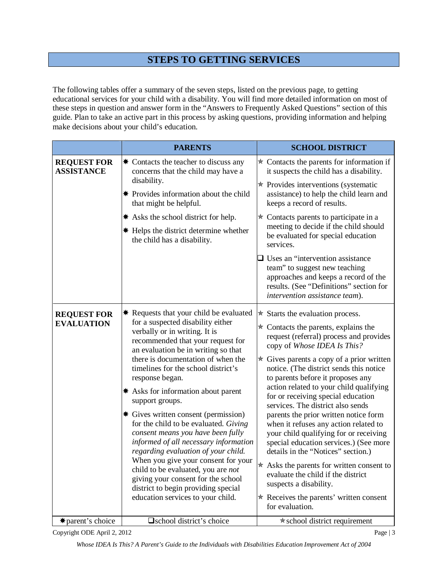# **STEPS TO GETTING SERVICES**

The following tables offer a summary of the seven steps, listed on the previous page, to getting educational services for your child with a disability. You will find more detailed information on most of these steps in question and answer form in the "Answers to Frequently Asked Questions" section of this guide. Plan to take an active part in this process by asking questions, providing information and helping make decisions about your child's education.

|                                                                                                                                                                                                                                                                                                                 | <b>PARENTS</b>                                                                                                                                                                                                                                                                                                                                                                                                                                                                                          | <b>SCHOOL DISTRICT</b>                                                                                                                                                                                                                                                                                                                                                                                                                                                                                                                              |
|-----------------------------------------------------------------------------------------------------------------------------------------------------------------------------------------------------------------------------------------------------------------------------------------------------------------|---------------------------------------------------------------------------------------------------------------------------------------------------------------------------------------------------------------------------------------------------------------------------------------------------------------------------------------------------------------------------------------------------------------------------------------------------------------------------------------------------------|-----------------------------------------------------------------------------------------------------------------------------------------------------------------------------------------------------------------------------------------------------------------------------------------------------------------------------------------------------------------------------------------------------------------------------------------------------------------------------------------------------------------------------------------------------|
| <b>REQUEST FOR</b><br><b>ASSISTANCE</b>                                                                                                                                                                                                                                                                         | <b><math>*</math></b> Contacts the teacher to discuss any<br>concerns that the child may have a<br>disability.<br><b><math>*</math></b> Provides information about the child                                                                                                                                                                                                                                                                                                                            | $\star$ Contacts the parents for information if<br>it suspects the child has a disability.<br>$*$ Provides interventions (systematic<br>assistance) to help the child learn and                                                                                                                                                                                                                                                                                                                                                                     |
|                                                                                                                                                                                                                                                                                                                 | that might be helpful.<br>* Asks the school district for help.<br><b><math>\text{★}</math> Helps the district determine whether</b><br>the child has a disability.                                                                                                                                                                                                                                                                                                                                      | keeps a record of results.<br>$\star$ Contacts parents to participate in a<br>meeting to decide if the child should<br>be evaluated for special education<br>services.<br>$\Box$ Uses an "intervention assistance"<br>team" to suggest new teaching                                                                                                                                                                                                                                                                                                 |
|                                                                                                                                                                                                                                                                                                                 |                                                                                                                                                                                                                                                                                                                                                                                                                                                                                                         | approaches and keeps a record of the<br>results. (See "Definitions" section for<br>intervention assistance team).                                                                                                                                                                                                                                                                                                                                                                                                                                   |
| <b>REQUEST FOR</b><br><b>EVALUATION</b>                                                                                                                                                                                                                                                                         | <b><math>\ast</math></b> Requests that your child be evaluated<br>for a suspected disability either<br>verbally or in writing. It is<br>recommended that your request for<br>an evaluation be in writing so that<br>there is documentation of when the<br>timelines for the school district's<br>response began.<br>* Asks for information about parent<br>support groups.<br><b>★ Gives written consent (permission)</b><br>for the child to be evaluated. Giving<br>consent means you have been fully | $\star$ Starts the evaluation process.<br>$\star$ Contacts the parents, explains the<br>request (referral) process and provides<br>copy of Whose IDEA Is This?<br>$\star$ Gives parents a copy of a prior written<br>notice. (The district sends this notice<br>to parents before it proposes any<br>action related to your child qualifying<br>for or receiving special education<br>services. The district also sends<br>parents the prior written notice form<br>when it refuses any action related to<br>your child qualifying for or receiving |
| informed of all necessary information<br>regarding evaluation of your child.<br>When you give your consent for your<br>child to be evaluated, you are <i>not</i><br>giving your consent for the school<br>district to begin providing special<br>education services to your child.<br>□school district's choice | special education services.) (See more<br>details in the "Notices" section.)<br>$\star$ Asks the parents for written consent to<br>evaluate the child if the district<br>suspects a disability.<br>$*$ Receives the parents' written consent<br>for evaluation.<br>* school district requirement                                                                                                                                                                                                        |                                                                                                                                                                                                                                                                                                                                                                                                                                                                                                                                                     |
| *parent's choice                                                                                                                                                                                                                                                                                                |                                                                                                                                                                                                                                                                                                                                                                                                                                                                                                         |                                                                                                                                                                                                                                                                                                                                                                                                                                                                                                                                                     |

Copyright ODE April 2, 2012 Page | 3

*Whose IDEA Is This? A Parent's Guide to the Individuals with Disabilities Education Improvement Act of 2004*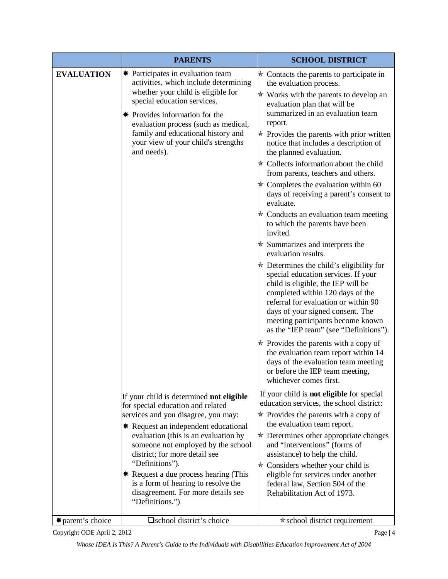|                             | <b>PARENTS</b>                                                                                                                                                                                                                                                                                                                                                                                                                                                        | <b>SCHOOL DISTRICT</b>                                                                                                                                                                                                                                                                                                                                                                                                                                                                                                                                                                                                                                                                                                                                                                                                                                                                                                                                                                                                                                                                                                                                                                                |
|-----------------------------|-----------------------------------------------------------------------------------------------------------------------------------------------------------------------------------------------------------------------------------------------------------------------------------------------------------------------------------------------------------------------------------------------------------------------------------------------------------------------|-------------------------------------------------------------------------------------------------------------------------------------------------------------------------------------------------------------------------------------------------------------------------------------------------------------------------------------------------------------------------------------------------------------------------------------------------------------------------------------------------------------------------------------------------------------------------------------------------------------------------------------------------------------------------------------------------------------------------------------------------------------------------------------------------------------------------------------------------------------------------------------------------------------------------------------------------------------------------------------------------------------------------------------------------------------------------------------------------------------------------------------------------------------------------------------------------------|
| <b>EVALUATION</b>           | <b><math>\ast</math></b> Participates in evaluation team<br>activities, which include determining<br>whether your child is eligible for<br>special education services.<br><b><math>\ast</math></b> Provides information for the<br>evaluation process (such as medical,<br>family and educational history and<br>your view of your child's strengths<br>and needs).                                                                                                   | $\star$ Contacts the parents to participate in<br>the evaluation process.<br>$*$ Works with the parents to develop an<br>evaluation plan that will be<br>summarized in an evaluation team<br>report.<br>$*$ Provides the parents with prior written<br>notice that includes a description of<br>the planned evaluation.<br>$\star$ Collects information about the child<br>from parents, teachers and others.<br>$\star$ Completes the evaluation within 60<br>days of receiving a parent's consent to<br>evaluate.<br>$\star$ Conducts an evaluation team meeting<br>to which the parents have been<br>invited.<br>$\star$ Summarizes and interprets the<br>evaluation results.<br>$\star$ Determines the child's eligibility for<br>special education services. If your<br>child is eligible, the IEP will be<br>completed within 120 days of the<br>referral for evaluation or within 90<br>days of your signed consent. The<br>meeting participants become known<br>as the "IEP team" (see "Definitions").<br>$*$ Provides the parents with a copy of<br>the evaluation team report within 14<br>days of the evaluation team meeting<br>or before the IEP team meeting,<br>whichever comes first. |
|                             | If your child is determined <b>not eligible</b><br>for special education and related<br>services and you disagree, you may:<br>* Request an independent educational<br>evaluation (this is an evaluation by<br>someone not employed by the school<br>district; for more detail see<br>"Definitions").<br><b><math>\ast</math></b> Request a due process hearing (This<br>is a form of hearing to resolve the<br>disagreement. For more details see<br>"Definitions.") | If your child is <b>not eligible</b> for special<br>education services, the school district:<br>$*$ Provides the parents with a copy of<br>the evaluation team report.<br>$\star$ Determines other appropriate changes<br>and "interventions" (forms of<br>assistance) to help the child.<br>$\star$ Considers whether your child is<br>eligible for services under another<br>federal law, Section 504 of the<br>Rehabilitation Act of 1973.                                                                                                                                                                                                                                                                                                                                                                                                                                                                                                                                                                                                                                                                                                                                                         |
| * parent's choice           | □school district's choice                                                                                                                                                                                                                                                                                                                                                                                                                                             | * school district requirement                                                                                                                                                                                                                                                                                                                                                                                                                                                                                                                                                                                                                                                                                                                                                                                                                                                                                                                                                                                                                                                                                                                                                                         |
| Copyright ODE April 2, 2012 |                                                                                                                                                                                                                                                                                                                                                                                                                                                                       | Page $ 4$                                                                                                                                                                                                                                                                                                                                                                                                                                                                                                                                                                                                                                                                                                                                                                                                                                                                                                                                                                                                                                                                                                                                                                                             |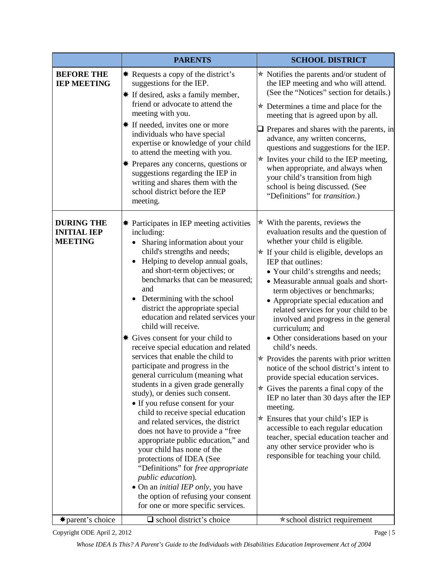|                                                           | <b>PARENTS</b>                                                                                                                                                                                                                                                                                                                                                                                                                                                                                                                                                                                                                                                                                                                                                                                                                                                                                                                                                                                                                                                                                                                    | <b>SCHOOL DISTRICT</b>                                                                                                                                                                                                                                                                                                                                                                                                                                                                                                                                                                                                                                                                                                                                                                                                                                                                                                                                     |
|-----------------------------------------------------------|-----------------------------------------------------------------------------------------------------------------------------------------------------------------------------------------------------------------------------------------------------------------------------------------------------------------------------------------------------------------------------------------------------------------------------------------------------------------------------------------------------------------------------------------------------------------------------------------------------------------------------------------------------------------------------------------------------------------------------------------------------------------------------------------------------------------------------------------------------------------------------------------------------------------------------------------------------------------------------------------------------------------------------------------------------------------------------------------------------------------------------------|------------------------------------------------------------------------------------------------------------------------------------------------------------------------------------------------------------------------------------------------------------------------------------------------------------------------------------------------------------------------------------------------------------------------------------------------------------------------------------------------------------------------------------------------------------------------------------------------------------------------------------------------------------------------------------------------------------------------------------------------------------------------------------------------------------------------------------------------------------------------------------------------------------------------------------------------------------|
| <b>BEFORE THE</b><br><b>IEP MEETING</b>                   | <b><math>\text{\textsterling}</math></b> Requests a copy of the district's<br>suggestions for the IEP.<br>* If desired, asks a family member,<br>friend or advocate to attend the<br>meeting with you.<br><b><math>\text{\textsterling}</math></b> If needed, invites one or more<br>individuals who have special<br>expertise or knowledge of your child<br>to attend the meeting with you.<br><b><math>\ast</math></b> Prepares any concerns, questions or<br>suggestions regarding the IEP in<br>writing and shares them with the<br>school district before the IEP<br>meeting.                                                                                                                                                                                                                                                                                                                                                                                                                                                                                                                                                | $\star$ Notifies the parents and/or student of<br>the IEP meeting and who will attend.<br>(See the "Notices" section for details.)<br>$\star$ Determines a time and place for the<br>meeting that is agreed upon by all.<br>Prepares and shares with the parents, in<br>advance, any written concerns,<br>questions and suggestions for the IEP.<br>$*$ Invites your child to the IEP meeting,<br>when appropriate, and always when<br>your child's transition from high<br>school is being discussed. (See<br>"Definitions" for <i>transition</i> .)                                                                                                                                                                                                                                                                                                                                                                                                      |
| <b>DURING THE</b><br><b>INITIAL IEP</b><br><b>MEETING</b> | <b>★ Participates in IEP meeting activities</b><br>including:<br>Sharing information about your<br>child's strengths and needs;<br>Helping to develop annual goals,<br>and short-term objectives; or<br>benchmarks that can be measured;<br>and<br>Determining with the school<br>district the appropriate special<br>education and related services your<br>child will receive.<br><b><math>\bullet</math></b> Gives consent for your child to<br>receive special education and related<br>services that enable the child to<br>participate and progress in the<br>general curriculum (meaning what<br>students in a given grade generally<br>study), or denies such consent.<br>• If you refuse consent for your<br>child to receive special education<br>and related services, the district<br>does not have to provide a "free<br>appropriate public education," and<br>your child has none of the<br>protections of IDEA (See<br>"Definitions" for free appropriate<br><i>public education</i> ).<br>• On an <i>initial IEP only</i> , you have<br>the option of refusing your consent<br>for one or more specific services. | $*$ With the parents, reviews the<br>evaluation results and the question of<br>whether your child is eligible.<br>$*$ If your child is eligible, develops an<br>IEP that outlines:<br>• Your child's strengths and needs;<br>• Measurable annual goals and short-<br>term objectives or benchmarks;<br>• Appropriate special education and<br>related services for your child to be<br>involved and progress in the general<br>curriculum; and<br>• Other considerations based on your<br>child's needs.<br>$*$ Provides the parents with prior written<br>notice of the school district's intent to<br>provide special education services.<br>$\star$ Gives the parents a final copy of the<br>IEP no later than 30 days after the IEP<br>meeting.<br>$*$ Ensures that your child's IEP is<br>accessible to each regular education<br>teacher, special education teacher and<br>any other service provider who is<br>responsible for teaching your child. |
| *parent's choice                                          | $\Box$ school district's choice                                                                                                                                                                                                                                                                                                                                                                                                                                                                                                                                                                                                                                                                                                                                                                                                                                                                                                                                                                                                                                                                                                   | * school district requirement                                                                                                                                                                                                                                                                                                                                                                                                                                                                                                                                                                                                                                                                                                                                                                                                                                                                                                                              |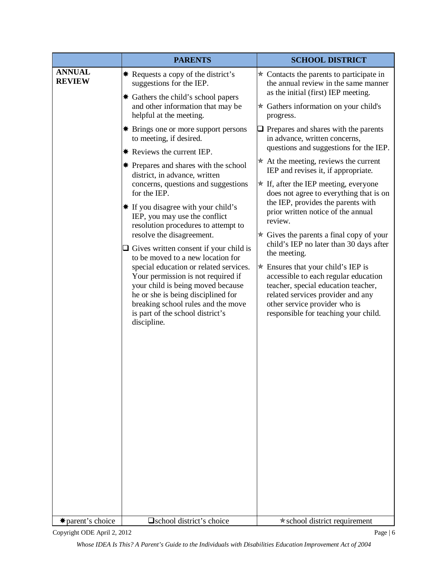|                                | <b>PARENTS</b>                                                                                                                                                                                                                                                                                                                                                                                                                                                                                                                                                                                                                                                                                                                                                                                                                                   | <b>SCHOOL DISTRICT</b>                                                                                                                                                                                                                                                                                                                                                                                                                                                                                                                                                                                                                                                                                                                  |
|--------------------------------|--------------------------------------------------------------------------------------------------------------------------------------------------------------------------------------------------------------------------------------------------------------------------------------------------------------------------------------------------------------------------------------------------------------------------------------------------------------------------------------------------------------------------------------------------------------------------------------------------------------------------------------------------------------------------------------------------------------------------------------------------------------------------------------------------------------------------------------------------|-----------------------------------------------------------------------------------------------------------------------------------------------------------------------------------------------------------------------------------------------------------------------------------------------------------------------------------------------------------------------------------------------------------------------------------------------------------------------------------------------------------------------------------------------------------------------------------------------------------------------------------------------------------------------------------------------------------------------------------------|
| <b>ANNUAL</b><br><b>REVIEW</b> | <b><math>\ast</math></b> Requests a copy of the district's<br>suggestions for the IEP.<br><b><math>\ast</math></b> Gathers the child's school papers<br>and other information that may be<br>helpful at the meeting.                                                                                                                                                                                                                                                                                                                                                                                                                                                                                                                                                                                                                             | $\star$ Contacts the parents to participate in<br>the annual review in the same manner<br>as the initial (first) IEP meeting.<br>$\star$ Gathers information on your child's<br>progress.                                                                                                                                                                                                                                                                                                                                                                                                                                                                                                                                               |
| *parent's choice               | <b><math>\overline{\ast}</math></b> Brings one or more support persons<br>to meeting, if desired.<br>* Reviews the current IEP.<br><b><math>*</math></b> Prepares and shares with the school<br>district, in advance, written<br>concerns, questions and suggestions<br>for the IEP.<br><b><math>\textbf{\textsterling}</math></b> If you disagree with your child's<br>IEP, you may use the conflict<br>resolution procedures to attempt to<br>resolve the disagreement.<br>$\Box$ Gives written consent if your child is<br>to be moved to a new location for<br>special education or related services.<br>Your permission is not required if<br>your child is being moved because<br>he or she is being disciplined for<br>breaking school rules and the move<br>is part of the school district's<br>discipline.<br>□school district's choice | $\Box$ Prepares and shares with the parents<br>in advance, written concerns,<br>questions and suggestions for the IEP.<br>$*$ At the meeting, reviews the current<br>IEP and revises it, if appropriate.<br>$*$ If, after the IEP meeting, everyone<br>does not agree to everything that is on<br>the IEP, provides the parents with<br>prior written notice of the annual<br>review.<br>$\star$ Gives the parents a final copy of your<br>child's IEP no later than 30 days after<br>the meeting.<br>$*$ Ensures that your child's IEP is<br>accessible to each regular education<br>teacher, special education teacher,<br>related services provider and any<br>other service provider who is<br>responsible for teaching your child. |
|                                |                                                                                                                                                                                                                                                                                                                                                                                                                                                                                                                                                                                                                                                                                                                                                                                                                                                  | * school district requirement                                                                                                                                                                                                                                                                                                                                                                                                                                                                                                                                                                                                                                                                                                           |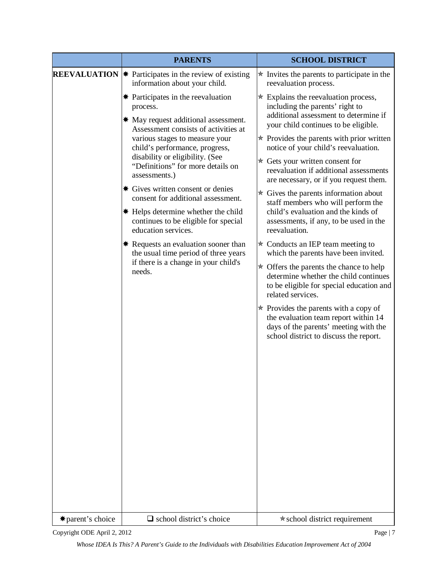|                  | <b>PARENTS</b>                                                                                                                                                                                                                                                                                                                            | <b>SCHOOL DISTRICT</b>                                                                                                                                                                                                                                                                                                                                                                                           |
|------------------|-------------------------------------------------------------------------------------------------------------------------------------------------------------------------------------------------------------------------------------------------------------------------------------------------------------------------------------------|------------------------------------------------------------------------------------------------------------------------------------------------------------------------------------------------------------------------------------------------------------------------------------------------------------------------------------------------------------------------------------------------------------------|
|                  | <b>REEVALUATION</b> $*$ Participates in the review of existing<br>information about your child.                                                                                                                                                                                                                                           | $\star$ Invites the parents to participate in the<br>reevaluation process.                                                                                                                                                                                                                                                                                                                                       |
|                  | <b><math>\ast</math></b> Participates in the reevaluation<br>process.<br><b><math>\ast</math></b> May request additional assessment.<br>Assessment consists of activities at<br>various stages to measure your<br>child's performance, progress,<br>disability or eligibility. (See<br>"Definitions" for more details on<br>assessments.) | $*$ Explains the reevaluation process,<br>including the parents' right to<br>additional assessment to determine if<br>your child continues to be eligible.<br>$*$ Provides the parents with prior written<br>notice of your child's reevaluation.<br>$\star$ Gets your written consent for<br>reevaluation if additional assessments<br>are necessary, or if you request them.                                   |
|                  | <b><math>\bullet</math> Gives written consent or denies</b><br>consent for additional assessment.<br><b><math>\overline{\ast}</math></b> Helps determine whether the child<br>continues to be eligible for special<br>education services.                                                                                                 | $\star$ Gives the parents information about<br>staff members who will perform the<br>child's evaluation and the kinds of<br>assessments, if any, to be used in the<br>reevaluation.                                                                                                                                                                                                                              |
|                  | <b><math>\ast</math></b> Requests an evaluation sooner than<br>the usual time period of three years<br>if there is a change in your child's<br>needs.                                                                                                                                                                                     | $\star$ Conducts an IEP team meeting to<br>which the parents have been invited.<br>$\star$ Offers the parents the chance to help<br>determine whether the child continues<br>to be eligible for special education and<br>related services.<br>$*$ Provides the parents with a copy of<br>the evaluation team report within 14<br>days of the parents' meeting with the<br>school district to discuss the report. |
| *parent's choice | $\Box$ school district's choice                                                                                                                                                                                                                                                                                                           | * school district requirement                                                                                                                                                                                                                                                                                                                                                                                    |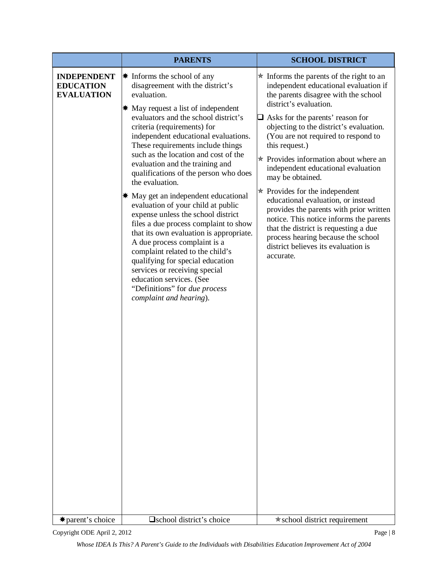|                                                             | <b>PARENTS</b>                                                                                                                                                                                                                                                                                                                                                                                                                                                                                                                                                                                                                                                                                                                                                                                                                                                                                                               | <b>SCHOOL DISTRICT</b>                                                                                                                                                                                                                                                                                                                                                                                                                                                                                                                                                                                                                                                                                         |
|-------------------------------------------------------------|------------------------------------------------------------------------------------------------------------------------------------------------------------------------------------------------------------------------------------------------------------------------------------------------------------------------------------------------------------------------------------------------------------------------------------------------------------------------------------------------------------------------------------------------------------------------------------------------------------------------------------------------------------------------------------------------------------------------------------------------------------------------------------------------------------------------------------------------------------------------------------------------------------------------------|----------------------------------------------------------------------------------------------------------------------------------------------------------------------------------------------------------------------------------------------------------------------------------------------------------------------------------------------------------------------------------------------------------------------------------------------------------------------------------------------------------------------------------------------------------------------------------------------------------------------------------------------------------------------------------------------------------------|
| <b>INDEPENDENT</b><br><b>EDUCATION</b><br><b>EVALUATION</b> | $\ast$ Informs the school of any<br>disagreement with the district's<br>evaluation.<br><b><math>\textbf{\text{*}}</math></b> May request a list of independent<br>evaluators and the school district's<br>criteria (requirements) for<br>independent educational evaluations.<br>These requirements include things<br>such as the location and cost of the<br>evaluation and the training and<br>qualifications of the person who does<br>the evaluation.<br><b><math>\bullet</math> May get an independent educational</b><br>evaluation of your child at public<br>expense unless the school district<br>files a due process complaint to show<br>that its own evaluation is appropriate.<br>A due process complaint is a<br>complaint related to the child's<br>qualifying for special education<br>services or receiving special<br>education services. (See<br>"Definitions" for due process<br>complaint and hearing). | $\star$ Informs the parents of the right to an<br>independent educational evaluation if<br>the parents disagree with the school<br>district's evaluation.<br>Asks for the parents' reason for<br>⊔<br>objecting to the district's evaluation.<br>(You are not required to respond to<br>this request.)<br>$*$ Provides information about where an<br>independent educational evaluation<br>may be obtained.<br>$*$ Provides for the independent<br>educational evaluation, or instead<br>provides the parents with prior written<br>notice. This notice informs the parents<br>that the district is requesting a due<br>process hearing because the school<br>district believes its evaluation is<br>accurate. |
| *parent's choice                                            | □school district's choice                                                                                                                                                                                                                                                                                                                                                                                                                                                                                                                                                                                                                                                                                                                                                                                                                                                                                                    | * school district requirement                                                                                                                                                                                                                                                                                                                                                                                                                                                                                                                                                                                                                                                                                  |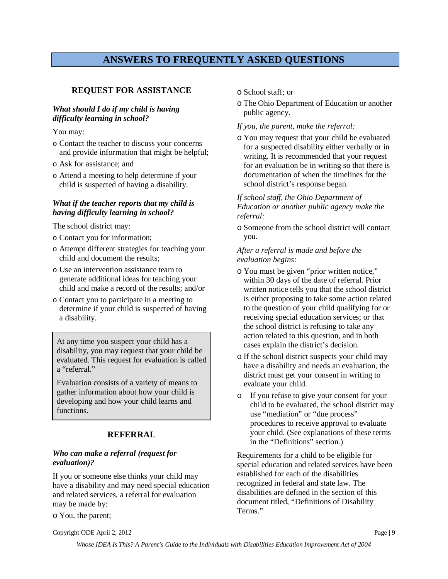# **ANSWERS TO FREQUENTLY ASKED QUESTIONS**

# **REQUEST FOR ASSISTANCE**

# *What should I do if my child is having difficulty learning in school?*

You may:

- o Contact the teacher to discuss your concerns and provide information that might be helpful;
- o Ask for assistance; and
- o Attend a meeting to help determine if your child is suspected of having a disability.

# *What if the teacher reports that my child is having difficulty learning in school?*

The school district may:

- o Contact you for information;
- o Attempt different strategies for teaching your child and document the results;
- o Use an intervention assistance team to generate additional ideas for teaching your child and make a record of the results; and/or
- o Contact you to participate in a meeting to determine if your child is suspected of having a disability.

At any time you suspect your child has a disability, you may request that your child be evaluated. This request for evaluation is called a "referral."

Evaluation consists of a variety of means to gather information about how your child is developing and how your child learns and functions.

# **REFERRAL**

#### *Who can make a referral (request for evaluation)?*

If you or someone else thinks your child may have a disability and may need special education and related services, a referral for evaluation may be made by:

o You, the parent;

#### o School staff; or

o The Ohio Department of Education or another public agency.

#### *If you, the parent, make the referral:*

o You may request that your child be evaluated for a suspected disability either verbally or in writing. It is recommended that your request for an evaluation be in writing so that there is documentation of when the timelines for the school district's response began.

#### *If school staff, the Ohio Department of Education or another public agency make the referral:*

o Someone from the school district will contact you.

#### *After a referral is made and before the evaluation begins:*

- o You must be given "prior written notice," within 30 days of the date of referral. Prior written notice tells you that the school district is either proposing to take some action related to the question of your child qualifying for or receiving special education services; or that the school district is refusing to take any action related to this question, and in both cases explain the district's decision.
- o If the school district suspects your child may have a disability and needs an evaluation, the district must get your consent in writing to evaluate your child.
- o If you refuse to give your consent for your child to be evaluated, the school district may use "mediation" or "due process" procedures to receive approval to evaluate your child. (See explanations of these terms in the "Definitions" section.)

Requirements for a child to be eligible for special education and related services have been established for each of the disabilities recognized in federal and state law. The disabilities are defined in the section of this document titled, "Definitions of Disability Terms."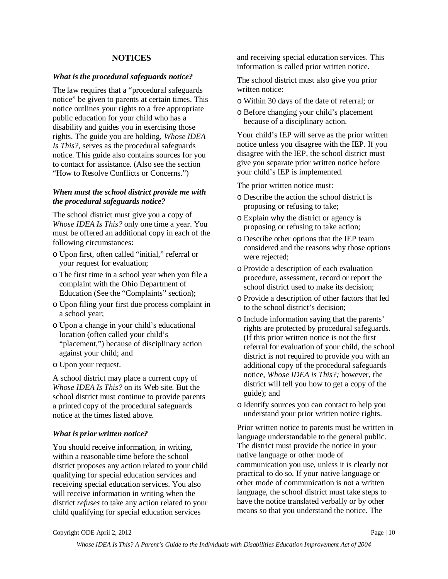# **NOTICES**

#### *What is the procedural safeguards notice?*

The law requires that a "procedural safeguards notice" be given to parents at certain times. This notice outlines your rights to a free appropriate public education for your child who has a disability and guides you in exercising those rights. The guide you are holding, *Whose IDEA Is This?,* serves as the procedural safeguards notice. This guide also contains sources for you to contact for assistance. (Also see the section "How to Resolve Conflicts or Concerns.")

#### *When must the school district provide me with the procedural safeguards notice?*

The school district must give you a copy of *Whose IDEA Is This?* only one time a year. You must be offered an additional copy in each of the following circumstances:

- o Upon first, often called "initial," referral or your request for evaluation;
- o The first time in a school year when you file a complaint with the Ohio Department of Education (See the "Complaints" section);
- o Upon filing your first due process complaint in a school year;
- o Upon a change in your child's educational location (often called your child's "placement,") because of disciplinary action against your child; and
- o Upon your request.

A school district may place a current copy of *Whose IDEA Is This?* on its Web site. But the school district must continue to provide parents a printed copy of the procedural safeguards notice at the times listed above.

#### *What is prior written notice?*

You should receive information, in writing, within a reasonable time before the school district proposes any action related to your child qualifying for special education services and receiving special education services. You also will receive information in writing when the district *refuses* to take any action related to your child qualifying for special education services

and receiving special education services. This information is called prior written notice.

The school district must also give you prior written notice:

- o Within 30 days of the date of referral; or
- o Before changing your child's placement because of a disciplinary action.

Your child's IEP will serve as the prior written notice unless you disagree with the IEP. If you disagree with the IEP, the school district must give you separate prior written notice before your child's IEP is implemented.

The prior written notice must:

- o Describe the action the school district is proposing or refusing to take;
- o Explain why the district or agency is proposing or refusing to take action;
- o Describe other options that the IEP team considered and the reasons why those options were rejected;
- o Provide a description of each evaluation procedure, assessment, record or report the school district used to make its decision;
- o Provide a description of other factors that led to the school district's decision;
- o Include information saying that the parents' rights are protected by procedural safeguards. (If this prior written notice is not the first referral for evaluation of your child, the school district is not required to provide you with an additional copy of the procedural safeguards notice*, Whose IDEA is This?;* however, the district will tell you how to get a copy of the guide); and
- o Identify sources you can contact to help you understand your prior written notice rights.

Prior written notice to parents must be written in language understandable to the general public. The district must provide the notice in your native language or other mode of communication you use, unless it is clearly not practical to do so. If your native language or other mode of communication is not a written language, the school district must take steps to have the notice translated verbally or by other means so that you understand the notice. The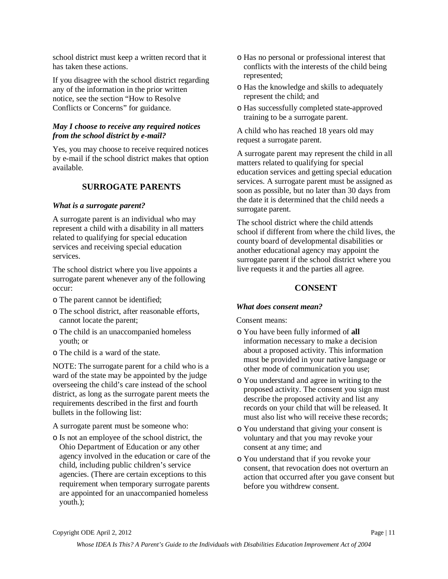school district must keep a written record that it has taken these actions.

If you disagree with the school district regarding any of the information in the prior written notice, see the section "How to Resolve Conflicts or Concerns" for guidance.

#### *May I choose to receive any required notices from the school district by e-mail?*

Yes, you may choose to receive required notices by e-mail if the school district makes that option available.

# **SURROGATE PARENTS**

#### *What is a surrogate parent?*

A surrogate parent is an individual who may represent a child with a disability in all matters related to qualifying for special education services and receiving special education services.

The school district where you live appoints a surrogate parent whenever any of the following occur:

- o The parent cannot be identified;
- o The school district, after reasonable efforts, cannot locate the parent;
- o The child is an unaccompanied homeless youth; or
- o The child is a ward of the state.

NOTE: The surrogate parent for a child who is a ward of the state may be appointed by the judge overseeing the child's care instead of the school district, as long as the surrogate parent meets the requirements described in the first and fourth bullets in the following list:

A surrogate parent must be someone who:

o Is not an employee of the school district, the Ohio Department of Education or any other agency involved in the education or care of the child, including public children's service agencies. (There are certain exceptions to this requirement when temporary surrogate parents are appointed for an unaccompanied homeless youth.);

- o Has no personal or professional interest that conflicts with the interests of the child being represented;
- o Has the knowledge and skills to adequately represent the child; and
- o Has successfully completed state-approved training to be a surrogate parent.

A child who has reached 18 years old may request a surrogate parent.

A surrogate parent may represent the child in all matters related to qualifying for special education services and getting special education services. A surrogate parent must be assigned as soon as possible, but no later than 30 days from the date it is determined that the child needs a surrogate parent.

The school district where the child attends school if different from where the child lives, the county board of developmental disabilities or another educational agency may appoint the surrogate parent if the school district where you live requests it and the parties all agree.

#### **CONSENT**

#### *What does consent mean?*

Consent means:

- o You have been fully informed of **all**  information necessary to make a decision about a proposed activity. This information must be provided in your native language or other mode of communication you use;
- o You understand and agree in writing to the proposed activity. The consent you sign must describe the proposed activity and list any records on your child that will be released. It must also list who will receive these records;
- o You understand that giving your consent is voluntary and that you may revoke your consent at any time; and
- o You understand that if you revoke your consent, that revocation does not overturn an action that occurred after you gave consent but before you withdrew consent.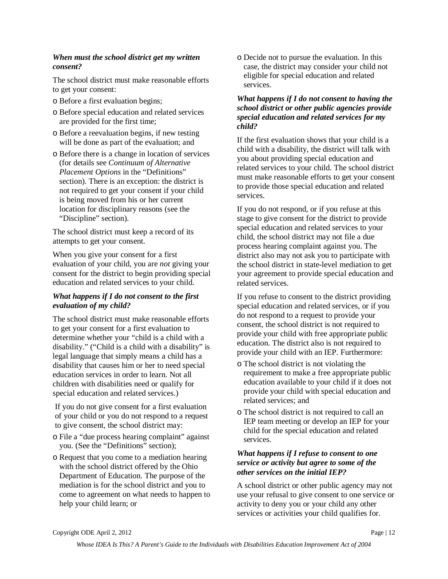# *When must the school district get my written consent?*

The school district must make reasonable efforts to get your consent:

- o Before a first evaluation begins;
- o Before special education and related services are provided for the first time;
- o Before a reevaluation begins, if new testing will be done as part of the evaluation; and
- o Before there is a change in location of services (for details see *Continuum of Alternative Placement Options* in the "Definitions" section). There is an exception: the district is not required to get your consent if your child is being moved from his or her current location for disciplinary reasons (see the "Discipline" section).

The school district must keep a record of its attempts to get your consent.

When you give your consent for a first evaluation of your child, you are *not* giving your consent for the district to begin providing special education and related services to your child.

# *What happens if I do not consent to the first evaluation of my child?*

The school district must make reasonable efforts to get your consent for a first evaluation to determine whether your "child is a child with a disability." ("Child is a child with a disability" is legal language that simply means a child has a disability that causes him or her to need special education services in order to learn. Not all children with disabilities need or qualify for special education and related services.)

If you do not give consent for a first evaluation of your child or you do not respond to a request to give consent, the school district may:

- o File a "due process hearing complaint" against you. (See the "Definitions" section);
- o Request that you come to a mediation hearing with the school district offered by the Ohio Department of Education. The purpose of the mediation is for the school district and you to come to agreement on what needs to happen to help your child learn; or

o Decide not to pursue the evaluation. In this case, the district may consider your child not eligible for special education and related services.

# *What happens if I do not consent to having the school district or other public agencies provide special education and related services for my child?*

If the first evaluation shows that your child is a child with a disability, the district will talk with you about providing special education and related services to your child. The school district must make reasonable efforts to get your consent to provide those special education and related services.

If you do not respond, or if you refuse at this stage to give consent for the district to provide special education and related services to your child, the school district may not file a due process hearing complaint against you. The district also may not ask you to participate with the school district in state-level mediation to get your agreement to provide special education and related services.

If you refuse to consent to the district providing special education and related services, or if you do not respond to a request to provide your consent, the school district is not required to provide your child with free appropriate public education. The district also is not required to provide your child with an IEP. Furthermore:

- o The school district is not violating the requirement to make a free appropriate public education available to your child if it does not provide your child with special education and related services; and
- o The school district is not required to call an IEP team meeting or develop an IEP for your child for the special education and related services.

# *What happens if I refuse to consent to one service or activity but agree to some of the other services on the initial IEP?*

A school district or other public agency may not use your refusal to give consent to one service or activity to deny you or your child any other services or activities your child qualifies for.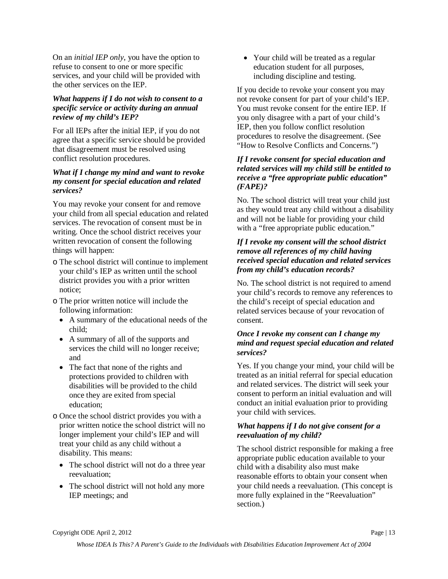On an *initial IEP only*, you have the option to refuse to consent to one or more specific services, and your child will be provided with the other services on the IEP.

# *What happens if I do not wish to consent to a specific service or activity during an annual review of my child's IEP?*

For all IEPs after the initial IEP, if you do not agree that a specific service should be provided that disagreement must be resolved using conflict resolution procedures.

# *What if I change my mind and want to revoke my consent for special education and related services?*

You may revoke your consent for and remove your child from all special education and related services. The revocation of consent must be in writing. Once the school district receives your written revocation of consent the following things will happen:

- o The school district will continue to implement your child's IEP as written until the school district provides you with a prior written notice;
- o The prior written notice will include the following information:
	- A summary of the educational needs of the child;
	- A summary of all of the supports and services the child will no longer receive; and
	- The fact that none of the rights and protections provided to children with disabilities will be provided to the child once they are exited from special education;
- o Once the school district provides you with a prior written notice the school district will no longer implement your child's IEP and will treat your child as any child without a disability. This means:
	- The school district will not do a three year reevaluation;
	- The school district will not hold any more IEP meetings; and

• Your child will be treated as a regular education student for all purposes, including discipline and testing.

If you decide to revoke your consent you may not revoke consent for part of your child's IEP. You must revoke consent for the entire IEP. If you only disagree with a part of your child's IEP, then you follow conflict resolution procedures to resolve the disagreement. (See "How to Resolve Conflicts and Concerns.")

# *If I revoke consent for special education and related services will my child still be entitled to receive a "free appropriate public education" (FAPE)?*

No. The school district will treat your child just as they would treat any child without a disability and will not be liable for providing your child with a "free appropriate public education."

# *If I revoke my consent will the school district remove all references of my child having received special education and related services from my child's education records?*

No. The school district is not required to amend your child's records to remove any references to the child's receipt of special education and related services because of your revocation of consent.

#### *Once I revoke my consent can I change my mind and request special education and related services?*

Yes. If you change your mind, your child will be treated as an initial referral for special education and related services. The district will seek your consent to perform an initial evaluation and will conduct an initial evaluation prior to providing your child with services.

# *What happens if I do not give consent for a reevaluation of my child?*

The school district responsible for making a free appropriate public education available to your child with a disability also must make reasonable efforts to obtain your consent when your child needs a reevaluation. (This concept is more fully explained in the "Reevaluation" section.)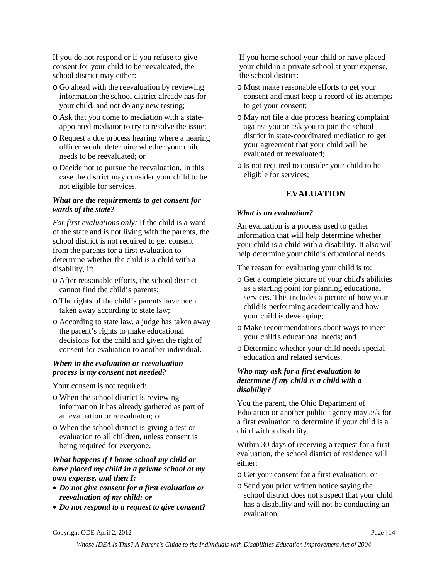If you do not respond or if you refuse to give consent for your child to be reevaluated, the school district may either:

- o Go ahead with the reevaluation by reviewing information the school district already has for your child, and not do any new testing;
- o Ask that you come to mediation with a stateappointed mediator to try to resolve the issue;
- o Request a due process hearing where a hearing officer would determine whether your child needs to be reevaluated; or
- o Decide not to pursue the reevaluation. In this case the district may consider your child to be not eligible for services.

#### *What are the requirements to get consent for wards of the state?*

*For first evaluations only:* If the child is a ward of the state and is not living with the parents, the school district is not required to get consent from the parents for a first evaluation to determine whether the child is a child with a disability, if:

- o After reasonable efforts, the school district cannot find the child's parents;
- o The rights of the child's parents have been taken away according to state law;
- o According to state law, a judge has taken away the parent's rights to make educational decisions for the child and given the right of consent for evaluation to another individual.

#### *When in the evaluation or reevaluation process is my consent* **not** *needed?*

Your consent is not required:

- o When the school district is reviewing information it has already gathered as part of an evaluation or reevaluaton; or
- o When the school district is giving a test or evaluation to all children, unless consent is being required for everyone**.**

# *What happens if I home school my child or have placed my child in a private school at my own expense, and then I:*

- *Do not give consent for a first evaluation or reevaluation of my child; or*
- *Do not respond to a request to give consent?*

If you home school your child or have placed your child in a private school at your expense, the school district:

- o Must make reasonable efforts to get your consent and must keep a record of its attempts to get your consent;
- o May not file a due process hearing complaint against you or ask you to join the school district in state-coordinated mediation to get your agreement that your child will be evaluated or reevaluated;
- o Is not required to consider your child to be eligible for services;

# **EVALUATION**

#### *What is an evaluation?*

An evaluation is a process used to gather information that will help determine whether your child is a child with a disability. It also will help determine your child's educational needs.

The reason for evaluating your child is to:

- o Get a complete picture of your child's abilities as a starting point for planning educational services. This includes a picture of how your child is performing academically and how your child is developing;
- o Make recommendations about ways to meet your child's educational needs; and
- o Determine whether your child needs special education and related services.

#### *Who may ask for a first evaluation to determine if my child is a child with a disability?*

You the parent, the Ohio Department of Education or another public agency may ask for a first evaluation to determine if your child is a child with a disability.

Within 30 days of receiving a request for a first evaluation, the school district of residence will either:

- o Get your consent for a first evaluation; or
- o Send you prior written notice saying the school district does not suspect that your child has a disability and will not be conducting an evaluation.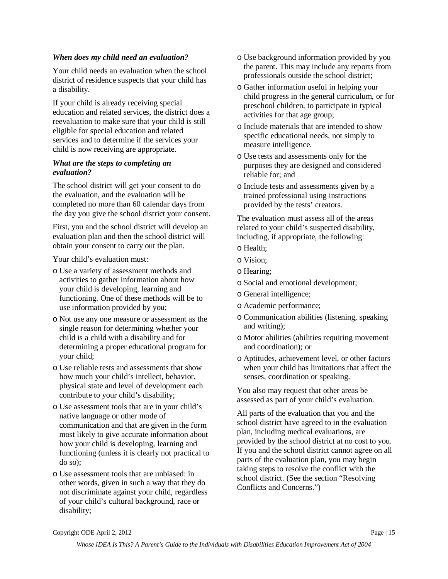#### *When does my child need an evaluation?*

Your child needs an evaluation when the school district of residence suspects that your child has a disability.

If your child is already receiving special education and related services, the district does a reevaluation to make sure that your child is still eligible for special education and related services and to determine if the services your child is now receiving are appropriate.

#### *What are the steps to completing an evaluation?*

The school district will get your consent to do the evaluation, and the evaluation will be completed no more than 60 calendar days from the day you give the school district your consent.

First, you and the school district will develop an evaluation plan and then the school district will obtain your consent to carry out the plan.

Your child's evaluation must:

- o Use a variety of assessment methods and activities to gather information about how your child is developing, learning and functioning. One of these methods will be to use information provided by you;
- o Not use any one measure or assessment as the single reason for determining whether your child is a child with a disability and for determining a proper educational program for your child;
- o Use reliable tests and assessments that show how much your child's intellect, behavior, physical state and level of development each contribute to your child's disability;
- o Use assessment tools that are in your child's native language or other mode of communication and that are given in the form most likely to give accurate information about how your child is developing, learning and functioning (unless it is clearly not practical to do so);
- o Use assessment tools that are unbiased: in other words, given in such a way that they do not discriminate against your child, regardless of your child's cultural background, race or disability;
- o Use background information provided by you the parent. This may include any reports from professionals outside the school district;
- o Gather information useful in helping your child progress in the general curriculum, or for preschool children, to participate in typical activities for that age group;
- o Include materials that are intended to show specific educational needs, not simply to measure intelligence.
- o Use tests and assessments only for the purposes they are designed and considered reliable for; and
- o Include tests and assessments given by a trained professional using instructions provided by the tests' creators.

The evaluation must assess all of the areas related to your child's suspected disability, including, if appropriate, the following:

- o Health;
- o Vision;
- o Hearing;
- o Social and emotional development;
- o General intelligence;
- o Academic performance;
- o Communication abilities (listening, speaking and writing);
- o Motor abilities (abilities requiring movement and coordination); or
- o Aptitudes, achievement level, or other factors when your child has limitations that affect the senses, coordination or speaking.

You also may request that other areas be assessed as part of your child's evaluation.

All parts of the evaluation that you and the school district have agreed to in the evaluation plan, including medical evaluations, are provided by the school district at no cost to you. If you and the school district cannot agree on all parts of the evaluation plan, you may begin taking steps to resolve the conflict with the school district. (See the section "Resolving Conflicts and Concerns.")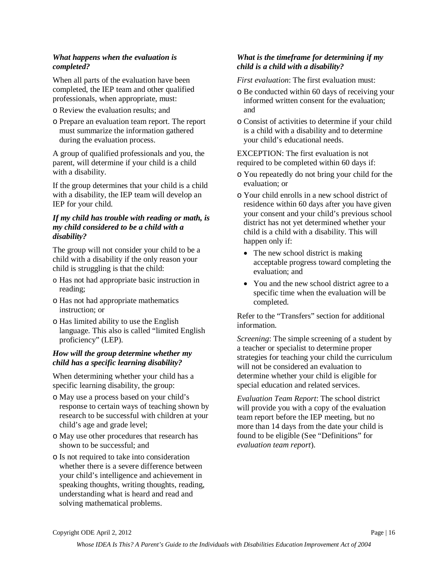#### *What happens when the evaluation is completed?*

When all parts of the evaluation have been completed, the IEP team and other qualified professionals, when appropriate, must:

- o Review the evaluation results; and
- o Prepare an evaluation team report. The report must summarize the information gathered during the evaluation process.

A group of qualified professionals and you, the parent, will determine if your child is a child with a disability.

If the group determines that your child is a child with a disability, the IEP team will develop an IEP for your child.

#### *If my child has trouble with reading or math, is my child considered to be a child with a disability?*

The group will not consider your child to be a child with a disability if the only reason your child is struggling is that the child:

- o Has not had appropriate basic instruction in reading;
- o Has not had appropriate mathematics instruction; or
- o Has limited ability to use the English language. This also is called "limited English proficiency" (LEP).

# *How will the group determine whether my child has a specific learning disability?*

When determining whether your child has a specific learning disability, the group:

- o May use a process based on your child's response to certain ways of teaching shown by research to be successful with children at your child's age and grade level;
- o May use other procedures that research has shown to be successful; and
- o Is not required to take into consideration whether there is a severe difference between your child's intelligence and achievement in speaking thoughts, writing thoughts, reading, understanding what is heard and read and solving mathematical problems.

# *What is the timeframe for determining if my child is a child with a disability?*

*First evaluation*: The first evaluation must:

- o Be conducted within 60 days of receiving your informed written consent for the evaluation; and
- o Consist of activities to determine if your child is a child with a disability and to determine your child's educational needs.

EXCEPTION: The first evaluation is not required to be completed within 60 days if:

- o You repeatedly do not bring your child for the evaluation; or
- o Your child enrolls in a new school district of residence within 60 days after you have given your consent and your child's previous school district has not yet determined whether your child is a child with a disability. This will happen only if:
	- The new school district is making acceptable progress toward completing the evaluation; and
	- You and the new school district agree to a specific time when the evaluation will be completed.

Refer to the "Transfers" section for additional information.

*Screening*: The simple screening of a student by a teacher or specialist to determine proper strategies for teaching your child the curriculum will not be considered an evaluation to determine whether your child is eligible for special education and related services.

*Evaluation Team Report*: The school district will provide you with a copy of the evaluation team report before the IEP meeting, but no more than 14 days from the date your child is found to be eligible (See "Definitions" for *evaluation team report*).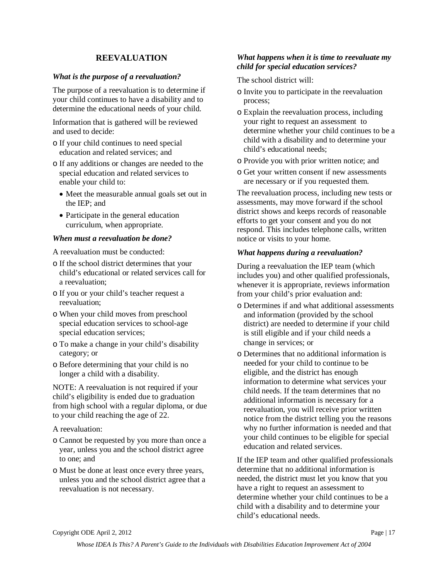# **REEVALUATION**

#### *What is the purpose of a reevaluation?*

The purpose of a reevaluation is to determine if your child continues to have a disability and to determine the educational needs of your child.

Information that is gathered will be reviewed and used to decide:

- o If your child continues to need special education and related services; and
- o If any additions or changes are needed to the special education and related services to enable your child to:
	- Meet the measurable annual goals set out in the IEP; and
	- Participate in the general education curriculum, when appropriate.

#### *When must a reevaluation be done?*

A reevaluation must be conducted:

- o If the school district determines that your child's educational or related services call for a reevaluation;
- o If you or your child's teacher request a reevaluation;
- o When your child moves from preschool special education services to school-age special education services;
- o To make a change in your child's disability category; or
- o Before determining that your child is no longer a child with a disability.

NOTE: A reevaluation is not required if your child's eligibility is ended due to graduation from high school with a regular diploma, or due to your child reaching the age of 22.

#### A reevaluation:

- o Cannot be requested by you more than once a year, unless you and the school district agree to one; and
- o Must be done at least once every three years, unless you and the school district agree that a reevaluation is not necessary.

#### *What happens when it is time to reevaluate my child for special education services?*

The school district will:

- o Invite you to participate in the reevaluation process;
- o Explain the reevaluation process, including your right to request an assessment to determine whether your child continues to be a child with a disability and to determine your child's educational needs;
- o Provide you with prior written notice; and
- o Get your written consent if new assessments are necessary or if you requested them.

The reevaluation process, including new tests or assessments, may move forward if the school district shows and keeps records of reasonable efforts to get your consent and you do not respond. This includes telephone calls, written notice or visits to your home.

#### *What happens during a reevaluation?*

During a reevaluation the IEP team (which includes you) and other qualified professionals, whenever it is appropriate, reviews information from your child's prior evaluation and:

- o Determines if and what additional assessments and information (provided by the school district) are needed to determine if your child is still eligible and if your child needs a change in services; or
- o Determines that no additional information is needed for your child to continue to be eligible, and the district has enough information to determine what services your child needs. If the team determines that no additional information is necessary for a reevaluation, you will receive prior written notice from the district telling you the reasons why no further information is needed and that your child continues to be eligible for special education and related services.

If the IEP team and other qualified professionals determine that no additional information is needed, the district must let you know that you have a right to request an assessment to determine whether your child continues to be a child with a disability and to determine your child's educational needs.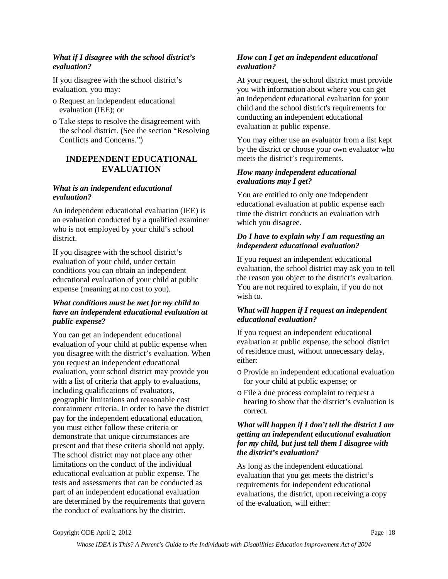# *What if I disagree with the school district's evaluation?*

If you disagree with the school district's evaluation, you may:

- o Request an independent educational evaluation (IEE); or
- o Take steps to resolve the disagreement with the school district. (See the section "Resolving Conflicts and Concerns.")

# **INDEPENDENT EDUCATIONAL EVALUATION**

# *What is an independent educational evaluation?*

An independent educational evaluation (IEE) is an evaluation conducted by a qualified examiner who is not employed by your child's school district.

If you disagree with the school district's evaluation of your child, under certain conditions you can obtain an independent educational evaluation of your child at public expense (meaning at no cost to you).

# *What conditions must be met for my child to have an independent educational evaluation at public expense?*

You can get an independent educational evaluation of your child at public expense when you disagree with the district's evaluation. When you request an independent educational evaluation, your school district may provide you with a list of criteria that apply to evaluations, including qualifications of evaluators, geographic limitations and reasonable cost containment criteria. In order to have the district pay for the independent educational education, you must either follow these criteria or demonstrate that unique circumstances are present and that these criteria should not apply. The school district may not place any other limitations on the conduct of the individual educational evaluation at public expense. The tests and assessments that can be conducted as part of an independent educational evaluation are determined by the requirements that govern the conduct of evaluations by the district.

# *How can I get an independent educational evaluation?*

At your request, the school district must provide you with information about where you can get an independent educational evaluation for your child and the school district's requirements for conducting an independent educational evaluation at public expense.

You may either use an evaluator from a list kept by the district or choose your own evaluator who meets the district's requirements.

# *How many independent educational evaluations may I get?*

You are entitled to only one independent educational evaluation at public expense each time the district conducts an evaluation with which you disagree.

# *Do I have to explain why I am requesting an independent educational evaluation?*

If you request an independent educational evaluation, the school district may ask you to tell the reason you object to the district's evaluation. You are not required to explain, if you do not wish to.

# *What will happen if I request an independent educational evaluation?*

If you request an independent educational evaluation at public expense, the school district of residence must, without unnecessary delay, either:

- o Provide an independent educational evaluation for your child at public expense; or
- o File a due process complaint to request a hearing to show that the district's evaluation is correct.

# *What will happen if I don't tell the district I am getting an independent educational evaluation for my child, but just tell them I disagree with the district's evaluation?*

As long as the independent educational evaluation that you get meets the district's requirements for independent educational evaluations, the district, upon receiving a copy of the evaluation, will either: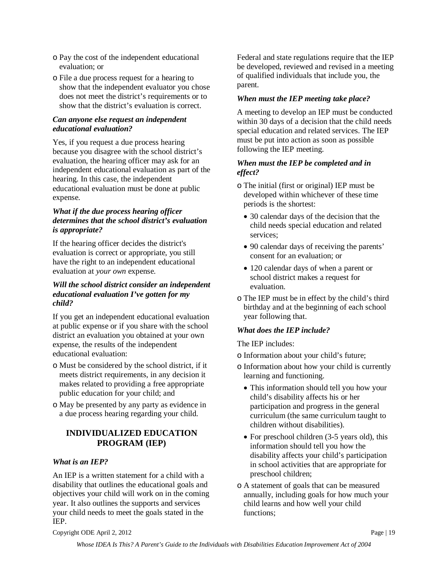- o Pay the cost of the independent educational evaluation; or
- o File a due process request for a hearing to show that the independent evaluator you chose does not meet the district's requirements or to show that the district's evaluation is correct.

# *Can anyone else request an independent educational evaluation?*

Yes, if you request a due process hearing because you disagree with the school district's evaluation, the hearing officer may ask for an independent educational evaluation as part of the hearing. In this case, the independent educational evaluation must be done at public expense.

# *What if the due process hearing officer determines that the school district's evaluation is appropriate?*

If the hearing officer decides the district's evaluation is correct or appropriate, you still have the right to an independent educational evaluation at *your own* expense.

# *Will the school district consider an independent educational evaluation I've gotten for my child?*

If you get an independent educational evaluation at public expense or if you share with the school district an evaluation you obtained at your own expense, the results of the independent educational evaluation:

- o Must be considered by the school district, if it meets district requirements, in any decision it makes related to providing a free appropriate public education for your child; and
- o May be presented by any party as evidence in a due process hearing regarding your child.

# **INDIVIDUALIZED EDUCATION PROGRAM (IEP)**

# *What is an IEP?*

An IEP is a written statement for a child with a disability that outlines the educational goals and objectives your child will work on in the coming year. It also outlines the supports and services your child needs to meet the goals stated in the IEP.

Federal and state regulations require that the IEP be developed, reviewed and revised in a meeting of qualified individuals that include you, the parent.

# *When must the IEP meeting take place?*

A meeting to develop an IEP must be conducted within 30 days of a decision that the child needs special education and related services. The IEP must be put into action as soon as possible following the IEP meeting.

# *When must th***e** *IEP be completed and in effect?*

- o The initial (first or original) IEP must be developed within whichever of these time periods is the shortest:
	- 30 calendar days of the decision that the child needs special education and related services;
	- 90 calendar days of receiving the parents' consent for an evaluation; or
	- 120 calendar days of when a parent or school district makes a request for evaluation.
- o The IEP must be in effect by the child's third birthday and at the beginning of each school year following that.

# *What does the IEP include?*

The IEP includes:

o Information about your child's future;

- o Information about how your child is currently learning and functioning.
	- This information should tell you how your child's disability affects his or her participation and progress in the general curriculum (the same curriculum taught to children without disabilities).
	- For preschool children (3-5 years old), this information should tell you how the disability affects your child's participation in school activities that are appropriate for preschool children;
- o A statement of goals that can be measured annually, including goals for how much your child learns and how well your child functions;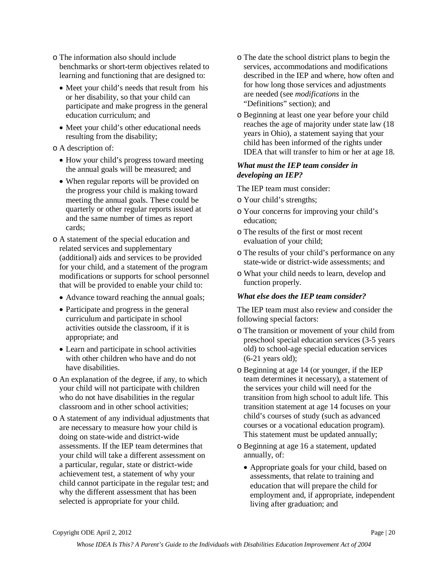- o The information also should include benchmarks or short-term objectives related to learning and functioning that are designed to:
	- Meet your child's needs that result from his or her disability, so that your child can participate and make progress in the general education curriculum; and
	- Meet your child's other educational needs resulting from the disability;
- o A description of:
	- How your child's progress toward meeting the annual goals will be measured; and
	- When regular reports will be provided on the progress your child is making toward meeting the annual goals. These could be quarterly or other regular reports issued at and the same number of times as report cards;
- o A statement of the special education and related services and supplementary (additional) aids and services to be provided for your child, and a statement of the program modifications or supports for school personnel that will be provided to enable your child to:
	- Advance toward reaching the annual goals;
	- Participate and progress in the general curriculum and participate in school activities outside the classroom, if it is appropriate; and
	- Learn and participate in school activities with other children who have and do not have disabilities.
- o An explanation of the degree, if any, to which your child will not participate with children who do not have disabilities in the regular classroom and in other school activities;
- o A statement of any individual adjustments that are necessary to measure how your child is doing on state-wide and district-wide assessments. If the IEP team determines that your child will take a different assessment on a particular, regular, state or district-wide achievement test, a statement of why your child cannot participate in the regular test; and why the different assessment that has been selected is appropriate for your child.
- o The date the school district plans to begin the services, accommodations and modifications described in the IEP and where, how often and for how long those services and adjustments are needed (see *modifications* in the "Definitions" section); and
- o Beginning at least one year before your child reaches the age of majority under state law (18 years in Ohio), a statement saying that your child has been informed of the rights under IDEA that will transfer to him or her at age 18.

#### *What must the IEP team consider in developing an IEP?*

The IEP team must consider:

- o Your child's strengths;
- o Your concerns for improving your child's education;
- o The results of the first or most recent evaluation of your child;
- o The results of your child's performance on any state-wide or district-wide assessments; and
- o What your child needs to learn, develop and function properly.

# *What else does the IEP team consider?*

The IEP team must also review and consider the following special factors:

- o The transition or movement of your child from preschool special education services (3-5 years old) to school-age special education services (6-21 years old);
- o Beginning at age 14 (or younger, if the IEP team determines it necessary), a statement of the services your child will need for the transition from high school to adult life. This transition statement at age 14 focuses on your child's courses of study (such as advanced courses or a vocational education program). This statement must be updated annually;
- o Beginning at age 16 a statement, updated annually, of:
	- Appropriate goals for your child, based on assessments, that relate to training and education that will prepare the child for employment and, if appropriate, independent living after graduation; and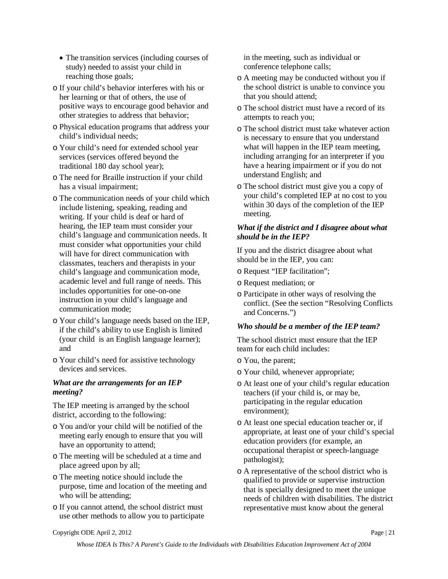- The transition services (including courses of study) needed to assist your child in reaching those goals;
- o If your child's behavior interferes with his or her learning or that of others, the use of positive ways to encourage good behavior and other strategies to address that behavior;
- o Physical education programs that address your child's individual needs;
- o Your child's need for extended school year services (services offered beyond the traditional 180 day school year);
- o The need for Braille instruction if your child has a visual impairment;
- o The communication needs of your child which include listening, speaking, reading and writing. If your child is deaf or hard of hearing, the IEP team must consider your child's language and communication needs. It must consider what opportunities your child will have for direct communication with classmates, teachers and therapists in your child's language and communication mode, academic level and full range of needs. This includes opportunities for one-on-one instruction in your child's language and communication mode;
- o Your child's language needs based on the IEP, if the child's ability to use English is limited (your child is an English language learner); and
- o Your child's need for assistive technology devices and services.

# *What are the arrangements for an IEP meeting?*

The IEP meeting is arranged by the school district, according to the following:

- o You and/or your child will be notified of the meeting early enough to ensure that you will have an opportunity to attend;
- o The meeting will be scheduled at a time and place agreed upon by all;
- o The meeting notice should include the purpose, time and location of the meeting and who will be attending;
- o If you cannot attend, the school district must use other methods to allow you to participate

in the meeting, such as individual or conference telephone calls;

- o A meeting may be conducted without you if the school district is unable to convince you that you should attend;
- o The school district must have a record of its attempts to reach you;
- o The school district must take whatever action is necessary to ensure that you understand what will happen in the IEP team meeting, including arranging for an interpreter if you have a hearing impairment or if you do not understand English; and
- o The school district must give you a copy of your child's completed IEP at no cost to you within 30 days of the completion of the IEP meeting.

# *What if the district and I disagree about what should be in the IEP?*

If you and the district disagree about what should be in the IEP, you can:

- o Request "IEP facilitation";
- o Request mediation; or
- o Participate in other ways of resolving the conflict. (See the section "Resolving Conflicts and Concerns.")

#### *Who should be a member of the IEP team?*

The school district must ensure that the IEP team for each child includes:

- o You, the parent;
- o Your child, whenever appropriate;
- o At least one of your child's regular education teachers (if your child is, or may be, participating in the regular education environment);
- o At least one special education teacher or, if appropriate, at least one of your child's special education providers (for example, an occupational therapist or speech-language pathologist);
- o A representative of the school district who is qualified to provide or supervise instruction that is specially designed to meet the unique needs of children with disabilities. The district representative must know about the general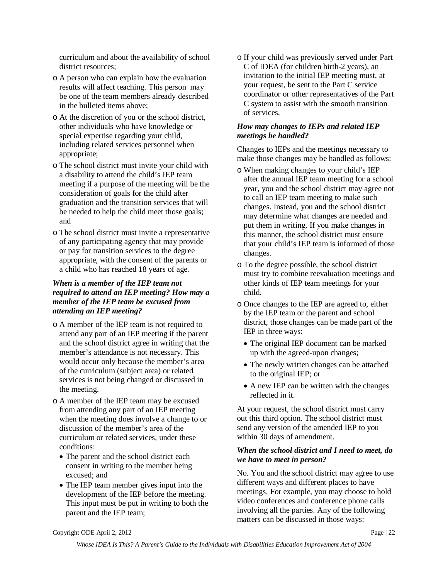curriculum and about the availability of school district resources;

- o A person who can explain how the evaluation results will affect teaching. This person may be one of the team members already described in the bulleted items above;
- o At the discretion of you or the school district, other individuals who have knowledge or special expertise regarding your child, including related services personnel when appropriate;
- o The school district must invite your child with a disability to attend the child's IEP team meeting if a purpose of the meeting will be the consideration of goals for the child after graduation and the transition services that will be needed to help the child meet those goals; and
- o The school district must invite a representative of any participating agency that may provide or pay for transition services to the degree appropriate, with the consent of the parents or a child who has reached 18 years of age.

# *When is a member of the IEP team not required to attend an IEP meeting? How may a member of the IEP team be excused from attending an IEP meeting?*

- o A member of the IEP team is not required to attend any part of an IEP meeting if the parent and the school district agree in writing that the member's attendance is not necessary. This would occur only because the member's area of the curriculum (subject area) or related services is not being changed or discussed in the meeting.
- o A member of the IEP team may be excused from attending any part of an IEP meeting when the meeting does involve a change to or discussion of the member's area of the curriculum or related services, under these conditions:
	- The parent and the school district each consent in writing to the member being excused; and
	- The IEP team member gives input into the development of the IEP before the meeting. This input must be put in writing to both the parent and the IEP team;

o If your child was previously served under Part C of IDEA (for children birth-2 years), an invitation to the initial IEP meeting must, at your request, be sent to the Part C service coordinator or other representatives of the Part C system to assist with the smooth transition of services.

#### *How may changes to IEPs and related IEP meetings be handled?*

Changes to IEPs and the meetings necessary to make those changes may be handled as follows:

- o When making changes to your child's IEP after the annual IEP team meeting for a school year, you and the school district may agree not to call an IEP team meeting to make such changes. Instead, you and the school district may determine what changes are needed and put them in writing. If you make changes in this manner, the school district must ensure that your child's IEP team is informed of those changes.
- o To the degree possible, the school district must try to combine reevaluation meetings and other kinds of IEP team meetings for your child.
- o Once changes to the IEP are agreed to, either by the IEP team or the parent and school district, those changes can be made part of the IEP in three ways:
	- The original IEP document can be marked up with the agreed-upon changes;
	- The newly written changes can be attached to the original IEP; or
	- A new IEP can be written with the changes reflected in it.

At your request, the school district must carry out this third option. The school district must send any version of the amended IEP to you within 30 days of amendment.

#### *When the school district and I need to meet, do we have to meet in person?*

No. You and the school district may agree to use different ways and different places to have meetings. For example, you may choose to hold video conferences and conference phone calls involving all the parties. Any of the following matters can be discussed in those ways: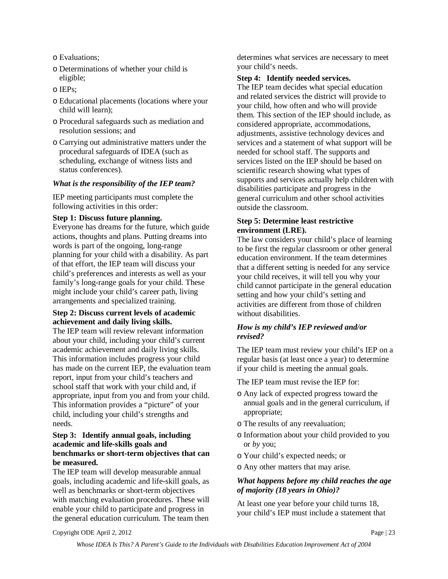- o Evaluations;
- o Determinations of whether your child is eligible;
- o IEPs;
- o Educational placements (locations where your child will learn);
- o Procedural safeguards such as mediation and resolution sessions; and
- o Carrying out administrative matters under the procedural safeguards of IDEA (such as scheduling, exchange of witness lists and status conferences).

#### *What is the responsibility of the IEP team?*

IEP meeting participants must complete the following activities in this order:

#### **Step 1: Discuss future planning.**

Everyone has dreams for the future, which guide actions, thoughts and plans. Putting dreams into words is part of the ongoing, long-range planning for your child with a disability. As part of that effort, the IEP team will discuss your child's preferences and interests as well as your family's long-range goals for your child. These might include your child's career path, living arrangements and specialized training.

#### **Step 2: Discuss current levels of academic achievement and daily living skills.**

The IEP team will review relevant information about your child, including your child's current academic achievement and daily living skills. This information includes progress your child has made on the current IEP, the evaluation team report, input from your child's teachers and school staff that work with your child and, if appropriate, input from you and from your child. This information provides a "picture" of your child, including your child's strengths and needs.

#### **Step 3: Identify annual goals, including academic and life-skills goals and benchmarks or short-term objectives that can be measured.**

The IEP team will develop measurable annual goals, including academic and life-skill goals, as well as benchmarks or short-term objectives with matching evaluation procedures. These will enable your child to participate and progress in the general education curriculum. The team then determines what services are necessary to meet your child's needs.

#### **Step 4: Identify needed services.**

The IEP team decides what special education and related services the district will provide to your child, how often and who will provide them. This section of the IEP should include, as considered appropriate, accommodations, adjustments, assistive technology devices and services and a statement of what support will be needed for school staff. The supports and services listed on the IEP should be based on scientific research showing what types of supports and services actually help children with disabilities participate and progress in the general curriculum and other school activities outside the classroom.

# **Step 5: Determine least restrictive environment (LRE).**

The law considers your child's place of learning to be first the regular classroom or other general education environment. If the team determines that a different setting is needed for any service your child receives, it will tell you why your child cannot participate in the general education setting and how your child's setting and activities are different from those of children without disabilities.

# *How is my child's IEP reviewed and/or revised?*

The IEP team must review your child's IEP on a regular basis (at least once a year) to determine if your child is meeting the annual goals.

The IEP team must revise the IEP for:

- o Any lack of expected progress toward the annual goals and in the general curriculum, if appropriate;
- o The results of any reevaluation;
- o Information about your child provided to you or *by* you;
- o Your child's expected needs; or
- o Any other matters that may arise.

#### *What happens before my child reaches the age of majority (18 years in Ohio)?*

At least one year before your child turns 18, your child's IEP must include a statement that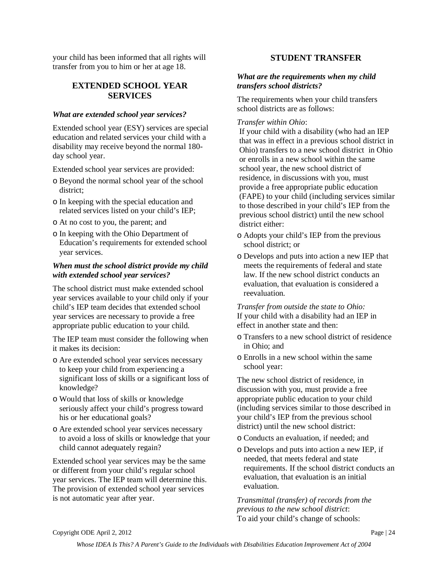your child has been informed that all rights will transfer from you to him or her at age 18.

# **EXTENDED SCHOOL YEAR SERVICES**

#### *What are extended school year services?*

Extended school year (ESY) services are special education and related services your child with a disability may receive beyond the normal 180 day school year.

Extended school year services are provided:

- o Beyond the normal school year of the school district;
- o In keeping with the special education and related services listed on your child's IEP;
- o At no cost to you, the parent; and
- o In keeping with the Ohio Department of Education's requirements for extended school year services.

#### *When must the school district provide my child with extended school year services?*

The school district must make extended school year services available to your child only if your child's IEP team decides that extended school year services are necessary to provide a free appropriate public education to your child.

The IEP team must consider the following when it makes its decision:

- o Are extended school year services necessary to keep your child from experiencing a significant loss of skills or a significant loss of knowledge?
- o Would that loss of skills or knowledge seriously affect your child's progress toward his or her educational goals?
- o Are extended school year services necessary to avoid a loss of skills or knowledge that your child cannot adequately regain?

Extended school year services may be the same or different from your child's regular school year services. The IEP team will determine this. The provision of extended school year services is not automatic year after year.

# **STUDENT TRANSFER**

#### *What are the requirements when my child transfers school districts?*

The requirements when your child transfers school districts are as follows:

#### *Transfer within Ohio*:

If your child with a disability (who had an IEP that was in effect in a previous school district in Ohio) transfers to a new school district in Ohio or enrolls in a new school within the same school year, the new school district of residence, in discussions with you, must provide a free appropriate public education (FAPE) to your child (including services similar to those described in your child's IEP from the previous school district) until the new school district either:

- o Adopts your child's IEP from the previous school district; or
- o Develops and puts into action a new IEP that meets the requirements of federal and state law. If the new school district conducts an evaluation, that evaluation is considered a reevaluation.

*Transfer from outside the state to Ohio:* If your child with a disability had an IEP in effect in another state and then:

- o Transfers to a new school district of residence in Ohio; and
- o Enrolls in a new school within the same school year:

The new school district of residence, in discussion with you, must provide a free appropriate public education to your child (including services similar to those described in your child's IEP from the previous school district) until the new school district:

- o Conducts an evaluation, if needed; and
- o Develops and puts into action a new IEP, if needed, that meets federal and state requirements. If the school district conducts an evaluation, that evaluation is an initial evaluation.

*Transmittal (transfer) of records from the previous to the new school district*: To aid your child's change of schools: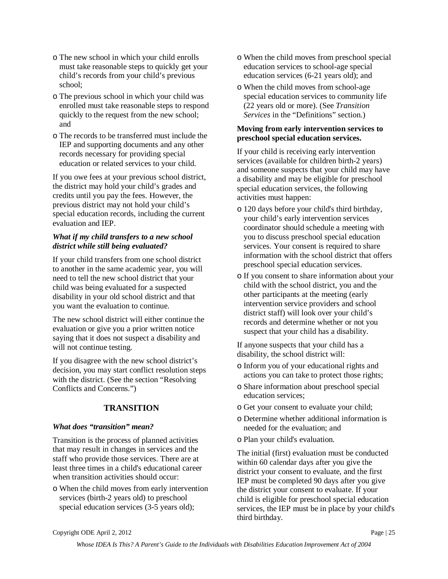- o The new school in which your child enrolls must take reasonable steps to quickly get your child's records from your child's previous school;
- o The previous school in which your child was enrolled must take reasonable steps to respond quickly to the request from the new school; and
- o The records to be transferred must include the IEP and supporting documents and any other records necessary for providing special education or related services to your child.

If you owe fees at your previous school district, the district may hold your child's grades and credits until you pay the fees. However, the previous district may not hold your child's special education records, including the current evaluation and IEP.

# *What if my child transfers to a new school district while still being evaluated?*

If your child transfers from one school district to another in the same academic year, you will need to tell the new school district that your child was being evaluated for a suspected disability in your old school district and that you want the evaluation to continue.

The new school district will either continue the evaluation or give you a prior written notice saying that it does not suspect a disability and will not continue testing.

If you disagree with the new school district's decision, you may start conflict resolution steps with the district. (See the section "Resolving Conflicts and Concerns.")

# **TRANSITION**

# *What does "transition" mean?*

Transition is the process of planned activities that may result in changes in services and the staff who provide those services. There are at least three times in a child's educational career when transition activities should occur:

o When the child moves from early intervention services (birth-2 years old) to preschool special education services (3-5 years old);

- o When the child moves from preschool special education services to school-age special education services (6-21 years old); and
- o When the child moves from school-age special education services to community life (22 years old or more). (See *Transition Services* in the "Definitions" section.)

# **Moving from early intervention services to preschool special education services.**

If your child is receiving early intervention services (available for children birth-2 years) and someone suspects that your child may have a disability and may be eligible for preschool special education services, the following activities must happen:

- o 120 days before your child's third birthday, your child's early intervention services coordinator should schedule a meeting with you to discuss preschool special education services. Your consent is required to share information with the school district that offers preschool special education services.
- o If you consent to share information about your child with the school district, you and the other participants at the meeting (early intervention service providers and school district staff) will look over your child's records and determine whether or not you suspect that your child has a disability.

If anyone suspects that your child has a disability, the school district will:

- o Inform you of your educational rights and actions you can take to protect those rights;
- o Share information about preschool special education services;
- o Get your consent to evaluate your child;
- o Determine whether additional information is needed for the evaluation; and
- o Plan your child's evaluation.

The initial (first) evaluation must be conducted within 60 calendar days after you give the district your consent to evaluate, and the first IEP must be completed 90 days after you give the district your consent to evaluate. If your child is eligible for preschool special education services, the IEP must be in place by your child's third birthday.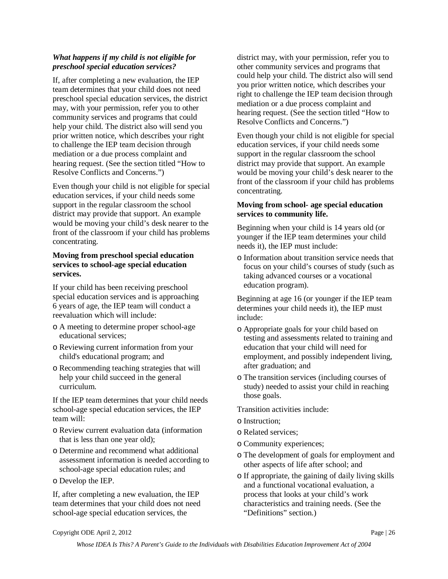#### *What happens if my child is not eligible for preschool special education services?*

If, after completing a new evaluation, the IEP team determines that your child does not need preschool special education services, the district may, with your permission, refer you to other community services and programs that could help your child. The district also will send you prior written notice, which describes your right to challenge the IEP team decision through mediation or a due process complaint and hearing request. (See the section titled "How to Resolve Conflicts and Concerns.")

Even though your child is not eligible for special education services, if your child needs some support in the regular classroom the school district may provide that support. An example would be moving your child's desk nearer to the front of the classroom if your child has problems concentrating.

#### **Moving from preschool special education services to school-age special education services.**

If your child has been receiving preschool special education services and is approaching 6 years of age, the IEP team will conduct a reevaluation which will include:

- o A meeting to determine proper school-age educational services;
- o Reviewing current information from your child's educational program; and
- o Recommending teaching strategies that will help your child succeed in the general curriculum.

If the IEP team determines that your child needs school-age special education services, the IEP team will:

- o Review current evaluation data (information that is less than one year old);
- o Determine and recommend what additional assessment information is needed according to school-age special education rules; and
- o Develop the IEP.

If, after completing a new evaluation, the IEP team determines that your child does not need school-age special education services, the

district may, with your permission, refer you to other community services and programs that could help your child. The district also will send you prior written notice, which describes your right to challenge the IEP team decision through mediation or a due process complaint and hearing request. (See the section titled "How to Resolve Conflicts and Concerns.")

Even though your child is not eligible for special education services, if your child needs some support in the regular classroom the school district may provide that support. An example would be moving your child's desk nearer to the front of the classroom if your child has problems concentrating.

#### **Moving from school- age special education services to community life.**

Beginning when your child is 14 years old (or younger if the IEP team determines your child needs it), the IEP must include:

o Information about transition service needs that focus on your child's courses of study (such as taking advanced courses or a vocational education program).

Beginning at age 16 (or younger if the IEP team determines your child needs it), the IEP must include:

- o Appropriate goals for your child based on testing and assessments related to training and education that your child will need for employment, and possibly independent living, after graduation; and
- o The transition services (including courses of study) needed to assist your child in reaching those goals.

Transition activities include:

- o Instruction;
- o Related services;
- o Community experiences;
- o The development of goals for employment and other aspects of life after school; and
- o If appropriate, the gaining of daily living skills and a functional vocational evaluation, a process that looks at your child's work characteristics and training needs. (See the "Definitions" section.)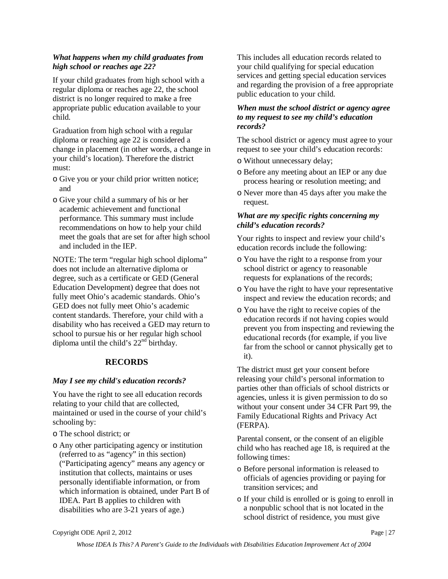# *What happens when my child graduates from high school or reaches age 22?*

If your child graduates from high school with a regular diploma or reaches age 22, the school district is no longer required to make a free appropriate public education available to your child.

Graduation from high school with a regular diploma or reaching age 22 is considered a change in placement (in other words, a change in your child's location). Therefore the district must:

- o Give you or your child prior written notice; and
- o Give your child a summary of his or her academic achievement and functional performance. This summary must include recommendations on how to help your child meet the goals that are set for after high school and included in the IEP.

NOTE: The term "regular high school diploma" does not include an alternative diploma or degree, such as a certificate or GED (General Education Development) degree that does not fully meet Ohio's academic standards. Ohio's GED does not fully meet Ohio's academic content standards. Therefore, your child with a disability who has received a GED may return to school to pursue his or her regular high school diploma until the child's 22<sup>nd</sup> birthday.

# **RECORDS**

#### *May I see my child's education records?*

You have the right to see all education records relating to your child that are collected, maintained or used in the course of your child's schooling by:

- o The school district; or
- o Any other participating agency or institution (referred to as "agency" in this section) ("Participating agency" means any agency or institution that collects, maintains or uses personally identifiable information, or from which information is obtained, under Part B of IDEA. Part B applies to children with disabilities who are 3-21 years of age.)

This includes all education records related to your child qualifying for special education services and getting special education services and regarding the provision of a free appropriate public education to your child.

#### *When must the school district or agency agree to my request to see my child's education records?*

The school district or agency must agree to your request to see your child's education records:

- o Without unnecessary delay;
- o Before any meeting about an IEP or any due process hearing or resolution meeting; and
- o Never more than 45 days after you make the request.

#### *What are my specific rights concerning my child's education records?*

Your rights to inspect and review your child's education records include the following:

- o You have the right to a response from your school district or agency to reasonable requests for explanations of the records;
- o You have the right to have your representative inspect and review the education records; and
- o You have the right to receive copies of the education records if not having copies would prevent you from inspecting and reviewing the educational records (for example, if you live far from the school or cannot physically get to it).

The district must get your consent before releasing your child's personal information to parties other than officials of school districts or agencies, unless it is given permission to do so without your consent under 34 CFR Part 99, the Family Educational Rights and Privacy Act (FERPA).

Parental consent, or the consent of an eligible child who has reached age 18, is required at the following times:

- o Before personal information is released to officials of agencies providing or paying for transition services; and
- o If your child is enrolled or is going to enroll in a nonpublic school that is not located in the school district of residence, you must give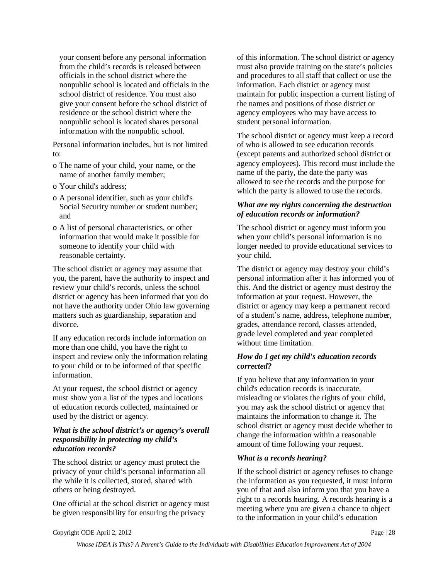your consent before any personal information from the child's records is released between officials in the school district where the nonpublic school is located and officials in the school district of residence. You must also give your consent before the school district of residence or the school district where the nonpublic school is located shares personal information with the nonpublic school.

Personal information includes, but is not limited to:

- o The name of your child, your name, or the name of another family member;
- o Your child's address;
- o A personal identifier, such as your child's Social Security number or student number; and
- o A list of personal characteristics, or other information that would make it possible for someone to identify your child with reasonable certainty.

The school district or agency may assume that you, the parent, have the authority to inspect and review your child's records, unless the school district or agency has been informed that you do not have the authority under Ohio law governing matters such as guardianship, separation and divorce.

If any education records include information on more than one child, you have the right to inspect and review only the information relating to your child or to be informed of that specific information.

At your request, the school district or agency must show you a list of the types and locations of education records collected, maintained or used by the district or agency.

#### *What is the school district's or agency's overall responsibility in protecting my child's education records?*

The school district or agency must protect the privacy of your child's personal information all the while it is collected, stored, shared with others or being destroyed.

One official at the school district or agency must be given responsibility for ensuring the privacy

of this information. The school district or agency must also provide training on the state's policies and procedures to all staff that collect or use the information. Each district or agency must maintain for public inspection a current listing of the names and positions of those district or agency employees who may have access to student personal information.

The school district or agency must keep a record of who is allowed to see education records (except parents and authorized school district or agency employees). This record must include the name of the party, the date the party was allowed to see the records and the purpose for which the party is allowed to use the records.

#### *What are my rights concerning the destruction of education records or information?*

The school district or agency must inform you when your child's personal information is no longer needed to provide educational services to your child.

The district or agency may destroy your child's personal information after it has informed you of this. And the district or agency must destroy the information at your request. However, the district or agency may keep a permanent record of a student's name, address, telephone number, grades, attendance record, classes attended, grade level completed and year completed without time limitation.

# *How do I get my child's education records corrected?*

If you believe that any information in your child's education records is inaccurate, misleading or violates the rights of your child, you may ask the school district or agency that maintains the information to change it. The school district or agency must decide whether to change the information within a reasonable amount of time following your request.

#### *What is a records hearing?*

If the school district or agency refuses to change the information as you requested, it must inform you of that and also inform you that you have a right to a records hearing. A records hearing is a meeting where you are given a chance to object to the information in your child's education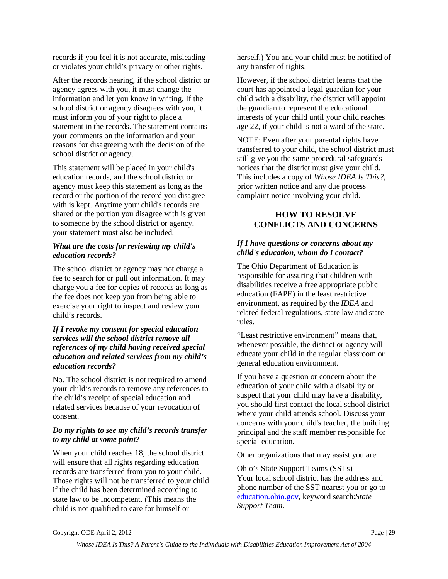records if you feel it is not accurate, misleading or violates your child's privacy or other rights.

After the records hearing, if the school district or agency agrees with you, it must change the information and let you know in writing. If the school district or agency disagrees with you, it must inform you of your right to place a statement in the records. The statement contains your comments on the information and your reasons for disagreeing with the decision of the school district or agency.

This statement will be placed in your child's education records, and the school district or agency must keep this statement as long as the record or the portion of the record you disagree with is kept. Anytime your child's records are shared or the portion you disagree with is given to someone by the school district or agency, your statement must also be included.

#### *What are the costs for reviewing my child's education records?*

The school district or agency may not charge a fee to search for or pull out information. It may charge you a fee for copies of records as long as the fee does not keep you from being able to exercise your right to inspect and review your child's records.

#### *If I revoke my consent for special education services will the school district remove all references of my child having received special education and related services from my child's education records?*

No. The school district is not required to amend your child's records to remove any references to the child's receipt of special education and related services because of your revocation of consent.

# *Do my rights to see my child's records transfer to my child at some point?*

When your child reaches 18, the school district will ensure that all rights regarding education records are transferred from you to your child. Those rights will not be transferred to your child if the child has been determined according to state law to be incompetent. (This means the child is not qualified to care for himself or

herself.) You and your child must be notified of any transfer of rights.

However, if the school district learns that the court has appointed a legal guardian for your child with a disability, the district will appoint the guardian to represent the educational interests of your child until your child reaches age 22, if your child is not a ward of the state.

NOTE: Even after your parental rights have transferred to your child, the school district must still give you the same procedural safeguards notices that the district must give your child. This includes a copy of *Whose IDEA Is This?,* prior written notice and any due process complaint notice involving your child.

# **HOW TO RESOLVE CONFLICTS AND CONCERNS**

# *If I have questions or concerns about my child's education, whom do I contact?*

The Ohio Department of Education is responsible for assuring that children with disabilities receive a free appropriate public education (FAPE) in the least restrictive environment, as required by the *IDEA* and related federal regulations, state law and state rules.

"Least restrictive environment" means that, whenever possible, the district or agency will educate your child in the regular classroom or general education environment.

If you have a question or concern about the education of your child with a disability or suspect that your child may have a disability, you should first contact the local school district where your child attends school. Discuss your concerns with your child's teacher, the building principal and the staff member responsible for special education.

Other organizations that may assist you are:

Ohio's State Support Teams (SSTs) Your local school district has the address and phone number of the SST nearest you or go to education.ohio.gov, keyword search:*State Support Team*.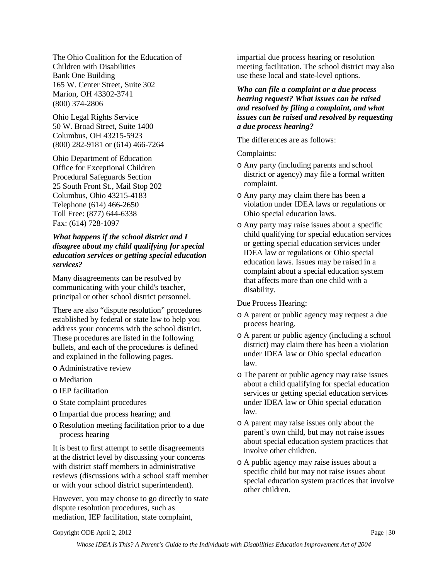The Ohio Coalition for the Education of Children with Disabilities Bank One Building 165 W. Center Street, Suite 302 Marion, OH 43302-3741 (800) 374-2806

Ohio Legal Rights Service 50 W. Broad Street, Suite 1400 Columbus, OH 43215-5923 (800) 282-9181 or (614) 466-7264

Ohio Department of Education Office for Exceptional Children Procedural Safeguards Section 25 South Front St., Mail Stop 202 Columbus, Ohio 43215-4183 Telephone (614) 466-2650 Toll Free: (877) 644-6338 Fax: (614) 728-1097

# *What happens if the school district and I disagree about my child qualifying for special education services or getting special education services?*

Many disagreements can be resolved by communicating with your child's teacher, principal or other school district personnel.

There are also "dispute resolution" procedures established by federal or state law to help you address your concerns with the school district. These procedures are listed in the following bullets, and each of the procedures is defined and explained in the following pages.

- o Administrative review
- o Mediation
- o IEP facilitation
- o State complaint procedures
- o Impartial due process hearing; and
- o Resolution meeting facilitation prior to a due process hearing

It is best to first attempt to settle disagreements at the district level by discussing your concerns with district staff members in administrative reviews (discussions with a school staff member or with your school district superintendent).

However, you may choose to go directly to state dispute resolution procedures, such as mediation, IEP facilitation, state complaint,

impartial due process hearing or resolution meeting facilitation. The school district may also use these local and state-level options.

*Who can file a complaint or a due process hearing request? What issues can be raised and resolved by filing a complaint, and what issues can be raised and resolved by requesting a due process hearing?*

The differences are as follows:

Complaints:

- o Any party (including parents and school district or agency) may file a formal written complaint.
- o Any party may claim there has been a violation under IDEA laws or regulations or Ohio special education laws.
- o Any party may raise issues about a specific child qualifying for special education services or getting special education services under IDEA law or regulations or Ohio special education laws. Issues may be raised in a complaint about a special education system that affects more than one child with a disability.

Due Process Hearing:

- o A parent or public agency may request a due process hearing.
- o A parent or public agency (including a school district) may claim there has been a violation under IDEA law or Ohio special education law.
- o The parent or public agency may raise issues about a child qualifying for special education services or getting special education services under IDEA law or Ohio special education law.
- o A parent may raise issues only about the parent's own child, but may not raise issues about special education system practices that involve other children.
- o A public agency may raise issues about a specific child but may not raise issues about special education system practices that involve other children.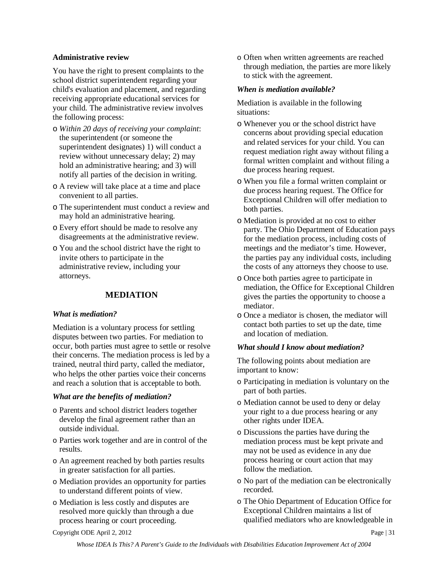#### **Administrative review**

You have the right to present complaints to the school district superintendent regarding your child's evaluation and placement, and regarding receiving appropriate educational services for your child. The administrative review involves the following process:

- o *Within 20 days of receiving your complaint*: the superintendent (or someone the superintendent designates) 1) will conduct a review without unnecessary delay; 2) may hold an administrative hearing; and 3) will notify all parties of the decision in writing.
- o A review will take place at a time and place convenient to all parties.
- o The superintendent must conduct a review and may hold an administrative hearing.
- o Every effort should be made to resolve any disagreements at the administrative review.
- o You and the school district have the right to invite others to participate in the administrative review, including your attorneys.

# **MEDIATION**

#### *What is mediation?*

Mediation is a voluntary process for settling disputes between two parties. For mediation to occur, both parties must agree to settle or resolve their concerns. The mediation process is led by a trained, neutral third party, called the mediator, who helps the other parties voice their concerns and reach a solution that is acceptable to both.

#### *What are the benefits of mediation?*

- o Parents and school district leaders together develop the final agreement rather than an outside individual.
- o Parties work together and are in control of the results.
- o An agreement reached by both parties results in greater satisfaction for all parties.
- o Mediation provides an opportunity for parties to understand different points of view.
- o Mediation is less costly and disputes are resolved more quickly than through a due process hearing or court proceeding.

o Often when written agreements are reached through mediation, the parties are more likely to stick with the agreement.

#### *When is mediation available?*

Mediation is available in the following situations:

- o Whenever you or the school district have concerns about providing special education and related services for your child. You can request mediation right away without filing a formal written complaint and without filing a due process hearing request.
- o When you file a formal written complaint or due process hearing request. The Office for Exceptional Children will offer mediation to both parties.
- o Mediation is provided at no cost to either party. The Ohio Department of Education pays for the mediation process, including costs of meetings and the mediator's time. However, the parties pay any individual costs, including the costs of any attorneys they choose to use.
- o Once both parties agree to participate in mediation, the Office for Exceptional Children gives the parties the opportunity to choose a mediator.
- o Once a mediator is chosen, the mediator will contact both parties to set up the date, time and location of mediation.

#### *What should I know about mediation?*

The following points about mediation are important to know:

- o Participating in mediation is voluntary on the part of both parties.
- o Mediation cannot be used to deny or delay your right to a due process hearing or any other rights under IDEA.
- o Discussions the parties have during the mediation process must be kept private and may not be used as evidence in any due process hearing or court action that may follow the mediation.
- o No part of the mediation can be electronically recorded.
- o The Ohio Department of Education Office for Exceptional Children maintains a list of qualified mediators who are knowledgeable in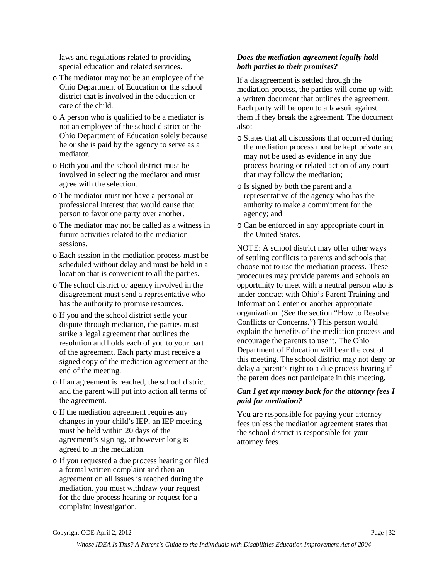laws and regulations related to providing special education and related services.

- o The mediator may not be an employee of the Ohio Department of Education or the school district that is involved in the education or care of the child.
- o A person who is qualified to be a mediator is not an employee of the school district or the Ohio Department of Education solely because he or she is paid by the agency to serve as a mediator.
- o Both you and the school district must be involved in selecting the mediator and must agree with the selection.
- o The mediator must not have a personal or professional interest that would cause that person to favor one party over another.
- o The mediator may not be called as a witness in future activities related to the mediation sessions.
- o Each session in the mediation process must be scheduled without delay and must be held in a location that is convenient to all the parties.
- o The school district or agency involved in the disagreement must send a representative who has the authority to promise resources.
- o If you and the school district settle your dispute through mediation, the parties must strike a legal agreement that outlines the resolution and holds each of you to your part of the agreement. Each party must receive a signed copy of the mediation agreement at the end of the meeting.
- o If an agreement is reached, the school district and the parent will put into action all terms of the agreement.
- o If the mediation agreement requires any changes in your child's IEP, an IEP meeting must be held within 20 days of the agreement's signing, or however long is agreed to in the mediation.
- o If you requested a due process hearing or filed a formal written complaint and then an agreement on all issues is reached during the mediation, you must withdraw your request for the due process hearing or request for a complaint investigation.

#### *Does the mediation agreement legally hold both parties to their promises?*

If a disagreement is settled through the mediation process, the parties will come up with a written document that outlines the agreement. Each party will be open to a lawsuit against them if they break the agreement. The document also:

- o States that all discussions that occurred during the mediation process must be kept private and may not be used as evidence in any due process hearing or related action of any court that may follow the mediation;
- o Is signed by both the parent and a representative of the agency who has the authority to make a commitment for the agency; and
- o Can be enforced in any appropriate court in the United States.

NOTE: A school district may offer other ways of settling conflicts to parents and schools that choose not to use the mediation process. These procedures may provide parents and schools an opportunity to meet with a neutral person who is under contract with Ohio's Parent Training and Information Center or another appropriate organization. (See the section "How to Resolve Conflicts or Concerns.") This person would explain the benefits of the mediation process and encourage the parents to use it. The Ohio Department of Education will bear the cost of this meeting. The school district may not deny or delay a parent's right to a due process hearing if the parent does not participate in this meeting.

#### *Can I get my money back for the attorney fees I paid for mediation?*

You are responsible for paying your attorney fees unless the mediation agreement states that the school district is responsible for your attorney fees.

Copyright ODE April 2, 2012 Page | 32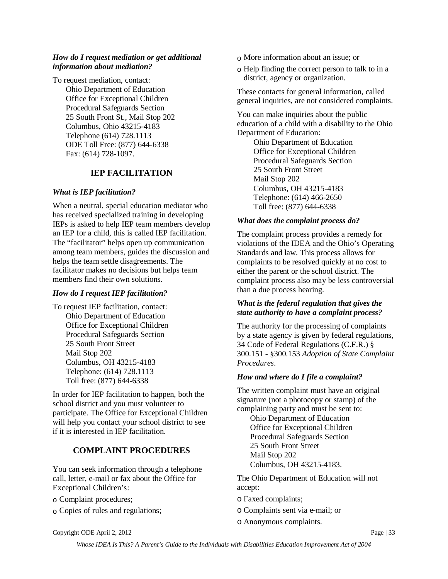#### *How do I request mediation or get additional information about mediation?*

To request mediation, contact:

Ohio Department of Education Office for Exceptional Children Procedural Safeguards Section 25 South Front St., Mail Stop 202 Columbus, Ohio 43215-4183 Telephone (614) 728.1113 ODE Toll Free: (877) 644-6338 Fax: (614) 728-1097.

# **IEP FACILITATION**

#### *What is IEP facilitation?*

When a neutral, special education mediator who has received specialized training in developing IEPs is asked to help IEP team members develop an IEP for a child, this is called IEP facilitation. The "facilitator" helps open up communication among team members, guides the discussion and helps the team settle disagreements. The facilitator makes no decisions but helps team members find their own solutions.

#### *How do I request IEP facilitation?*

To request IEP facilitation, contact: Ohio Department of Education Office for Exceptional Children Procedural Safeguards Section 25 South Front Street Mail Stop 202 Columbus, OH 43215-4183 Telephone: (614) 728.1113 Toll free: (877) 644-6338

In order for IEP facilitation to happen, both the school district and you must volunteer to participate. The Office for Exceptional Children will help you contact your school district to see if it is interested in IEP facilitation.

# **COMPLAINT PROCEDURES**

You can seek information through a telephone call, letter, e-mail or fax about the Office for Exceptional Children's:

- o Complaint procedures;
- o Copies of rules and regulations;
- o More information about an issue; or
- $\alpha$  Help finding the correct person to talk to in a district, agency or organization.

These contacts for general information, called general inquiries, are not considered complaints.

You can make inquiries about the public education of a child with a disability to the Ohio Department of Education:

> Ohio Department of Education Office for Exceptional Children Procedural Safeguards Section 25 South Front Street Mail Stop 202 Columbus, OH 43215-4183 Telephone: (614) 466-2650 Toll free: (877) 644-6338

#### *What does the complaint process do?*

The complaint process provides a remedy for violations of the IDEA and the Ohio's Operating Standards and law. This process allows for complaints to be resolved quickly at no cost to either the parent or the school district. The complaint process also may be less controversial than a due process hearing.

#### *What is the federal regulation that gives the state authority to have a complaint process?*

The authority for the processing of complaints by a state agency is given by federal regulations, 34 Code of Federal Regulations (C.F.R.) § 300.151 - §300.153 *Adoption of State Complaint Procedures*.

#### *How and where do I file a complaint?*

The written complaint must have an original signature (not a photocopy or stamp) of the complaining party and must be sent to: Ohio Department of Education Office for Exceptional Children

Procedural Safeguards Section 25 South Front Street Mail Stop 202 Columbus, OH 43215-4183.

The Ohio Department of Education will not accept:

- o Faxed complaints;
- o Complaints sent via e-mail; or
- o Anonymous complaints.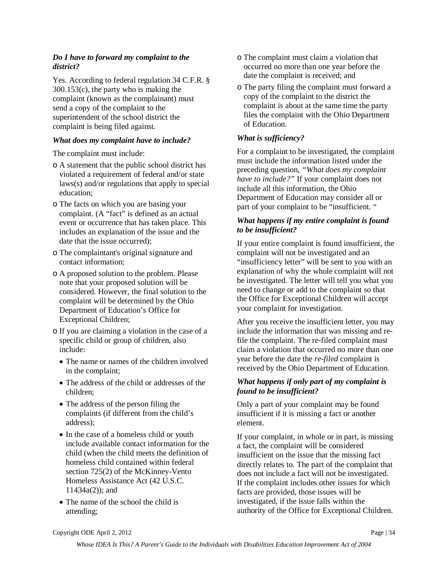# *Do I have to forward my complaint to the district?*

Yes. According to federal regulation 34 C.F.R. § 300.153(c), the party who is making the complaint (known as the complainant) must send a copy of the complaint to the superintendent of the school district the complaint is being filed against.

#### *What does my complaint have to include?*

The complaint must include:

- o A statement that the public school district has violated a requirement of federal and/or state laws(s) and/or regulations that apply to special education;
- o The facts on which you are basing your complaint. (A "fact" is defined as an actual event or occurrence that has taken place. This includes an explanation of the issue and the date that the issue occurred);
- o The complaintant's original signature and contact information;
- o A proposed solution to the problem. Please note that your proposed solution will be considered. However, the final solution to the complaint will be determined by the Ohio Department of Education's Office for Exceptional Children;
- o If you are claiming a violation in the case of a specific child or group of children, also include:
	- The name or names of the children involved in the complaint;
	- The address of the child or addresses of the children;
	- The address of the person filing the complaints (if different from the child's address);
	- In the case of a homeless child or youth include available contact information for the child (when the child meets the definition of homeless child contained within federal section 725(2) of the McKinney-Vento Homeless Assistance Act (42 U.S.C. 11434a(2)); and
	- The name of the school the child is attending;
- o The complaint must claim a violation that occurred no more than one year before the date the complaint is received; and
- o The party filing the complaint must forward a copy of the complaint to the district the complaint is about at the same time the party files the complaint with the Ohio Department of Education.

# *What is sufficiency?*

For a complaint to be investigated, the complaint must include the information listed under the preceding question, *"What does my complaint have to include?"* If your complaint does not include all this information, the Ohio Department of Education may consider all or part of your complaint to be "insufficient. "

# *What happens if my entire complaint is found to be insufficient?*

If your entire complaint is found insufficient, the complaint will not be investigated and an "insufficiency letter" will be sent to you with an explanation of why the whole complaint will not be investigated. The letter will tell you what you need to change or add to the complaint so that the Office for Exceptional Children will accept your complaint for investigation.

After you receive the insufficient letter, you may include the information that was missing and refile the complaint. The re-filed complaint must claim a violation that occurred no more than one year before the date the *re-filed* complaint is received by the Ohio Department of Education.

# *What happens if only part of my complaint is found to be insufficient?*

Only a part of your complaint may be found insufficient if it is missing a fact or another element.

If your complaint, in whole or in part, is missing a fact, the complaint will be considered insufficient on the issue that the missing fact directly relates to. The part of the complaint that does not include a fact will not be investigated. If the complaint includes other issues for which facts are provided, those issues will be investigated, if the issue falls within the authority of the Office for Exceptional Children.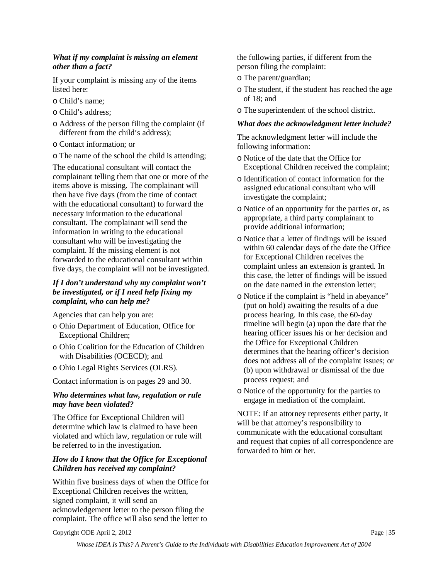#### *What if my complaint is missing an element other than a fact?*

If your complaint is missing any of the items listed here:

- o Child's name;
- o Child's address;
- o Address of the person filing the complaint (if different from the child's address);
- o Contact information; or
- o The name of the school the child is attending;

The educational consultant will contact the complainant telling them that one or more of the items above is missing. The complainant will then have five days (from the time of contact with the educational consultant) to forward the necessary information to the educational consultant. The complainant will send the information in writing to the educational consultant who will be investigating the complaint. If the missing element is not forwarded to the educational consultant within five days, the complaint will not be investigated.

#### *If I don't understand why my complaint won't be investigated, or if I need help fixing my complaint, who can help me?*

Agencies that can help you are:

- o Ohio Department of Education, Office for Exceptional Children;
- o Ohio Coalition for the Education of Children with Disabilities (OCECD); and
- o Ohio Legal Rights Services (OLRS).

Contact information is on pages 29 and 30.

#### *Who determines what law, regulation or rule may have been violated?*

The Office for Exceptional Children will determine which law is claimed to have been violated and which law, regulation or rule will be referred to in the investigation.

#### *How do I know that the Office for Exceptional Children has received my complaint?*

Within five business days of when the Office for Exceptional Children receives the written, signed complaint, it will send an acknowledgement letter to the person filing the complaint. The office will also send the letter to

the following parties, if different from the person filing the complaint:

- o The parent/guardian;
- o The student, if the student has reached the age of 18; and
- o The superintendent of the school district.

#### *What does the acknowledgment letter include?*

The acknowledgment letter will include the following information:

- o Notice of the date that the Office for Exceptional Children received the complaint;
- o Identification of contact information for the assigned educational consultant who will investigate the complaint;
- o Notice of an opportunity for the parties or, as appropriate, a third party complainant to provide additional information;
- o Notice that a letter of findings will be issued within 60 calendar days of the date the Office for Exceptional Children receives the complaint unless an extension is granted. In this case, the letter of findings will be issued on the date named in the extension letter;
- o Notice if the complaint is "held in abeyance" (put on hold) awaiting the results of a due process hearing. In this case, the 60-day timeline will begin (a) upon the date that the hearing officer issues his or her decision and the Office for Exceptional Children determines that the hearing officer's decision does not address all of the complaint issues; or (b) upon withdrawal or dismissal of the due process request; and
- o Notice of the opportunity for the parties to engage in mediation of the complaint.

NOTE: If an attorney represents either party, it will be that attorney's responsibility to communicate with the educational consultant and request that copies of all correspondence are forwarded to him or her.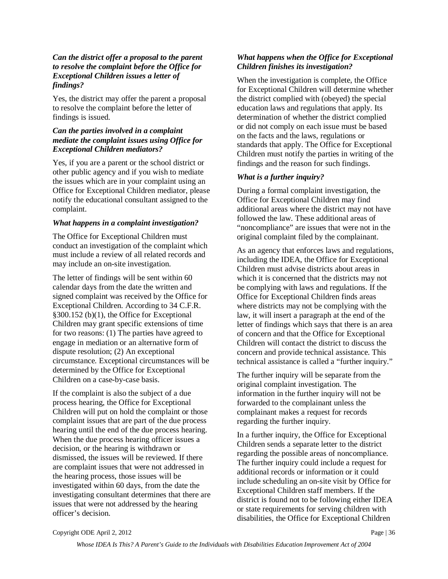#### *Can the district offer a proposal to the parent to resolve the complaint before the Office for Exceptional Children issues a letter of findings?*

Yes, the district may offer the parent a proposal to resolve the complaint before the letter of findings is issued.

#### *Can the parties involved in a complaint mediate the complaint issues using Office for Exceptional Children mediators?*

Yes, if you are a parent or the school district or other public agency and if you wish to mediate the issues which are in your complaint using an Office for Exceptional Children mediator, please notify the educational consultant assigned to the complaint.

#### *What happens in a complaint investigation?*

The Office for Exceptional Children must conduct an investigation of the complaint which must include a review of all related records and may include an on-site investigation.

The letter of findings will be sent within 60 calendar days from the date the written and signed complaint was received by the Office for Exceptional Children. According to 34 C.F.R. §300.152 (b)(1), the Office for Exceptional Children may grant specific extensions of time for two reasons: (1) The parties have agreed to engage in mediation or an alternative form of dispute resolution; (2) An exceptional circumstance. Exceptional circumstances will be determined by the Office for Exceptional Children on a case-by-case basis.

If the complaint is also the subject of a due process hearing, the Office for Exceptional Children will put on hold the complaint or those complaint issues that are part of the due process hearing until the end of the due process hearing. When the due process hearing officer issues a decision, or the hearing is withdrawn or dismissed, the issues will be reviewed. If there are complaint issues that were not addressed in the hearing process, those issues will be investigated within 60 days, from the date the investigating consultant determines that there are issues that were not addressed by the hearing officer's decision.

#### *What happens when the Office for Exceptional Children finishes its investigation?*

When the investigation is complete, the Office for Exceptional Children will determine whether the district complied with (obeyed) the special education laws and regulations that apply. Its determination of whether the district complied or did not comply on each issue must be based on the facts and the laws, regulations or standards that apply. The Office for Exceptional Children must notify the parties in writing of the findings and the reason for such findings.

#### *What is a further inquiry?*

During a formal complaint investigation, the Office for Exceptional Children may find additional areas where the district may not have followed the law. These additional areas of "noncompliance" are issues that were not in the original complaint filed by the complainant.

As an agency that enforces laws and regulations, including the IDEA, the Office for Exceptional Children must advise districts about areas in which it is concerned that the districts may not be complying with laws and regulations. If the Office for Exceptional Children finds areas where districts may not be complying with the law, it will insert a paragraph at the end of the letter of findings which says that there is an area of concern and that the Office for Exceptional Children will contact the district to discuss the concern and provide technical assistance. This technical assistance is called a "further inquiry."

The further inquiry will be separate from the original complaint investigation. The information in the further inquiry will not be forwarded to the complainant unless the complainant makes a request for records regarding the further inquiry.

In a further inquiry, the Office for Exceptional Children sends a separate letter to the district regarding the possible areas of noncompliance. The further inquiry could include a request for additional records or information or it could include scheduling an on-site visit by Office for Exceptional Children staff members. If the district is found not to be following either IDEA or state requirements for serving children with disabilities, the Office for Exceptional Children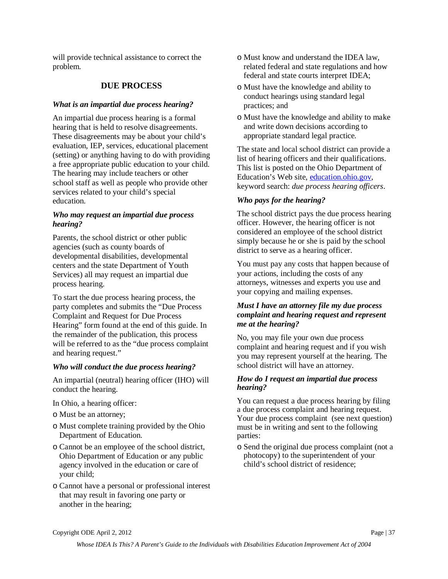will provide technical assistance to correct the problem.

#### **DUE PROCESS**

#### *What is an impartial due process hearing?*

An impartial due process hearing is a formal hearing that is held to resolve disagreements. These disagreements may be about your child's evaluation, IEP, services, educational placement (setting) or anything having to do with providing a free appropriate public education to your child. The hearing may include teachers or other school staff as well as people who provide other services related to your child's special education.

#### *Who may request an impartial due process hearing?*

Parents, the school district or other public agencies (such as county boards of developmental disabilities, developmental centers and the state Department of Youth Services) all may request an impartial due process hearing.

To start the due process hearing process, the party completes and submits the "Due Process Complaint and Request for Due Process Hearing" form found at the end of this guide. In the remainder of the publication, this process will be referred to as the "due process complaint" and hearing request."

#### *Who will conduct the due process hearing?*

An impartial (neutral) hearing officer (IHO) will conduct the hearing.

- In Ohio, a hearing officer:
- o Must be an attorney;
- o Must complete training provided by the Ohio Department of Education.
- o Cannot be an employee of the school district, Ohio Department of Education or any public agency involved in the education or care of your child;
- o Cannot have a personal or professional interest that may result in favoring one party or another in the hearing;
- o Must know and understand the IDEA law, related federal and state regulations and how federal and state courts interpret IDEA;
- o Must have the knowledge and ability to conduct hearings using standard legal practices; and
- o Must have the knowledge and ability to make and write down decisions according to appropriate standard legal practice.

The state and local school district can provide a list of hearing officers and their qualifications. This list is posted on the Ohio Department of Education's Web site, education.ohio.gov, keyword search: *due process hearing officers*.

#### *Who pays for the hearing?*

The school district pays the due process hearing officer. However, the hearing officer is not considered an employee of the school district simply because he or she is paid by the school district to serve as a hearing officer.

You must pay any costs that happen because of your actions, including the costs of any attorneys, witnesses and experts you use and your copying and mailing expenses.

#### *Must I have an attorney file my due process complaint and hearing request and represent me at the hearing?*

No, you may file your own due process complaint and hearing request and if you wish you may represent yourself at the hearing. The school district will have an attorney.

#### *How do I request an impartial due process hearing?*

You can request a due process hearing by filing a due process complaint and hearing request. Your due process complaint (see next question) must be in writing and sent to the following parties:

o Send the original due process complaint (not a photocopy) to the superintendent of your child's school district of residence;

Copyright ODE April 2, 2012 Page | 37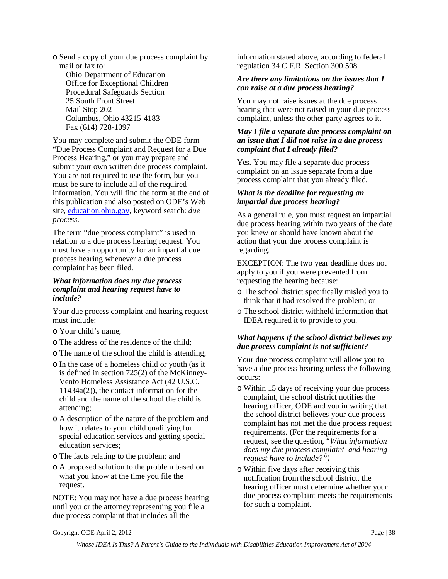o Send a copy of your due process complaint by mail or fax to: Ohio Department of Education Office for Exceptional Children Procedural Safeguards Section 25 South Front Street Mail Stop 202 Columbus, Ohio 43215-4183 Fax (614) 728-1097

You may complete and submit the ODE form "Due Process Complaint and Request for a Due Process Hearing," or you may prepare and submit your own written due process complaint. You are not required to use the form, but you must be sure to include all of the required information. You will find the form at the end of this publication and also posted on ODE's Web site, education.ohio.gov, keyword search: *due process*.

The term "due process complaint" is used in relation to a due process hearing request. You must have an opportunity for an impartial due process hearing whenever a due process complaint has been filed.

#### *What information does my due process complaint and hearing request have to include?*

Your due process complaint and hearing request must include:

- o Your child's name;
- o The address of the residence of the child;
- o The name of the school the child is attending;
- o In the case of a homeless child or youth (as it is defined in section 725(2) of the McKinney-Vento Homeless Assistance Act (42 U.S.C. 11434a(2)), the contact information for the child and the name of the school the child is attending;
- o A description of the nature of the problem and how it relates to your child qualifying for special education services and getting special education services;
- o The facts relating to the problem; and
- o A proposed solution to the problem based on what you know at the time you file the request.

NOTE: You may not have a due process hearing until you or the attorney representing you file a due process complaint that includes all the

information stated above, according to federal regulation 34 C.F.R. Section 300.508.

#### *Are there any limitations on the issues that I can raise at a due process hearing?*

You may not raise issues at the due process hearing that were not raised in your due process complaint, unless the other party agrees to it.

#### *May I file a separate due process complaint on an issue that I did not raise in a due process complaint that I already filed?*

Yes. You may file a separate due process complaint on an issue separate from a due process complaint that you already filed.

#### *What is the deadline for requesting an impartial due process hearing?*

As a general rule, you must request an impartial due process hearing within two years of the date you knew or should have known about the action that your due process complaint is regarding.

EXCEPTION: The two year deadline does not apply to you if you were prevented from requesting the hearing because:

- o The school district specifically misled you to think that it had resolved the problem; or
- o The school district withheld information that IDEA required it to provide to you.

#### *What happens if the school district believes my due process complaint is not sufficient?*

Your due process complaint will allow you to have a due process hearing unless the following occurs:

- o Within 15 days of receiving your due process complaint, the school district notifies the hearing officer, ODE and you in writing that the school district believes your due process complaint has not met the due process request requirements. (For the requirements for a request, see the question, "*What information does my due process complaint and hearing request have to include?")*
- o Within five days after receiving this notification from the school district, the hearing officer must determine whether your due process complaint meets the requirements for such a complaint.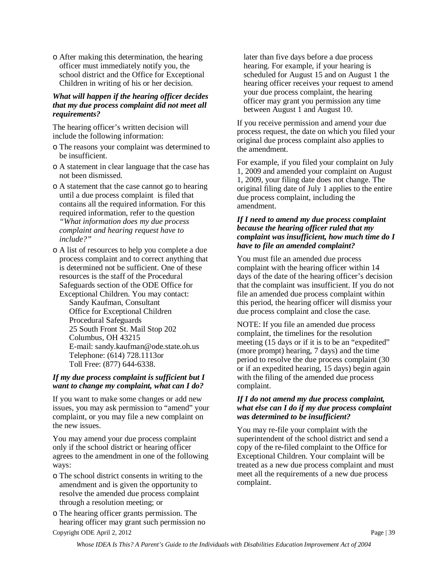o After making this determination, the hearing officer must immediately notify you, the school district and the Office for Exceptional Children in writing of his or her decision.

#### *What will happen if the hearing officer decides that my due process complaint did not meet all requirements?*

The hearing officer's written decision will include the following information:

- o The reasons your complaint was determined to be insufficient.
- o A statement in clear language that the case has not been dismissed.
- o A statement that the case cannot go to hearing until a due process complaint is filed that contains all the required information. For this required information, refer to the question *"What information does my due process complaint and hearing request have to include?"*
- o A list of resources to help you complete a due process complaint and to correct anything that is determined not be sufficient. One of these resources is the staff of the Procedural Safeguards section of the ODE Office for Exceptional Children. You may contact: Sandy Kaufman, Consultant Office for Exceptional Children Procedural Safeguards 25 South Front St. Mail Stop 202 Columbus, OH 43215 E-mail: sandy.kaufman@ode.state.oh.us Telephone: (614) 728.1113or Toll Free: (877) 644-6338.

#### *If my due process complaint is sufficient but I want to change my complaint, what can I do?*

If you want to make some changes or add new issues, you may ask permission to "amend" your complaint, or you may file a new complaint on the new issues.

You may amend your due process complaint only if the school district or hearing officer agrees to the amendment in one of the following ways:

- o The school district consents in writing to the amendment and is given the opportunity to resolve the amended due process complaint through a resolution meeting; or
- o The hearing officer grants permission. The hearing officer may grant such permission no

later than five days before a due process hearing. For example, if your hearing is scheduled for August 15 and on August 1 the hearing officer receives your request to amend your due process complaint, the hearing officer may grant you permission any time between August 1 and August 10.

If you receive permission and amend your due process request, the date on which you filed your original due process complaint also applies to the amendment.

For example, if you filed your complaint on July 1, 2009 and amended your complaint on August 1, 2009, your filing date does not change. The original filing date of July 1 applies to the entire due process complaint, including the amendment.

#### *If I need to amend my due process complaint because the hearing officer ruled that my complaint was insufficient, how much time do I have to file an amended complaint?*

You must file an amended due process complaint with the hearing officer within 14 days of the date of the hearing officer's decision that the complaint was insufficient. If you do not file an amended due process complaint within this period, the hearing officer will dismiss your due process complaint and close the case.

NOTE: If you file an amended due process complaint, the timelines for the resolution meeting (15 days or if it is to be an "expedited" (more prompt) hearing, 7 days) and the time period to resolve the due process complaint (30 or if an expedited hearing, 15 days) begin again with the filing of the amended due process complaint.

#### *If I do not amend my due process complaint, what else can I do if my due process complaint was determined to be insufficient?*

You may re-file your complaint with the superintendent of the school district and send a copy of the re-filed complaint to the Office for Exceptional Children. Your complaint will be treated as a new due process complaint and must meet all the requirements of a new due process complaint.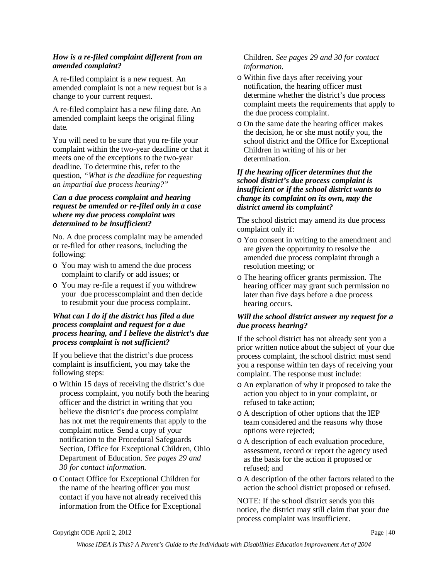#### *How is a re-filed complaint different from an amended complaint?*

A re-filed complaint is a new request. An amended complaint is not a new request but is a change to your current request.

A re-filed complaint has a new filing date. An amended complaint keeps the original filing date.

You will need to be sure that you re-file your complaint within the two-year deadline or that it meets one of the exceptions to the two-year deadline. To determine this, refer to the question, *"What is the deadline for requesting an impartial due process hearing?"* 

#### *Can a due process complaint and hearing request be amended or re-filed only in a case where my due process complaint was determined to be insufficient?*

No. A due process complaint may be amended or re-filed for other reasons, including the following:

- o You may wish to amend the due process complaint to clarify or add issues; or
- o You may re-file a request if you withdrew your due processcomplaint and then decide to resubmit your due process complaint.

#### *What can I do if the district has filed a due process complaint and request for a due process hearing, and I believe the district's due process complaint is not sufficient?*

If you believe that the district's due process complaint is insufficient, you may take the following steps:

- o Within 15 days of receiving the district's due process complaint, you notify both the hearing officer and the district in writing that you believe the district's due process complaint has not met the requirements that apply to the complaint notice. Send a copy of your notification to the Procedural Safeguards Section, Office for Exceptional Children, Ohio Department of Education. *See pages 29 and 30 for contact information.*
- o Contact Office for Exceptional Children for the name of the hearing officer you must contact if you have not already received this information from the Office for Exceptional

#### Children. *See pages 29 and 30 for contact information.*

- o Within five days after receiving your notification, the hearing officer must determine whether the district's due process complaint meets the requirements that apply to the due process complaint.
- o On the same date the hearing officer makes the decision, he or she must notify you, the school district and the Office for Exceptional Children in writing of his or her determination.

#### *If the hearing officer determines that the school district's due process complaint is insufficient or if the school district wants to change its complaint on its own***,** *may the district amend its complaint?*

The school district may amend its due process complaint only if:

- o You consent in writing to the amendment and are given the opportunity to resolve the amended due process complaint through a resolution meeting; or
- o The hearing officer grants permission. The hearing officer may grant such permission no later than five days before a due process hearing occurs.

#### *Will the school district answer my request for a due process hearing?*

If the school district has not already sent you a prior written notice about the subject of your due process complaint, the school district must send you a response within ten days of receiving your complaint. The response must include:

- o An explanation of why it proposed to take the action you object to in your complaint, or refused to take action;
- o A description of other options that the IEP team considered and the reasons why those options were rejected;
- o A description of each evaluation procedure, assessment, record or report the agency used as the basis for the action it proposed or refused; and
- o A description of the other factors related to the action the school district proposed or refused.

NOTE: If the school district sends you this notice, the district may still claim that your due process complaint was insufficient.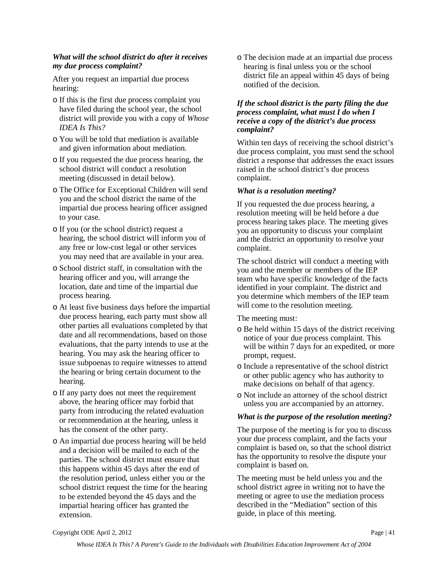#### *What will the school district do after it receives my due process complaint?*

After you request an impartial due process hearing:

- o If this is the first due process complaint you have filed during the school year, the school district will provide you with a copy of *Whose IDEA Is This?*
- o You will be told that mediation is available and given information about mediation.
- o If you requested the due process hearing, the school district will conduct a resolution meeting (discussed in detail below).
- o The Office for Exceptional Children will send you and the school district the name of the impartial due process hearing officer assigned to your case.
- o If you (or the school district) request a hearing, the school district will inform you of any free or low-cost legal or other services you may need that are available in your area.
- o School district staff, in consultation with the hearing officer and you, will arrange the location, date and time of the impartial due process hearing.
- o At least five business days before the impartial due process hearing, each party must show all other parties all evaluations completed by that date and all recommendations, based on those evaluations, that the party intends to use at the hearing. You may ask the hearing officer to issue subpoenas to require witnesses to attend the hearing or bring certain document to the hearing.
- o If any party does not meet the requirement above, the hearing officer may forbid that party from introducing the related evaluation or recommendation at the hearing, unless it has the consent of the other party.
- o An impartial due process hearing will be held and a decision will be mailed to each of the parties. The school district must ensure that this happens within 45 days after the end of the resolution period, unless either you or the school district request the time for the hearing to be extended beyond the 45 days and the impartial hearing officer has granted the extension.

o The decision made at an impartial due process hearing is final unless you or the school district file an appeal within 45 days of being notified of the decision.

#### *If the school district is the party filing the due process complaint, what must I do when I receive a copy of the district's due process complaint?*

Within ten days of receiving the school district's due process complaint, you must send the school district a response that addresses the exact issues raised in the school district's due process complaint.

#### *What is a resolution meeting?*

If you requested the due process hearing, a resolution meeting will be held before a due process hearing takes place. The meeting gives you an opportunity to discuss your complaint and the district an opportunity to resolve your complaint.

The school district will conduct a meeting with you and the member or members of the IEP team who have specific knowledge of the facts identified in your complaint. The district and you determine which members of the IEP team will come to the resolution meeting.

The meeting must:

- o Be held within 15 days of the district receiving notice of your due process complaint. This will be within 7 days for an expedited, or more prompt, request.
- o Include a representative of the school district or other public agency who has authority to make decisions on behalf of that agency.
- o Not include an attorney of the school district unless you are accompanied by an attorney.

#### *What is the purpose of the resolution meeting?*

The purpose of the meeting is for you to discuss your due process complaint, and the facts your complaint is based on, so that the school district has the opportunity to resolve the dispute your complaint is based on.

The meeting must be held unless you and the school district agree in writing not to have the meeting or agree to use the mediation process described in the "Mediation" section of this guide, in place of this meeting.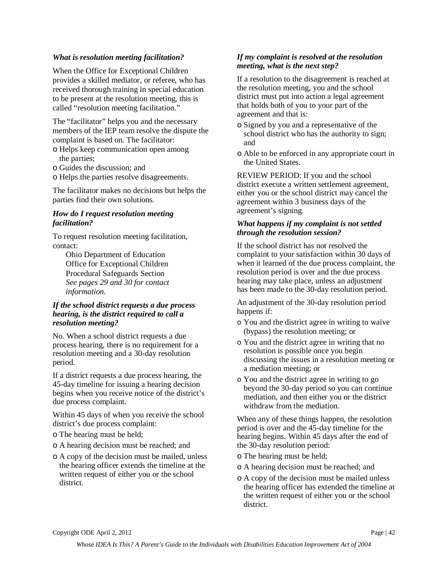#### *What is resolution meeting facilitation?*

When the Office for Exceptional Children provides a skilled mediator, or referee, who has received thorough training in special education to be present at the resolution meeting, this is called "resolution meeting facilitation."

The "facilitator" helps you and the necessary members of the IEP team resolve the dispute the complaint is based on. The facilitator:

- o Helps keep communication open among the parties;
- o Guides the discussion; and

o Helps the parties resolve disagreements.

The facilitator makes no decisions but helps the parties find their own solutions.

#### *How do I request resolution meeting facilitation?*

To request resolution meeting facilitation, contact:

Ohio Department of Education Office for Exceptional Children Procedural Safeguards Section *See pages 29 and 30 for contact information.*

#### *If the school district requests a due process hearing, is the district required to call a resolution meeting?*

No. When a school district requests a due process hearing, there is no requirement for a resolution meeting and a 30-day resolution period.

If a district requests a due process hearing, the 45-day timeline for issuing a hearing decision begins when you receive notice of the district's due process complaint.

Within 45 days of when you receive the school district's due process complaint:

- o The hearing must be held;
- o A hearing decision must be reached; and
- o A copy of the decision must be mailed, unless the hearing officer extends the timeline at the written request of either you or the school district.

#### *If my complaint is resolved at the resolution meeting, what is the next step?*

If a resolution to the disagreement is reached at the resolution meeting, you and the school district must put into action a legal agreement that holds both of you to your part of the agreement and that is:

- o Signed by you and a representative of the school district who has the authority to sign; and
- o Able to be enforced in any appropriate court in the United States.

REVIEW PERIOD: If you and the school district execute a written settlement agreement, either you or the school district may cancel the agreement within 3 business days of the agreement's signing.

#### *What happens if my complaint is not settled through the resolution session?*

If the school district has not resolved the complaint to your satisfaction within 30 days of when it learned of the due process complaint, the resolution period is over and the due process hearing may take place, unless an adjustment has been made to the 30-day resolution period.

An adjustment of the 30-day resolution period happens if:

- o You and the district agree in writing to waive (bypass) the resolution meeting; or
- o You and the district agree in writing that no resolution is possible once you begin discussing the issues in a resolution meeting or a mediation meeting; or
- o You and the district agree in writing to go beyond the 30-day period so you can continue mediation, and then either you or the district withdraw from the mediation.

When any of these things happen, the resolution period is over and the 45-day timeline for the hearing begins. Within 45 days after the end of the 30-day resolution period:

- o The hearing must be held;
- o A hearing decision must be reached; and
- o A copy of the decision must be mailed unless the hearing officer has extended the timeline at the written request of either you or the school district.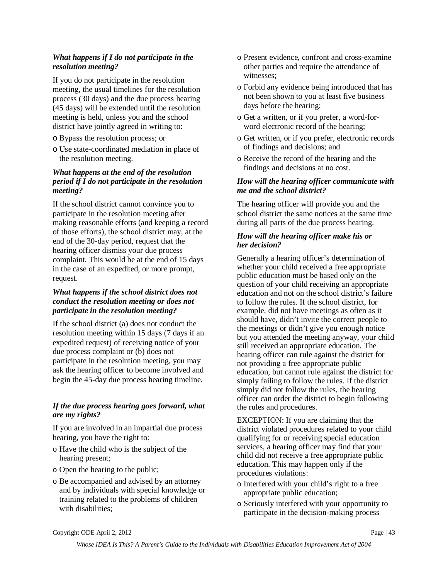#### *What happens if I do not participate in the resolution meeting?*

If you do not participate in the resolution meeting, the usual timelines for the resolution process (30 days) and the due process hearing (45 days) will be extended until the resolution meeting is held, unless you and the school district have jointly agreed in writing to:

- o Bypass the resolution process; or
- o Use state-coordinated mediation in place of the resolution meeting.

#### *What happens at the end of the resolution period if I do not participate in the resolution meeting?*

If the school district cannot convince you to participate in the resolution meeting after making reasonable efforts (and keeping a record of those efforts), the school district may, at the end of the 30-day period, request that the hearing officer dismiss your due process complaint. This would be at the end of 15 days in the case of an expedited, or more prompt, request.

#### *What happens if the school district does not conduct the resolution meeting or does not participate in the resolution meeting?*

If the school district (a) does not conduct the resolution meeting within 15 days (7 days if an expedited request) of receiving notice of your due process complaint or (b) does not participate in the resolution meeting, you may ask the hearing officer to become involved and begin the 45-day due process hearing timeline.

#### *If the due process hearing goes forward, what are my rights?*

If you are involved in an impartial due process hearing, you have the right to:

- o Have the child who is the subject of the hearing present;
- o Open the hearing to the public;
- o Be accompanied and advised by an attorney and by individuals with special knowledge or training related to the problems of children with disabilities:
- o Present evidence, confront and cross-examine other parties and require the attendance of witnesses;
- o Forbid any evidence being introduced that has not been shown to you at least five business days before the hearing;
- o Get a written, or if you prefer, a word-forword electronic record of the hearing;
- o Get written, or if you prefer, electronic records of findings and decisions; and
- o Receive the record of the hearing and the findings and decisions at no cost.

#### *How will the hearing officer communicate with me and the school district?*

The hearing officer will provide you and the school district the same notices at the same time during all parts of the due process hearing.

#### *How will the hearing officer make his or her decision?*

Generally a hearing officer's determination of whether your child received a free appropriate public education must be based only on the question of your child receiving an appropriate education and not on the school district's failure to follow the rules. If the school district, for example, did not have meetings as often as it should have, didn't invite the correct people to the meetings or didn't give you enough notice but you attended the meeting anyway, your child still received an appropriate education. The hearing officer can rule against the district for not providing a free appropriate public education, but cannot rule against the district for simply failing to follow the rules. If the district simply did not follow the rules, the hearing officer can order the district to begin following the rules and procedures.

EXCEPTION: If you are claiming that the district violated procedures related to your child qualifying for or receiving special education services, a hearing officer may find that your child did not receive a free appropriate public education. This may happen only if the procedures violations:

- o Interfered with your child's right to a free appropriate public education;
- o Seriously interfered with your opportunity to participate in the decision-making process

Copyright ODE April 2, 2012 Page | 43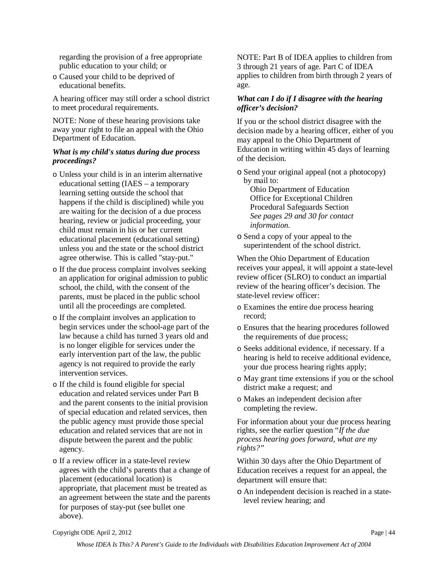regarding the provision of a free appropriate public education to your child; or

o Caused your child to be deprived of educational benefits.

A hearing officer may still order a school district to meet procedural requirements.

NOTE: None of these hearing provisions take away your right to file an appeal with the Ohio Department of Education.

#### *What is my child's status during due process proceedings?*

- o Unless your child is in an interim alternative educational setting (IAES – a temporary learning setting outside the school that happens if the child is disciplined) while you are waiting for the decision of a due process hearing, review or judicial proceeding, your child must remain in his or her current educational placement (educational setting) unless you and the state or the school district agree otherwise. This is called "stay-put."
- o If the due process complaint involves seeking an application for original admission to public school, the child, with the consent of the parents, must be placed in the public school until all the proceedings are completed.
- o If the complaint involves an application to begin services under the school-age part of the law because a child has turned 3 years old and is no longer eligible for services under the early intervention part of the law, the public agency is not required to provide the early intervention services.
- o If the child is found eligible for special education and related services under Part B and the parent consents to the initial provision of special education and related services, then the public agency must provide those special education and related services that are not in dispute between the parent and the public agency.
- o If a review officer in a state-level review agrees with the child's parents that a change of placement (educational location) is appropriate, that placement must be treated as an agreement between the state and the parents for purposes of stay-put (see bullet one above).

NOTE: Part B of IDEA applies to children from 3 through 21 years of age. Part C of IDEA applies to children from birth through 2 years of age.

#### *What can I do if I disagree with the hearing officer's decision?*

If you or the school district disagree with the decision made by a hearing officer, either of you may appeal to the Ohio Department of Education in writing within 45 days of learning of the decision.

o Send your original appeal (not a photocopy) by mail to:

Ohio Department of Education Office for Exceptional Children Procedural Safeguards Section *See pages 29 and 30 for contact information.*

o Send a copy of your appeal to the superintendent of the school district.

When the Ohio Department of Education receives your appeal, it will appoint a state-level review officer (SLRO) to conduct an impartial review of the hearing officer's decision. The state-level review officer:

- o Examines the entire due process hearing record;
- o Ensures that the hearing procedures followed the requirements of due process;
- o Seeks additional evidence, if necessary. If a hearing is held to receive additional evidence, your due process hearing rights apply;
- o May grant time extensions if you or the school district make a request; and
- o Makes an independent decision after completing the review.

For information about your due process hearing rights, see the earlier question "*If the due process hearing goes forward, what are my rights?"*

Within 30 days after the Ohio Department of Education receives a request for an appeal, the department will ensure that:

o An independent decision is reached in a statelevel review hearing; and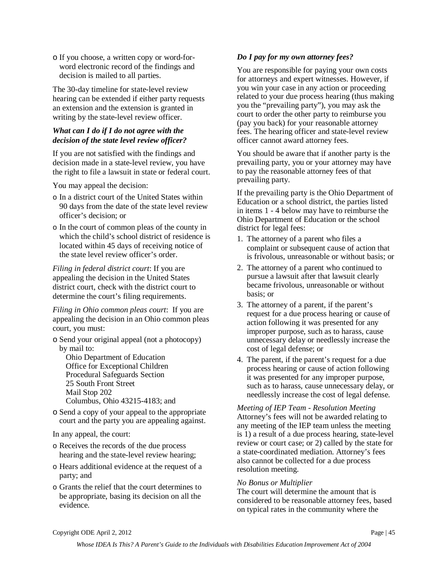o If you choose, a written copy or word-forword electronic record of the findings and decision is mailed to all parties.

The 30-day timeline for state-level review hearing can be extended if either party requests an extension and the extension is granted in writing by the state-level review officer.

#### *What can I do if I do not agree with the decision of the state level review officer?*

If you are not satisfied with the findings and decision made in a state-level review, you have the right to file a lawsuit in state or federal court.

You may appeal the decision:

- o In a district court of the United States within 90 days from the date of the state level review officer's decision; or
- o In the court of common pleas of the county in which the child's school district of residence is located within 45 days of receiving notice of the state level review officer's order.

*Filing in federal district court*: If you are appealing the decision in the United States district court, check with the district court to determine the court's filing requirements.

*Filing in Ohio common pleas court*: If you are appealing the decision in an Ohio common pleas court, you must:

o Send your original appeal (not a photocopy) by mail to:

Ohio Department of Education Office for Exceptional Children Procedural Safeguards Section 25 South Front Street Mail Stop 202 Columbus, Ohio 43215-4183; and

o Send a copy of your appeal to the appropriate court and the party you are appealing against.

In any appeal, the court:

- o Receives the records of the due process hearing and the state-level review hearing;
- o Hears additional evidence at the request of a party; and
- o Grants the relief that the court determines to be appropriate, basing its decision on all the evidence.

#### *Do I pay for my own attorney fees?*

You are responsible for paying your own costs for attorneys and expert witnesses. However, if you win your case in any action or proceeding related to your due process hearing (thus making you the "prevailing party"), you may ask the court to order the other party to reimburse you (pay you back) for your reasonable attorney fees. The hearing officer and state-level review officer cannot award attorney fees.

You should be aware that if another party is the prevailing party, you or your attorney may have to pay the reasonable attorney fees of that prevailing party.

If the prevailing party is the Ohio Department of Education or a school district, the parties listed in items 1 - 4 below may have to reimburse the Ohio Department of Education or the school district for legal fees:

- 1. The attorney of a parent who files a complaint or subsequent cause of action that is frivolous, unreasonable or without basis; or
- 2. The attorney of a parent who continued to pursue a lawsuit after that lawsuit clearly became frivolous, unreasonable or without basis; or
- 3. The attorney of a parent, if the parent's request for a due process hearing or cause of action following it was presented for any improper purpose, such as to harass, cause unnecessary delay or needlessly increase the cost of legal defense; or
- 4. The parent, if the parent's request for a due process hearing or cause of action following it was presented for any improper purpose, such as to harass, cause unnecessary delay, or needlessly increase the cost of legal defense.

*Meeting of IEP Team - Resolution Meeting* Attorney's fees will not be awarded relating to any meeting of the IEP team unless the meeting is 1) a result of a due process hearing, state-level review or court case; or 2) called by the state for a state-coordinated mediation. Attorney's fees also cannot be collected for a due process resolution meeting.

#### *No Bonus or Multiplier*

The court will determine the amount that is considered to be reasonable attorney fees, based on typical rates in the community where the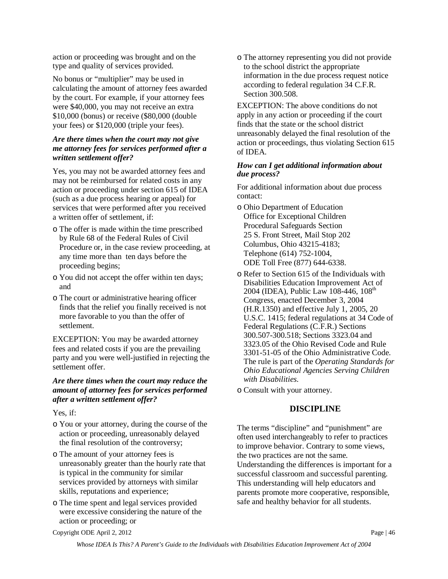action or proceeding was brought and on the type and quality of services provided.

No bonus or "multiplier" may be used in calculating the amount of attorney fees awarded by the court. For example, if your attorney fees were \$40,000, you may not receive an extra \$10,000 (bonus) or receive (\$80,000 (double your fees) or \$120,000 (triple your fees).

#### *Are there times when the court may not give me attorney fees for services performed after a written settlement offer?*

Yes, you may not be awarded attorney fees and may not be reimbursed for related costs in any action or proceeding under section 615 of IDEA (such as a due process hearing or appeal) for services that were performed after you received a written offer of settlement, if:

- o The offer is made within the time prescribed by Rule 68 of the Federal Rules of Civil Procedure or, in the case review proceeding, at any time more than ten days before the proceeding begins;
- o You did not accept the offer within ten days; and
- o The court or administrative hearing officer finds that the relief you finally received is not more favorable to you than the offer of settlement.

EXCEPTION: You may be awarded attorney fees and related costs if you are the prevailing party and you were well-justified in rejecting the settlement offer.

#### *Are there times when the court may reduce the amount of attorney fees for services performed after a written settlement offer?*

Yes, if:

- o You or your attorney, during the course of the action or proceeding, unreasonably delayed the final resolution of the controversy;
- o The amount of your attorney fees is unreasonably greater than the hourly rate that is typical in the community for similar services provided by attorneys with similar skills, reputations and experience;
- o The time spent and legal services provided were excessive considering the nature of the action or proceeding; or

o The attorney representing you did not provide to the school district the appropriate information in the due process request notice according to federal regulation 34 C.F.R. Section 300.508.

EXCEPTION: The above conditions do not apply in any action or proceeding if the court finds that the state or the school district unreasonably delayed the final resolution of the action or proceedings, thus violating Section 615 of IDEA.

#### *How can I get additional information about due process?*

For additional information about due process contact:

- o Ohio Department of Education Office for Exceptional Children Procedural Safeguards Section 25 S. Front Street, Mail Stop 202 Columbus, Ohio 43215-4183; Telephone (614) 752-1004, ODE Toll Free (877) 644-6338.
- o Refer to Section 615 of the Individuals with Disabilities Education Improvement Act of 2004 (IDEA), Public Law 108-446, 108<sup>th</sup> Congress, enacted December 3, 2004 (H.R.1350) and effective July 1, 2005, 20 U.S.C. 1415; federal regulations at 34 Code of Federal Regulations (C.F.R.) Sections 300.507-300.518; Sections 3323.04 and 3323.05 of the Ohio Revised Code and Rule 3301-51-05 of the Ohio Administrative Code. The rule is part of the *Operating Standards for Ohio Educational Agencies Serving Children with Disabilities*.
- o Consult with your attorney.

#### **DISCIPLINE**

The terms "discipline" and "punishment" are often used interchangeably to refer to practices to improve behavior. Contrary to some views, the two practices are not the same. Understanding the differences is important for a successful classroom and successful parenting. This understanding will help educators and parents promote more cooperative, responsible, safe and healthy behavior for all students.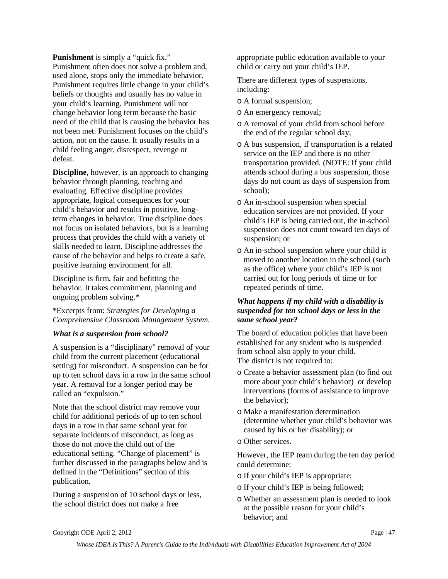# **Punishment** is simply a "quick fix."

Punishment often does not solve a problem and, used alone, stops only the immediate behavior. Punishment requires little change in your child's beliefs or thoughts and usually has no value in your child's learning. Punishment will not change behavior long term because the basic need of the child that is causing the behavior has not been met. Punishment focuses on the child's action, not on the cause. It usually results in a child feeling anger, disrespect, revenge or defeat.

**Discipline**, however, is an approach to changing behavior through planning, teaching and evaluating. Effective discipline provides appropriate, logical consequences for your child's behavior and results in positive, longterm changes in behavior. True discipline does not focus on isolated behaviors, but is a learning process that provides the child with a variety of skills needed to learn. Discipline addresses the cause of the behavior and helps to create a safe, positive learning environment for all.

Discipline is firm, fair and befitting the behavior. It takes commitment, planning and ongoing problem solving.\*

#### \*Excerpts from: *Strategies for Developing a Comprehensive Classroom Management System.*

#### *What is a suspension from school?*

A suspension is a "disciplinary" removal of your child from the current placement (educational setting) for misconduct. A suspension can be for up to ten school days in a row in the same school year. A removal for a longer period may be called an "expulsion."

Note that the school district may remove your child for additional periods of up to ten school days in a row in that same school year for separate incidents of misconduct, as long as those do not move the child out of the educational setting. "Change of placement" is further discussed in the paragraphs below and is defined in the "Definitions" section of this publication.

During a suspension of 10 school days or less, the school district does not make a free

appropriate public education available to your child or carry out your child's IEP.

There are different types of suspensions, including:

- o A formal suspension;
- o An emergency removal;
- o A removal of your child from school before the end of the regular school day;
- o A bus suspension, if transportation is a related service on the IEP and there is no other transportation provided. (NOTE: If your child attends school during a bus suspension, those days do not count as days of suspension from school);
- o An in-school suspension when special education services are not provided. If your child's IEP is being carried out, the in-school suspension does not count toward ten days of suspension; or
- o An in-school suspension where your child is moved to another location in the school (such as the office) where your child's IEP is not carried out for long periods of time or for repeated periods of time.

#### *What happens if my child with a disability is suspended for ten school days or less in the same school year?*

The board of education policies that have been established for any student who is suspended from school also apply to your child. The district is not required to:

- o Create a behavior assessment plan (to find out more about your child's behavior) or develop interventions (forms of assistance to improve the behavior);
- o Make a manifestation determination (determine whether your child's behavior was caused by his or her disability); or
- o Other services.

However, the IEP team during the ten day period could determine:

- o If your child's IEP is appropriate;
- o If your child's IEP is being followed;
- o Whether an assessment plan is needed to look at the possible reason for your child's behavior; and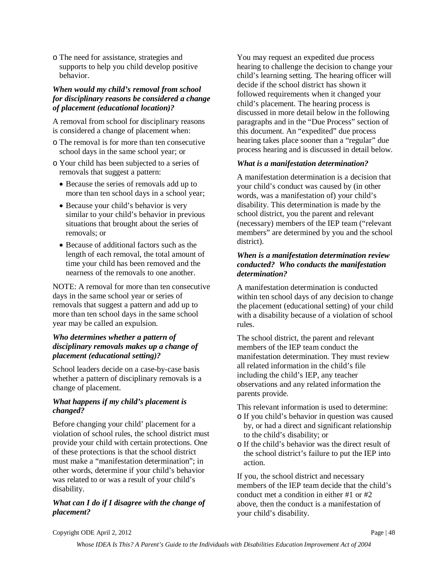o The need for assistance, strategies and supports to help you child develop positive behavior.

#### *When would my child's removal from school for disciplinary reasons be considered a change of placement (educational location)?*

A removal from school for disciplinary reasons is considered a change of placement when:

- o The removal is for more than ten consecutive school days in the same school year; or
- o Your child has been subjected to a series of removals that suggest a pattern:
	- Because the series of removals add up to more than ten school days in a school year;
	- Because your child's behavior is very similar to your child's behavior in previous situations that brought about the series of removals; or
	- Because of additional factors such as the length of each removal, the total amount of time your child has been removed and the nearness of the removals to one another.

NOTE: A removal for more than ten consecutive days in the same school year or series of removals that suggest a pattern and add up to more than ten school days in the same school year may be called an expulsion.

#### *Who determines whether a pattern of disciplinary removals makes up a change of placement (educational setting)?*

School leaders decide on a case-by-case basis whether a pattern of disciplinary removals is a change of placement.

#### *What happens if my child's placement is changed?*

Before changing your child' placement for a violation of school rules, the school district must provide your child with certain protections. One of these protections is that the school district must make a "manifestation determination"; in other words, determine if your child's behavior was related to or was a result of your child's disability.

#### *What can I do if I disagree with the change of placement?*

You may request an expedited due process hearing to challenge the decision to change your child's learning setting. The hearing officer will decide if the school district has shown it followed requirements when it changed your child's placement. The hearing process is discussed in more detail below in the following paragraphs and in the "Due Process" section of this document. An "expedited" due process hearing takes place sooner than a "regular" due process hearing and is discussed in detail below.

#### *What is a manifestation determination?*

A manifestation determination is a decision that your child's conduct was caused by (in other words, was a manifestation of) your child's disability. This determination is made by the school district, you the parent and relevant (necessary) members of the IEP team ("relevant members" are determined by you and the school district).

#### *When is a manifestation determination review conducted? Who conducts the manifestation determination?*

A manifestation determination is conducted within ten school days of any decision to change the placement (educational setting) of your child with a disability because of a violation of school rules.

The school district, the parent and relevant members of the IEP team conduct the manifestation determination. They must review all related information in the child's file including the child's IEP, any teacher observations and any related information the parents provide.

This relevant information is used to determine:

- o If you child's behavior in question was caused by, or had a direct and significant relationship to the child's disability; or
- o If the child's behavior was the direct result of the school district's failure to put the IEP into action.

If you, the school district and necessary members of the IEP team decide that the child's conduct met a condition in either #1 or #2 above, then the conduct is a manifestation of your child's disability.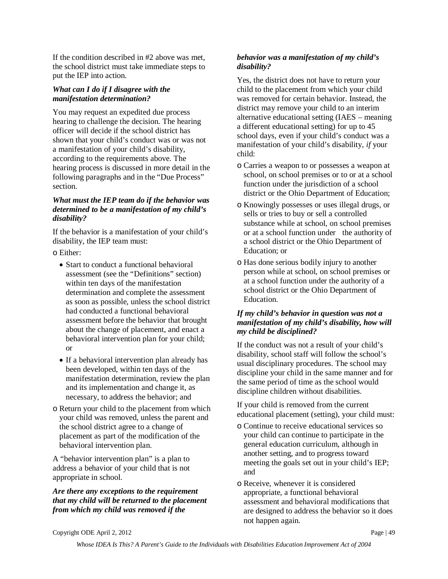If the condition described in #2 above was met, the school district must take immediate steps to put the IEP into action.

#### *What can I do if I disagree with the manifestation determination?*

You may request an expedited due process hearing to challenge the decision. The hearing officer will decide if the school district has shown that your child's conduct was or was not a manifestation of your child's disability, according to the requirements above. The hearing process is discussed in more detail in the following paragraphs and in the "Due Process" section.

#### *What must the IEP team do if the behavior was determined to be a manifestation of my child's disability?*

If the behavior is a manifestation of your child's disability, the IEP team must:

o Either:

- Start to conduct a functional behavioral assessment (see the "Definitions" section) within ten days of the manifestation determination and complete the assessment as soon as possible, unless the school district had conducted a functional behavioral assessment before the behavior that brought about the change of placement, and enact a behavioral intervention plan for your child; or
- If a behavioral intervention plan already has been developed, within ten days of the manifestation determination, review the plan and its implementation and change it, as necessary, to address the behavior; and
- o Return your child to the placement from which your child was removed, unless the parent and the school district agree to a change of placement as part of the modification of the behavioral intervention plan.

A "behavior intervention plan" is a plan to address a behavior of your child that is not appropriate in school.

#### *Are there any exceptions to the requirement that my child will be returned to the placement from which my child was removed if the*

#### *behavior was a manifestation of my child's disability?*

Yes, the district does not have to return your child to the placement from which your child was removed for certain behavior. Instead, the district may remove your child to an interim alternative educational setting (IAES – meaning a different educational setting) for up to 45 school days, even if your child's conduct was a manifestation of your child's disability, *if* your child:

- o Carries a weapon to or possesses a weapon at school, on school premises or to or at a school function under the jurisdiction of a school district or the Ohio Department of Education;
- o Knowingly possesses or uses illegal drugs, or sells or tries to buy or sell a controlled substance while at school, on school premises or at a school function under the authority of a school district or the Ohio Department of Education; or
- o Has done serious bodily injury to another person while at school, on school premises or at a school function under the authority of a school district or the Ohio Department of Education.

#### *If my child's behavior in question was not a manifestation of my child's disability, how will my child be disciplined?*

If the conduct was not a result of your child's disability, school staff will follow the school's usual disciplinary procedures. The school may discipline your child in the same manner and for the same period of time as the school would discipline children without disabilities.

If your child is removed from the current educational placement (setting), your child must:

- o Continue to receive educational services so your child can continue to participate in the general education curriculum, although in another setting, and to progress toward meeting the goals set out in your child's IEP; and
- o Receive, whenever it is considered appropriate, a functional behavioral assessment and behavioral modifications that are designed to address the behavior so it does not happen again.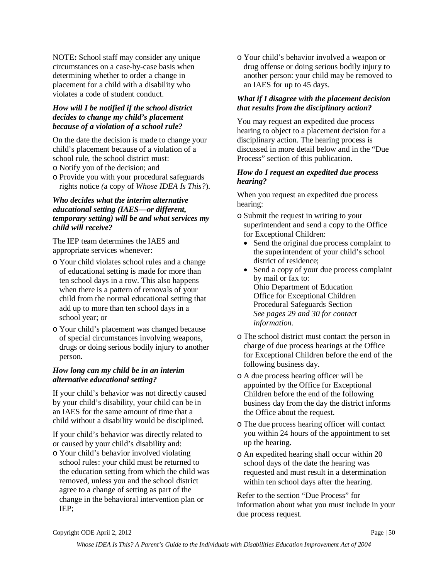NOTE**:** School staff may consider any unique circumstances on a case-by-case basis when determining whether to order a change in placement for a child with a disability who violates a code of student conduct.

#### *How will I be notified if the school district decides to change my child's placement because of a violation of a school rule?*

On the date the decision is made to change your child's placement because of a violation of a school rule, the school district must: o Notify you of the decision; and

o Provide you with your procedural safeguards rights notice *(*a copy of *Whose IDEA Is This?*).

#### *Who decides what the interim alternative educational setting (IAES—or different, temporary setting) will be and what services my child will receive?*

The IEP team determines the IAES and appropriate services whenever:

- o Your child violates school rules and a change of educational setting is made for more than ten school days in a row. This also happens when there is a pattern of removals of your child from the normal educational setting that add up to more than ten school days in a school year; or
- o Your child's placement was changed because of special circumstances involving weapons, drugs or doing serious bodily injury to another person.

#### *How long can my child be in an interim alternative educational setting?*

If your child's behavior was not directly caused by your child's disability, your child can be in an IAES for the same amount of time that a child without a disability would be disciplined.

If your child's behavior was directly related to or caused by your child's disability and:

o Your child's behavior involved violating school rules: your child must be returned to the education setting from which the child was removed, unless you and the school district agree to a change of setting as part of the change in the behavioral intervention plan or IEP;

o Your child's behavior involved a weapon or drug offense or doing serious bodily injury to another person: your child may be removed to an IAES for up to 45 days.

#### *What if I disagree with the placement decision that results from the disciplinary action?*

You may request an expedited due process hearing to object to a placement decision for a disciplinary action. The hearing process is discussed in more detail below and in the "Due Process" section of this publication.

#### *How do I request an expedited due process hearing?*

When you request an expedited due process hearing:

- o Submit the request in writing to your superintendent and send a copy to the Office for Exceptional Children:
	- Send the original due process complaint to the superintendent of your child's school district of residence;
	- Send a copy of your due process complaint by mail or fax to: Ohio Department of Education Office for Exceptional Children Procedural Safeguards Section *See pages 29 and 30 for contact information.*
- o The school district must contact the person in charge of due process hearings at the Office for Exceptional Children before the end of the following business day.
- o A due process hearing officer will be appointed by the Office for Exceptional Children before the end of the following business day from the day the district informs the Office about the request.
- o The due process hearing officer will contact you within 24 hours of the appointment to set up the hearing.
- o An expedited hearing shall occur within 20 school days of the date the hearing was requested and must result in a determination within ten school days after the hearing.

Refer to the section "Due Process" for information about what you must include in your due process request.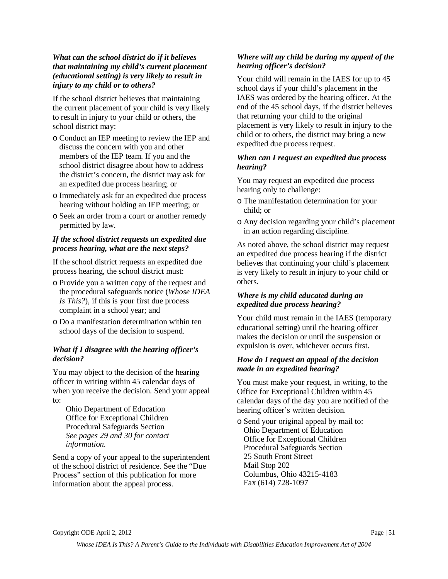#### *What can the school district do if it believes that maintaining my child's current placement (educational setting) is very likely to result in injury to my child or to others?*

If the school district believes that maintaining the current placement of your child is very likely to result in injury to your child or others, the school district may:

- o Conduct an IEP meeting to review the IEP and discuss the concern with you and other members of the IEP team. If you and the school district disagree about how to address the district's concern, the district may ask for an expedited due process hearing; or
- o Immediately ask for an expedited due process hearing without holding an IEP meeting; or
- o Seek an order from a court or another remedy permitted by law.

#### *If the school district requests an expedited due process hearing, what are the next steps?*

If the school district requests an expedited due process hearing, the school district must:

- o Provide you a written copy of the request and the procedural safeguards notice (*Whose IDEA Is This?*), if this is your first due process complaint in a school year; and
- o Do a manifestation determination within ten school days of the decision to suspend.

#### *What if I disagree with the hearing officer's decision?*

You may object to the decision of the hearing officer in writing within 45 calendar days of when you receive the decision. Send your appeal to:

Ohio Department of Education Office for Exceptional Children Procedural Safeguards Section *See pages 29 and 30 for contact information.*

Send a copy of your appeal to the superintendent of the school district of residence. See the "Due Process" section of this publication for more information about the appeal process.

#### *Where will my child be during my appeal of the hearing officer's decision?*

Your child will remain in the IAES for up to 45 school days if your child's placement in the IAES was ordered by the hearing officer. At the end of the 45 school days, if the district believes that returning your child to the original placement is very likely to result in injury to the child or to others, the district may bring a new expedited due process request.

#### *When can I request an expedited due process hearing?*

You may request an expedited due process hearing only to challenge:

- o The manifestation determination for your child; or
- o Any decision regarding your child's placement in an action regarding discipline.

As noted above, the school district may request an expedited due process hearing if the district believes that continuing your child's placement is very likely to result in injury to your child or others.

#### *Where is my child educated during an expedited due process hearing?*

Your child must remain in the IAES (temporary educational setting) until the hearing officer makes the decision or until the suspension or expulsion is over, whichever occurs first.

#### *How do I request an appeal of the decision made in an expedited hearing?*

You must make your request, in writing, to the Office for Exceptional Children within 45 calendar days of the day you are notified of the hearing officer's written decision.

o Send your original appeal by mail to: Ohio Department of Education Office for Exceptional Children Procedural Safeguards Section 25 South Front Street Mail Stop 202 Columbus, Ohio 43215-4183 Fax (614) 728-1097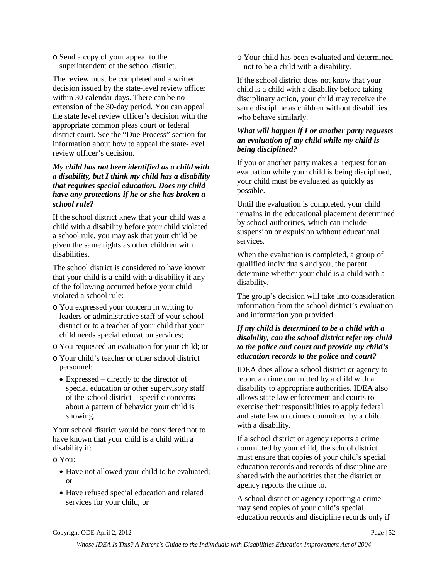o Send a copy of your appeal to the superintendent of the school district.

The review must be completed and a written decision issued by the state-level review officer within 30 calendar days. There can be no extension of the 30-day period. You can appeal the state level review officer's decision with the appropriate common pleas court or federal district court. See the "Due Process" section for information about how to appeal the state-level review officer's decision.

#### *My child has not been identified as a child with a disability, but I think my child has a disability that requires special education. Does my child have any protections if he or she has broken a school rule?*

If the school district knew that your child was a child with a disability before your child violated a school rule, you may ask that your child be given the same rights as other children with disabilities.

The school district is considered to have known that your child is a child with a disability if any of the following occurred before your child violated a school rule:

- o You expressed your concern in writing to leaders or administrative staff of your school district or to a teacher of your child that your child needs special education services;
- o You requested an evaluation for your child; or
- o Your child's teacher or other school district personnel:
	- Expressed directly to the director of special education or other supervisory staff of the school district – specific concerns about a pattern of behavior your child is showing.

Your school district would be considered not to have known that your child is a child with a disability if:

o You:

- Have not allowed your child to be evaluated; or
- Have refused special education and related services for your child; or

o Your child has been evaluated and determined not to be a child with a disability.

If the school district does not know that your child is a child with a disability before taking disciplinary action, your child may receive the same discipline as children without disabilities who behave similarly.

#### *What will happen if I or another party requests an evaluation of my child while my child is being disciplined?*

If you or another party makes a request for an evaluation while your child is being disciplined, your child must be evaluated as quickly as possible.

Until the evaluation is completed, your child remains in the educational placement determined by school authorities, which can include suspension or expulsion without educational services.

When the evaluation is completed, a group of qualified individuals and you, the parent, determine whether your child is a child with a disability.

The group's decision will take into consideration information from the school district's evaluation and information you provided.

#### *If my child is determined to be a child with a disability, can the school district refer my child to the police and court and provide my child's education records to the police and court?*

IDEA does allow a school district or agency to report a crime committed by a child with a disability to appropriate authorities. IDEA also allows state law enforcement and courts to exercise their responsibilities to apply federal and state law to crimes committed by a child with a disability.

If a school district or agency reports a crime committed by your child, the school district must ensure that copies of your child's special education records and records of discipline are shared with the authorities that the district or agency reports the crime to.

A school district or agency reporting a crime may send copies of your child's special education records and discipline records only if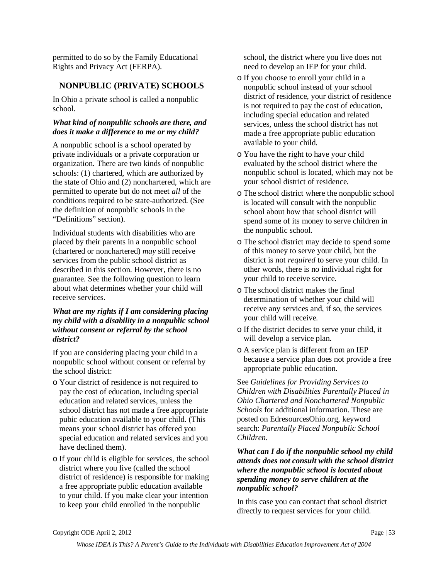permitted to do so by the Family Educational Rights and Privacy Act (FERPA).

#### **NONPUBLIC (PRIVATE) SCHOOLS**

In Ohio a private school is called a nonpublic school.

#### *What kind of nonpublic schools are there, and does it make a difference to me or my child?*

A nonpublic school is a school operated by private individuals or a private corporation or organization. There are two kinds of nonpublic schools: (1) chartered, which are authorized by the state of Ohio and (2) nonchartered, which are permitted to operate but do not meet *all* of the conditions required to be state-authorized. (See the definition of nonpublic schools in the "Definitions" section).

Individual students with disabilities who are placed by their parents in a nonpublic school (chartered or nonchartered) *may* still receive services from the public school district as described in this section. However, there is no guarantee. See the following question to learn about what determines whether your child will receive services.

#### *What are my rights if I am considering placing my child with a disability in a nonpublic school without consent or referral by the school district?*

If you are considering placing your child in a nonpublic school without consent or referral by the school district:

- o Your district of residence is not required to pay the cost of education, including special education and related services, unless the school district has not made a free appropriate pubic education available to your child. (This means your school district has offered you special education and related services and you have declined them).
- o If your child is eligible for services, the school district where you live (called the school district of residence) is responsible for making a free appropriate public education available to your child. If you make clear your intention to keep your child enrolled in the nonpublic

school, the district where you live does not need to develop an IEP for your child.

- o If you choose to enroll your child in a nonpublic school instead of your school district of residence, your district of residence is not required to pay the cost of education, including special education and related services, unless the school district has not made a free appropriate public education available to your child.
- o You have the right to have your child evaluated by the school district where the nonpublic school is located, which may not be your school district of residence.
- o The school district where the nonpublic school is located will consult with the nonpublic school about how that school district will spend some of its money to serve children in the nonpublic school.
- o The school district may decide to spend some of this money to serve your child, but the district is not *required* to serve your child. In other words, there is no individual right for your child to receive service.
- o The school district makes the final determination of whether your child will receive any services and, if so, the services your child will receive.
- o If the district decides to serve your child, it will develop a service plan.
- o A service plan is different from an IEP because a service plan does not provide a free appropriate public education.

See *Guidelines for Providing Services to Children with Disabilities Parentally Placed in Ohio Chartered and Nonchartered Nonpublic Schools* for additional information. These are posted on EdresourcesOhio.org, keyword search: *Parentally Placed Nonpublic School Children.*

#### *What can I do if the nonpublic school my child attends does not consult with the school district where the nonpublic school is located about spending money to serve children at the nonpublic school?*

In this case you can contact that school district directly to request services for your child.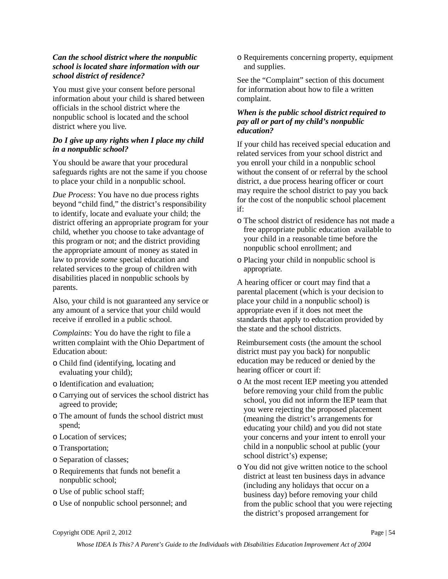#### *Can the school district where the nonpublic school is located share information with our school district of residence?*

You must give your consent before personal information about your child is shared between officials in the school district where the nonpublic school is located and the school district where you live.

#### *Do I give up any rights when I place my child in a nonpublic school?*

You should be aware that your procedural safeguards rights are not the same if you choose to place your child in a nonpublic school.

*Due Process*: You have no due process rights beyond "child find," the district's responsibility to identify, locate and evaluate your child; the district offering an appropriate program for your child, whether you choose to take advantage of this program or not; and the district providing the appropriate amount of money as stated in law to provide *some* special education and related services to the group of children with disabilities placed in nonpublic schools by parents.

Also, your child is not guaranteed any service or any amount of a service that your child would receive if enrolled in a public school.

*Complaints*: You do have the right to file a written complaint with the Ohio Department of Education about:

- o Child find (identifying, locating and evaluating your child);
- o Identification and evaluation;
- o Carrying out of services the school district has agreed to provide;
- o The amount of funds the school district must spend;
- o Location of services;
- o Transportation;
- o Separation of classes;
- o Requirements that funds not benefit a nonpublic school;
- o Use of public school staff;
- o Use of nonpublic school personnel; and

o Requirements concerning property, equipment and supplies.

See the "Complaint" section of this document for information about how to file a written complaint.

#### *When is the public school district required to pay all or part of my child's nonpublic education?*

If your child has received special education and related services from your school district and you enroll your child in a nonpublic school without the consent of or referral by the school district, a due process hearing officer or court may require the school district to pay you back for the cost of the nonpublic school placement if:

- o The school district of residence has not made a free appropriate public education available to your child in a reasonable time before the nonpublic school enrollment; and
- o Placing your child in nonpublic school is appropriate.

A hearing officer or court may find that a parental placement (which is your decision to place your child in a nonpublic school) is appropriate even if it does not meet the standards that apply to education provided by the state and the school districts.

Reimbursement costs (the amount the school district must pay you back) for nonpublic education may be reduced or denied by the hearing officer or court if:

- o At the most recent IEP meeting you attended before removing your child from the public school, you did not inform the IEP team that you were rejecting the proposed placement (meaning the district's arrangements for educating your child) and you did not state your concerns and your intent to enroll your child in a nonpublic school at public (your school district's) expense;
- o You did not give written notice to the school district at least ten business days in advance (including any holidays that occur on a business day) before removing your child from the public school that you were rejecting the district's proposed arrangement for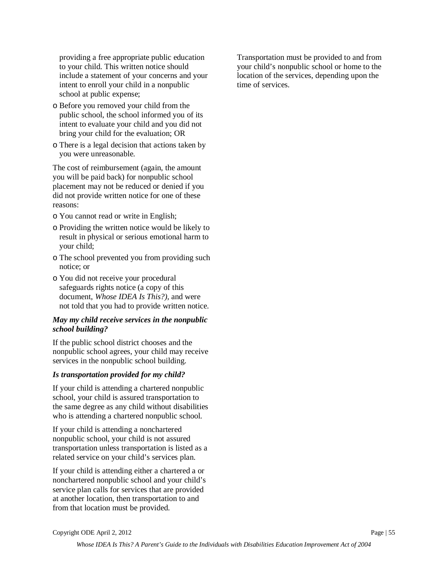providing a free appropriate public education to your child. This written notice should include a statement of your concerns and your intent to enroll your child in a nonpublic school at public expense;

- o Before you removed your child from the public school, the school informed you of its intent to evaluate your child and you did not bring your child for the evaluation; OR
- o There is a legal decision that actions taken by you were unreasonable.

The cost of reimbursement (again, the amount you will be paid back) for nonpublic school placement may not be reduced or denied if you did not provide written notice for one of these reasons:

- o You cannot read or write in English;
- o Providing the written notice would be likely to result in physical or serious emotional harm to your child;
- o The school prevented you from providing such notice; or
- o You did not receive your procedural safeguards rights notice (a copy of this document, *Whose IDEA Is This?),* and were not told that you had to provide written notice.

#### *May my child receive services in the nonpublic school building?*

If the public school district chooses and the nonpublic school agrees, your child may receive services in the nonpublic school building.

#### *Is transportation provided for my child?*

If your child is attending a chartered nonpublic school, your child is assured transportation to the same degree as any child without disabilities who is attending a chartered nonpublic school.

If your child is attending a nonchartered nonpublic school, your child is not assured transportation unless transportation is listed as a related service on your child's services plan.

If your child is attending either a chartered a or nonchartered nonpublic school and your child's service plan calls for services that are provided at another location, then transportation to and from that location must be provided.

Transportation must be provided to and from your child's nonpublic school or home to the location of the services, depending upon the time of services.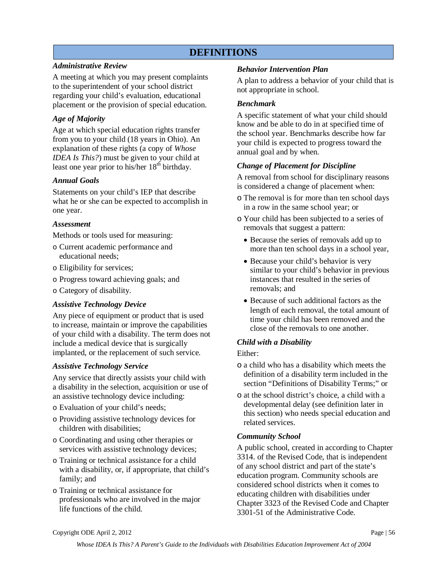# **DEFINITIONS**

#### *Administrative Review*

A meeting at which you may present complaints to the superintendent of your school district regarding your child's evaluation, educational placement or the provision of special education.

#### *Age of Majority*

Age at which special education rights transfer from you to your child (18 years in Ohio). An explanation of these rights (a copy of *Whose IDEA Is This?*) must be given to your child at least one year prior to his/her 18<sup>th</sup> birthday.

#### *Annual Goals*

Statements on your child's IEP that describe what he or she can be expected to accomplish in one year.

#### *Assessment*

Methods or tools used for measuring:

- o Current academic performance and educational needs;
- o Eligibility for services;
- o Progress toward achieving goals; and
- o Category of disability.

#### *Assistive Technology Device*

Any piece of equipment or product that is used to increase, maintain or improve the capabilities of your child with a disability. The term does not include a medical device that is surgically implanted, or the replacement of such service.

#### *Assistive Technology Service*

Any service that directly assists your child with a disability in the selection, acquisition or use of an assistive technology device including:

- o Evaluation of your child's needs;
- o Providing assistive technology devices for children with disabilities;
- o Coordinating and using other therapies or services with assistive technology devices;
- o Training or technical assistance for a child with a disability, or, if appropriate, that child's family; and
- o Training or technical assistance for professionals who are involved in the major life functions of the child.

#### *Behavior Intervention Plan*

A plan to address a behavior of your child that is not appropriate in school.

#### *Benchmark*

A specific statement of what your child should know and be able to do in at specified time of the school year. Benchmarks describe how far your child is expected to progress toward the annual goal and by when.

#### *Change of Placement for Discipline*

A removal from school for disciplinary reasons is considered a change of placement when:

- o The removal is for more than ten school days in a row in the same school year; or
- o Your child has been subjected to a series of removals that suggest a pattern:
	- Because the series of removals add up to more than ten school days in a school year,
	- Because your child's behavior is very similar to your child's behavior in previous instances that resulted in the series of removals; and
	- Because of such additional factors as the length of each removal, the total amount of time your child has been removed and the close of the removals to one another.

#### *Child with a Disability*

#### Either:

- o a child who has a disability which meets the definition of a disability term included in the section "Definitions of Disability Terms;" or
- o at the school district's choice, a child with a developmental delay (see definition later in this section) who needs special education and related services.

#### *Community School*

A public school, created in according to Chapter 3314. of the Revised Code, that is independent of any school district and part of the state's education program. Community schools are considered school districts when it comes to educating children with disabilities under Chapter 3323 of the Revised Code and Chapter 3301-51 of the Administrative Code.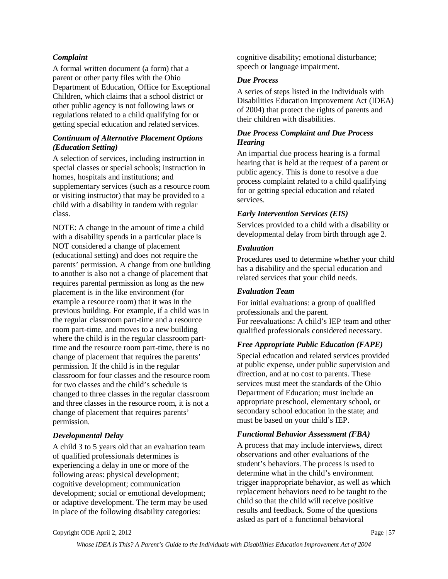#### *Complaint*

A formal written document (a form) that a parent or other party files with the Ohio Department of Education, Office for Exceptional Children, which claims that a school district or other public agency is not following laws or regulations related to a child qualifying for or getting special education and related services.

#### *Continuum of Alternative Placement Options (Education Setting)*

A selection of services, including instruction in special classes or special schools; instruction in homes, hospitals and institutions; and supplementary services (such as a resource room or visiting instructor) that may be provided to a child with a disability in tandem with regular class.

NOTE: A change in the amount of time a child with a disability spends in a particular place is NOT considered a change of placement (educational setting) and does not require the parents' permission. A change from one building to another is also not a change of placement that requires parental permission as long as the new placement is in the like environment (for example a resource room) that it was in the previous building. For example, if a child was in the regular classroom part-time and a resource room part-time, and moves to a new building where the child is in the regular classroom parttime and the resource room part-time, there is no change of placement that requires the parents' permission. If the child is in the regular classroom for four classes and the resource room for two classes and the child's schedule is changed to three classes in the regular classroom and three classes in the resource room, it is not a change of placement that requires parents' permission.

#### *Developmental Delay*

A child 3 to 5 years old that an evaluation team of qualified professionals determines is experiencing a delay in one or more of the following areas: physical development; cognitive development; communication development; social or emotional development; or adaptive development. The term may be used in place of the following disability categories:

cognitive disability; emotional disturbance; speech or language impairment.

#### *Due Process*

A series of steps listed in the Individuals with Disabilities Education Improvement Act (IDEA) of 2004) that protect the rights of parents and their children with disabilities.

#### *Due Process Complaint and Due Process Hearing*

An impartial due process hearing is a formal hearing that is held at the request of a parent or public agency. This is done to resolve a due process complaint related to a child qualifying for or getting special education and related services.

#### *Early Intervention Services (EIS)*

Services provided to a child with a disability or developmental delay from birth through age 2.

#### *Evaluation*

Procedures used to determine whether your child has a disability and the special education and related services that your child needs.

#### *Evaluation Team*

For initial evaluations: a group of qualified professionals and the parent. For reevaluations: A child's IEP team and other qualified professionals considered necessary.

#### *Free Appropriate Public Education (FAPE)*

Special education and related services provided at public expense, under public supervision and direction, and at no cost to parents. These services must meet the standards of the Ohio Department of Education; must include an appropriate preschool, elementary school, or secondary school education in the state; and must be based on your child's IEP.

#### *Functional Behavior Assessment (FBA)*

A process that may include interviews, direct observations and other evaluations of the student's behaviors. The process is used to determine what in the child's environment trigger inappropriate behavior, as well as which replacement behaviors need to be taught to the child so that the child will receive positive results and feedback. Some of the questions asked as part of a functional behavioral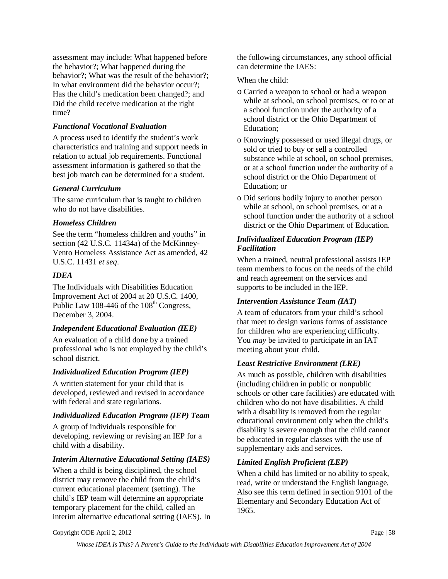assessment may include: What happened before the behavior?; What happened during the behavior?; What was the result of the behavior?; In what environment did the behavior occur?; Has the child's medication been changed?; and Did the child receive medication at the right time?

#### *Functional Vocational Evaluation*

A process used to identify the student's work characteristics and training and support needs in relation to actual job requirements. Functional assessment information is gathered so that the best job match can be determined for a student.

#### *General Curriculum*

The same curriculum that is taught to children who do not have disabilities.

#### *Homeless Children*

See the term "homeless children and youths" in section (42 U.S.C. 11434a) of the McKinney-Vento Homeless Assistance Act as amended, 42 U.S.C. 11431 *et seq*.

### *IDEA*

The Individuals with Disabilities Education Improvement Act of 2004 at 20 U.S.C. 1400, Public Law 108-446 of the  $108<sup>th</sup>$  Congress, December 3, 2004.

#### *Independent Educational Evaluation (IEE)*

An evaluation of a child done by a trained professional who is not employed by the child's school district.

#### *Individualized Education Program (IEP)*

A written statement for your child that is developed, reviewed and revised in accordance with federal and state regulations.

#### *Individualized Education Program (IEP) Team*

A group of individuals responsible for developing, reviewing or revising an IEP for a child with a disability.

#### *Interim Alternative Educational Setting (IAES)*

When a child is being disciplined, the school district may remove the child from the child's current educational placement (setting). The child's IEP team will determine an appropriate temporary placement for the child, called an interim alternative educational setting (IAES). In the following circumstances, any school official can determine the IAES:

When the child:

- o Carried a weapon to school or had a weapon while at school, on school premises, or to or at a school function under the authority of a school district or the Ohio Department of Education;
- o Knowingly possessed or used illegal drugs, or sold or tried to buy or sell a controlled substance while at school, on school premises, or at a school function under the authority of a school district or the Ohio Department of Education; or
- o Did serious bodily injury to another person while at school, on school premises, or at a school function under the authority of a school district or the Ohio Department of Education.

#### *Individualized Education Program (IEP) Facilitation*

When a trained, neutral professional assists IEP team members to focus on the needs of the child and reach agreement on the services and supports to be included in the IEP.

#### *Intervention Assistance Team (IAT)*

A team of educators from your child's school that meet to design various forms of assistance for children who are experiencing difficulty. You *may* be invited to participate in an IAT meeting about your child.

#### *Least Restrictive Environment (LRE)*

As much as possible, children with disabilities (including children in public or nonpublic schools or other care facilities) are educated with children who do not have disabilities. A child with a disability is removed from the regular educational environment only when the child's disability is severe enough that the child cannot be educated in regular classes with the use of supplementary aids and services.

#### *Limited English Proficient (LEP)*

When a child has limited or no ability to speak, read, write or understand the English language. Also see this term defined in section 9101 of the Elementary and Secondary Education Act of 1965.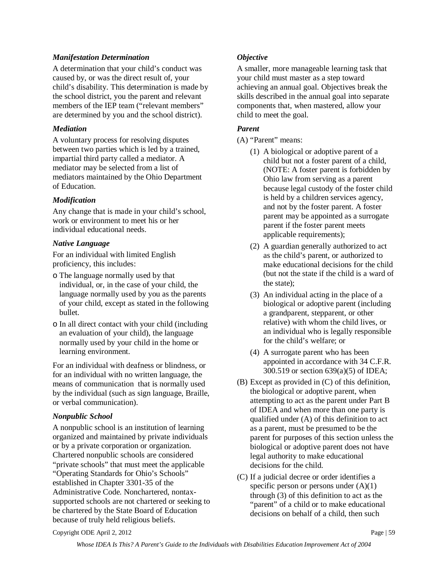#### *Manifestation Determination*

A determination that your child's conduct was caused by, or was the direct result of, your child's disability. This determination is made by the school district, you the parent and relevant members of the IEP team ("relevant members" are determined by you and the school district).

#### *Mediation*

A voluntary process for resolving disputes between two parties which is led by a trained, impartial third party called a mediator. A mediator may be selected from a list of mediators maintained by the Ohio Department of Education.

#### *Modification*

Any change that is made in your child's school, work or environment to meet his or her individual educational needs.

#### *Native Language*

For an individual with limited English proficiency, this includes:

- o The language normally used by that individual, or, in the case of your child, the language normally used by you as the parents of your child, except as stated in the following bullet.
- o In all direct contact with your child (including an evaluation of your child), the language normally used by your child in the home or learning environment.

For an individual with deafness or blindness, or for an individual with no written language, the means of communication that is normally used by the individual (such as sign language, Braille, or verbal communication).

#### *Nonpublic School*

A nonpublic school is an institution of learning organized and maintained by private individuals or by a private corporation or organization. Chartered nonpublic schools are considered "private schools" that must meet the applicable "Operating Standards for Ohio's Schools" established in Chapter 3301-35 of the Administrative Code. Nonchartered, nontaxsupported schools are not chartered or seeking to be chartered by the State Board of Education because of truly held religious beliefs.

#### *Objective*

A smaller, more manageable learning task that your child must master as a step toward achieving an annual goal. Objectives break the skills described in the annual goal into separate components that, when mastered, allow your child to meet the goal.

#### *Parent*

(A) "Parent" means:

- (1) A biological or adoptive parent of a child but not a foster parent of a child, (NOTE: A foster parent is forbidden by Ohio law from serving as a parent because legal custody of the foster child is held by a children services agency, and not by the foster parent. A foster parent may be appointed as a surrogate parent if the foster parent meets applicable requirements);
- (2) A guardian generally authorized to act as the child's parent, or authorized to make educational decisions for the child (but not the state if the child is a ward of the state);
- (3) An individual acting in the place of a biological or adoptive parent (including a grandparent, stepparent, or other relative) with whom the child lives, or an individual who is legally responsible for the child's welfare; or
- (4) A surrogate parent who has been appointed in accordance with 34 C.F.R. 300.519 or section 639(a)(5) of IDEA;
- (B) Except as provided in (C) of this definition, the biological or adoptive parent, when attempting to act as the parent under Part B of IDEA and when more than one party is qualified under (A) of this definition to act as a parent, must be presumed to be the parent for purposes of this section unless the biological or adoptive parent does not have legal authority to make educational decisions for the child.
- (C) If a judicial decree or order identifies a specific person or persons under  $(A)(1)$ through (3) of this definition to act as the "parent" of a child or to make educational decisions on behalf of a child, then such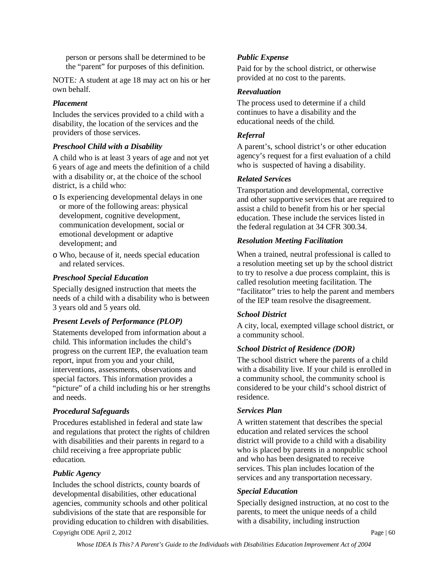person or persons shall be determined to be the "parent" for purposes of this definition.

NOTE*:* A student at age 18 may act on his or her own behalf.

#### *Placement*

Includes the services provided to a child with a disability, the location of the services and the providers of those services.

#### *Preschool Child with a Disability*

A child who is at least 3 years of age and not yet 6 years of age and meets the definition of a child with a disability or, at the choice of the school district, is a child who:

- o Is experiencing developmental delays in one or more of the following areas: physical development, cognitive development, communication development, social or emotional development or adaptive development; and
- o Who, because of it, needs special education and related services.

#### *Preschool Special Education*

Specially designed instruction that meets the needs of a child with a disability who is between 3 years old and 5 years old.

#### *Present Levels of Performance (PLOP)*

Statements developed from information about a child. This information includes the child's progress on the current IEP, the evaluation team report, input from you and your child, interventions, assessments, observations and special factors. This information provides a "picture" of a child including his or her strengths and needs.

#### *Procedural Safeguards*

Procedures established in federal and state law and regulations that protect the rights of children with disabilities and their parents in regard to a child receiving a free appropriate public education.

#### *Public Agency*

Copyright ODE April 2, 2012 Page | 60 Includes the school districts, county boards of developmental disabilities, other educational agencies, community schools and other political subdivisions of the state that are responsible for providing education to children with disabilities.

#### *Public Expense*

Paid for by the school district, or otherwise provided at no cost to the parents.

#### *Reevaluation*

The process used to determine if a child continues to have a disability and the educational needs of the child.

#### *Referral*

A parent's, school district's or other education agency's request for a first evaluation of a child who is suspected of having a disability.

#### *Related Services*

Transportation and developmental, corrective and other supportive services that are required to assist a child to benefit from his or her special education. These include the services listed in the federal regulation at 34 CFR 300.34.

#### *Resolution Meeting Facilitation*

When a trained, neutral professional is called to a resolution meeting set up by the school district to try to resolve a due process complaint, this is called resolution meeting facilitation. The "facilitator" tries to help the parent and members of the IEP team resolve the disagreement.

#### *School District*

A city, local, exempted village school district, or a community school.

#### *School District of Residence (DOR)*

The school district where the parents of a child with a disability live. If your child is enrolled in a community school, the community school is considered to be your child's school district of residence.

#### *Services Plan*

A written statement that describes the special education and related services the school district will provide to a child with a disability who is placed by parents in a nonpublic school and who has been designated to receive services. This plan includes location of the services and any transportation necessary.

#### *Special Education*

Specially designed instruction, at no cost to the parents, to meet the unique needs of a child with a disability, including instruction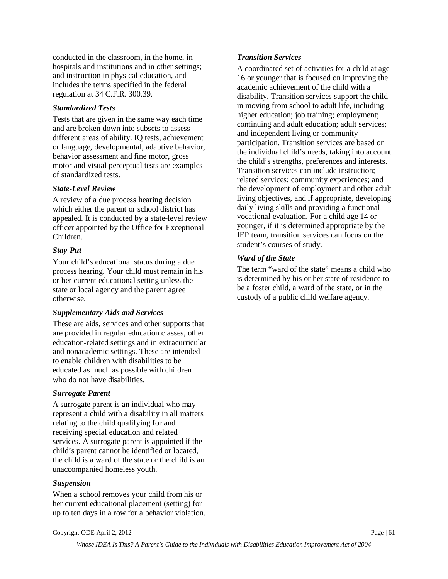conducted in the classroom, in the home, in hospitals and institutions and in other settings; and instruction in physical education, and includes the terms specified in the federal regulation at 34 C.F.R. 300.39.

#### *Standardized Tests*

Tests that are given in the same way each time and are broken down into subsets to assess different areas of ability. IQ tests, achievement or language, developmental, adaptive behavior, behavior assessment and fine motor, gross motor and visual perceptual tests are examples of standardized tests.

#### *State-Level Review*

A review of a due process hearing decision which either the parent or school district has appealed. It is conducted by a state-level review officer appointed by the Office for Exceptional Children.

#### *Stay-Put*

Your child's educational status during a due process hearing. Your child must remain in his or her current educational setting unless the state or local agency and the parent agree otherwise.

#### *Supplementary Aids and Services*

These are aids, services and other supports that are provided in regular education classes, other education-related settings and in extracurricular and nonacademic settings. These are intended to enable children with disabilities to be educated as much as possible with children who do not have disabilities.

#### *Surrogate Parent*

A surrogate parent is an individual who may represent a child with a disability in all matters relating to the child qualifying for and receiving special education and related services. A surrogate parent is appointed if the child's parent cannot be identified or located, the child is a ward of the state or the child is an unaccompanied homeless youth.

#### *Suspension*

When a school removes your child from his or her current educational placement (setting) for up to ten days in a row for a behavior violation.

#### *Transition Services*

A coordinated set of activities for a child at age 16 or younger that is focused on improving the academic achievement of the child with a disability. Transition services support the child in moving from school to adult life, including higher education; job training; employment; continuing and adult education; adult services; and independent living or community participation. Transition services are based on the individual child's needs, taking into account the child's strengths, preferences and interests. Transition services can include instruction; related services; community experiences; and the development of employment and other adult living objectives, and if appropriate, developing daily living skills and providing a functional vocational evaluation. For a child age 14 or younger, if it is determined appropriate by the IEP team, transition services can focus on the student's courses of study.

#### *Ward of the State*

The term "ward of the state" means a child who is determined by his or her state of residence to be a foster child, a ward of the state, or in the custody of a public child welfare agency.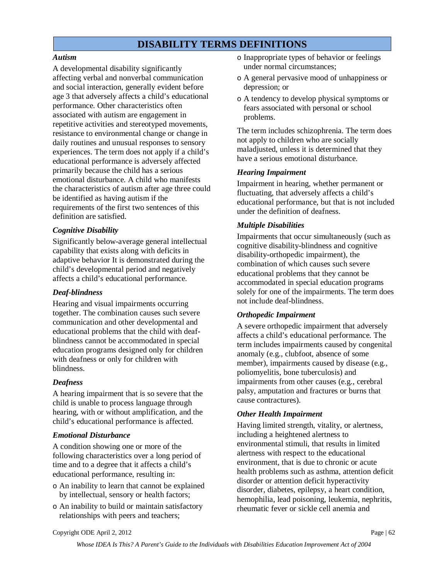# **DISABILITY TERMS DEFINITIONS**

#### *Autism*

A developmental disability significantly affecting verbal and nonverbal communication and social interaction, generally evident before age 3 that adversely affects a child's educational performance. Other characteristics often associated with autism are engagement in repetitive activities and stereotyped movements, resistance to environmental change or change in daily routines and unusual responses to sensory experiences. The term does not apply if a child's educational performance is adversely affected primarily because the child has a serious emotional disturbance. A child who manifests the characteristics of autism after age three could be identified as having autism if the requirements of the first two sentences of this definition are satisfied.

#### *Cognitive Disability*

Significantly below-average general intellectual capability that exists along with deficits in adaptive behavior It is demonstrated during the child's developmental period and negatively affects a child's educational performance.

#### *Deaf-blindness*

Hearing and visual impairments occurring together. The combination causes such severe communication and other developmental and educational problems that the child with deafblindness cannot be accommodated in special education programs designed only for children with deafness or only for children with blindness.

#### *Deafness*

A hearing impairment that is so severe that the child is unable to process language through hearing, with or without amplification, and the child's educational performance is affected.

#### *Emotional Disturbance*

A condition showing one or more of the following characteristics over a long period of time and to a degree that it affects a child's educational performance, resulting in:

- o An inability to learn that cannot be explained by intellectual, sensory or health factors;
- o An inability to build or maintain satisfactory relationships with peers and teachers;
- o Inappropriate types of behavior or feelings under normal circumstances;
- o A general pervasive mood of unhappiness or depression; or
- o A tendency to develop physical symptoms or fears associated with personal or school problems.

The term includes schizophrenia. The term does not apply to children who are socially maladjusted, unless it is determined that they have a serious emotional disturbance.

#### *Hearing Impairment*

Impairment in hearing, whether permanent or fluctuating, that adversely affects a child's educational performance, but that is not included under the definition of deafness.

#### *Multiple Disabilities*

Impairments that occur simultaneously (such as cognitive disability-blindness and cognitive disability-orthopedic impairment), the combination of which causes such severe educational problems that they cannot be accommodated in special education programs solely for one of the impairments. The term does not include deaf-blindness.

#### *Orthopedic Impairment*

A severe orthopedic impairment that adversely affects a child's educational performance. The term includes impairments caused by congenital anomaly (e.g., clubfoot, absence of some member), impairments caused by disease (e.g., poliomyelitis, bone tuberculosis) and impairments from other causes (e.g., cerebral palsy, amputation and fractures or burns that cause contractures).

#### *Other Health Impairment*

Having limited strength, vitality, or alertness, including a heightened alertness to environmental stimuli, that results in limited alertness with respect to the educational environment, that is due to chronic or acute health problems such as asthma, attention deficit disorder or attention deficit hyperactivity disorder, diabetes, epilepsy, a heart condition, hemophilia, lead poisoning, leukemia, nephritis, rheumatic fever or sickle cell anemia and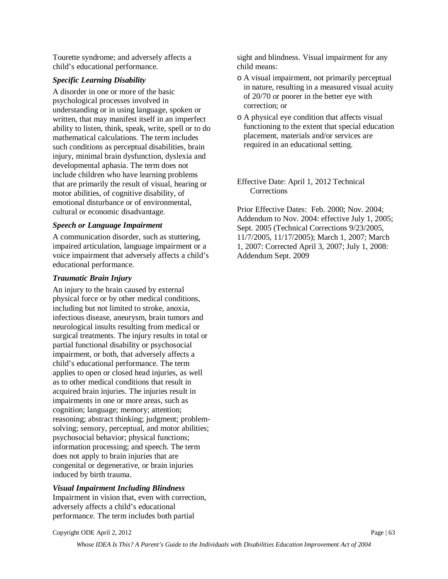Tourette syndrome; and adversely affects a child's educational performance.

#### *Specific Learning Disability*

A disorder in one or more of the basic psychological processes involved in understanding or in using language, spoken or written, that may manifest itself in an imperfect ability to listen, think, speak, write, spell or to do mathematical calculations. The term includes such conditions as perceptual disabilities, brain injury, minimal brain dysfunction, dyslexia and developmental aphasia. The term does not include children who have learning problems that are primarily the result of visual, hearing or motor abilities, of cognitive disability, of emotional disturbance or of environmental, cultural or economic disadvantage.

#### *Speech or Language Impairment*

A communication disorder, such as stuttering, impaired articulation, language impairment or a voice impairment that adversely affects a child's educational performance.

#### *Traumatic Brain Injury*

An injury to the brain caused by external physical force or by other medical conditions, including but not limited to stroke, anoxia, infectious disease, aneurysm, brain tumors and neurological insults resulting from medical or surgical treatments. The injury results in total or partial functional disability or psychosocial impairment, or both, that adversely affects a child's educational performance. The term applies to open or closed head injuries, as well as to other medical conditions that result in acquired brain injuries. The injuries result in impairments in one or more areas, such as cognition; language; memory; attention; reasoning; abstract thinking; judgment; problemsolving; sensory, perceptual, and motor abilities; psychosocial behavior; physical functions; information processing; and speech. The term does not apply to brain injuries that are congenital or degenerative, or brain injuries induced by birth trauma.

#### *Visual Impairment Including Blindness*

Impairment in vision that, even with correction, adversely affects a child's educational performance. The term includes both partial

sight and blindness. Visual impairment for any child means:

- o A visual impairment, not primarily perceptual in nature, resulting in a measured visual acuity of 20/70 or poorer in the better eye with correction; or
- o A physical eye condition that affects visual functioning to the extent that special education placement, materials and/or services are required in an educational setting.

#### Effective Date: April 1, 2012 Technical **Corrections**

Prior Effective Dates: Feb. 2000; Nov. 2004; Addendum to Nov. 2004: effective July 1, 2005; Sept. 2005 (Technical Corrections 9/23/2005, 11/7/2005, 11/17/2005); March 1, 2007; March 1, 2007: Corrected April 3, 2007; July 1, 2008: Addendum Sept. 2009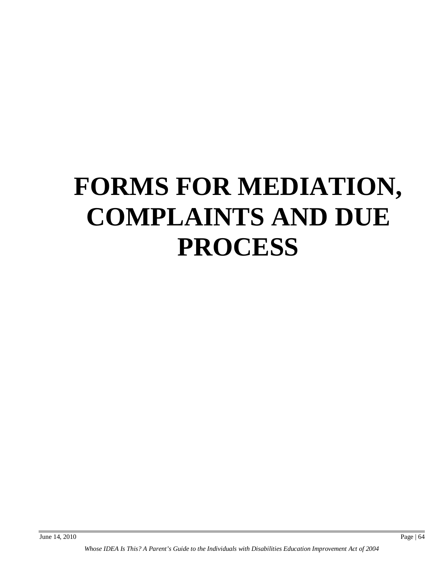# **FORMS FOR MEDIATION, COMPLAINTS AND DUE PROCESS**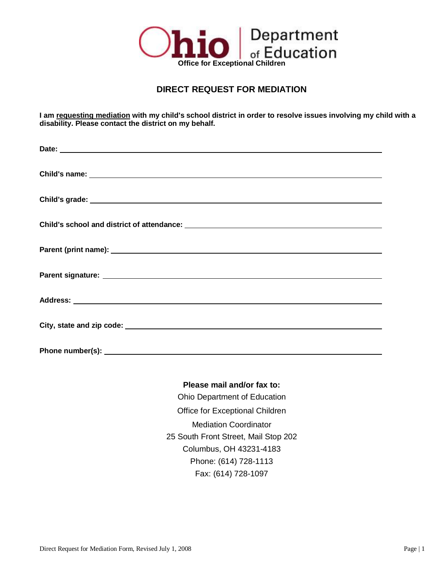

# **DIRECT REQUEST FOR MEDIATION**

**I am requesting mediation with my child's school district in order to resolve issues involving my child with a disability. Please contact the district on my behalf.**

| Phone number(s): |
|------------------|

#### **Please mail and/or fax to:**

Ohio Department of Education Office for Exceptional Children Mediation Coordinator 25 South Front Street, Mail Stop 202 Columbus, OH 43231-4183 Phone: (614) 728-1113 Fax: (614) 728-1097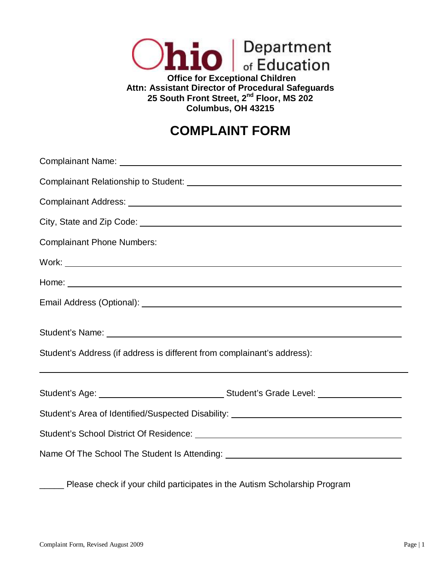

# **COMPLAINT FORM**

| Complainant Address: National Address: National Address: National Address: National Address: National Address: N |
|------------------------------------------------------------------------------------------------------------------|
|                                                                                                                  |
| <b>Complainant Phone Numbers:</b>                                                                                |
|                                                                                                                  |
|                                                                                                                  |
|                                                                                                                  |
|                                                                                                                  |
| Student's Address (if address is different from complainant's address):                                          |
|                                                                                                                  |
| Student's Area of Identified/Suspected Disability: _____________________________                                 |
|                                                                                                                  |
| Name Of The School The Student Is Attending: ___________________________________                                 |
| Please check if your child participates in the Autism Scholarship Program                                        |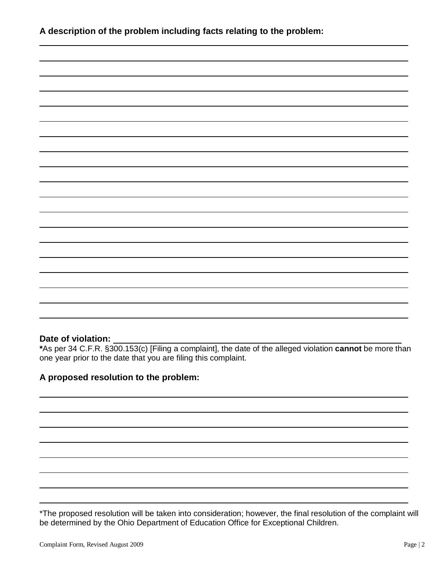#### **Date of violation:**

**\***As per 34 C.F.R. §300.153(c) [Filing a complaint], the date of the alleged violation **cannot** be more than one year prior to the date that you are filing this complaint.

# **A proposed resolution to the problem:**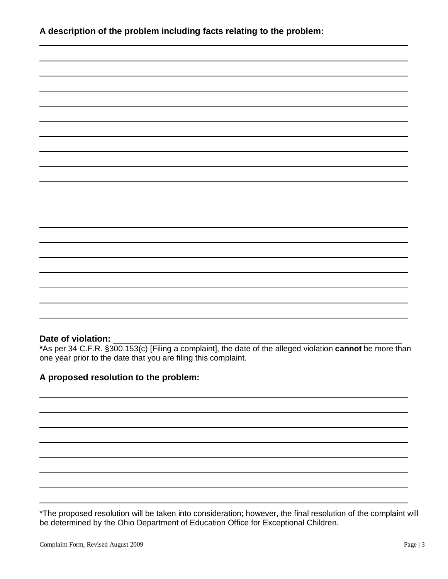#### **Date of violation:**

**\***As per 34 C.F.R. §300.153(c) [Filing a complaint], the date of the alleged violation **cannot** be more than one year prior to the date that you are filing this complaint.

# **A proposed resolution to the problem:**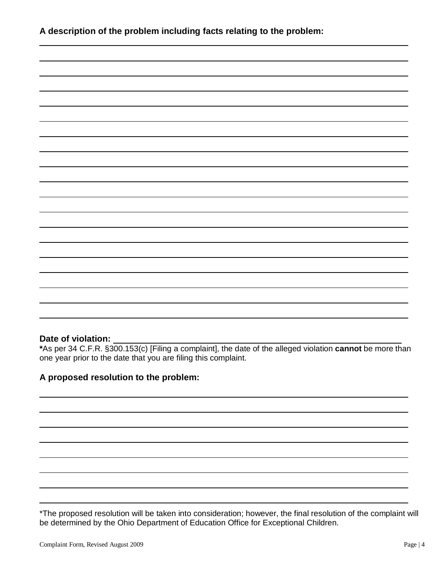#### **Date of violation:**

**\***As per 34 C.F.R. §300.153(c) [Filing a complaint], the date of the alleged violation **cannot** be more than one year prior to the date that you are filing this complaint.

# **A proposed resolution to the problem:**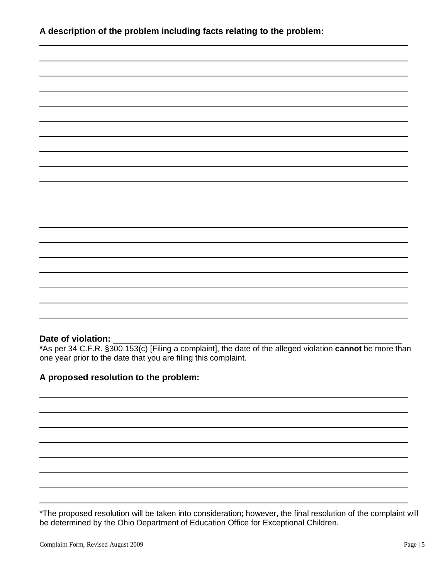#### **Date of violation:**

**\***As per 34 C.F.R. §300.153(c) [Filing a complaint], the date of the alleged violation **cannot** be more than one year prior to the date that you are filing this complaint.

# **A proposed resolution to the problem:**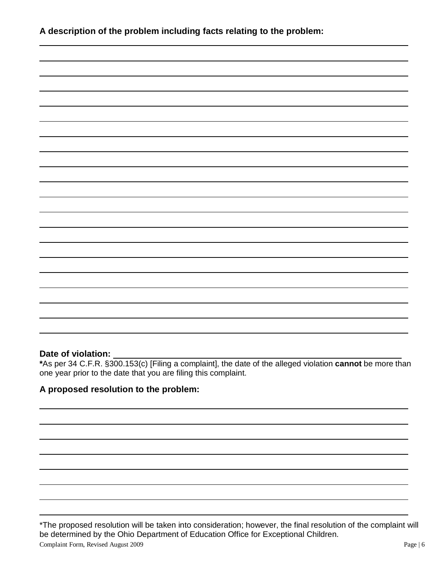**A description of the problem including facts relating to the problem:**

### **Date of violation:**

**\***As per 34 C.F.R. §300.153(c) [Filing a complaint], the date of the alleged violation **cannot** be more than one year prior to the date that you are filing this complaint.

# **A proposed resolution to the problem:**

Complaint Form, Revised August 2009 Page | 6 \*The proposed resolution will be taken into consideration; however, the final resolution of the complaint will be determined by the Ohio Department of Education Office for Exceptional Children.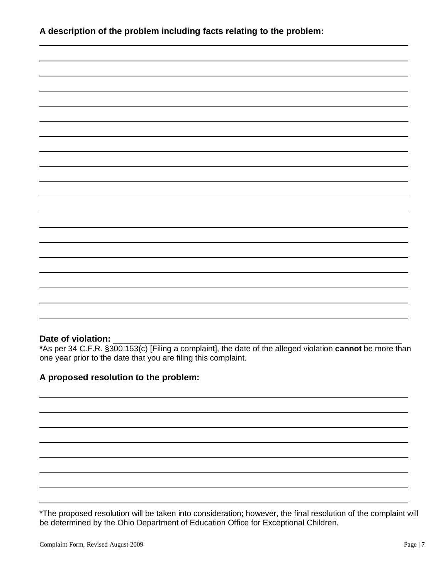**A description of the problem including facts relating to the problem:**

### **Date of violation:**

**\***As per 34 C.F.R. §300.153(c) [Filing a complaint], the date of the alleged violation **cannot** be more than one year prior to the date that you are filing this complaint.

## **A proposed resolution to the problem:**

\*The proposed resolution will be taken into consideration; however, the final resolution of the complaint will be determined by the Ohio Department of Education Office for Exceptional Children.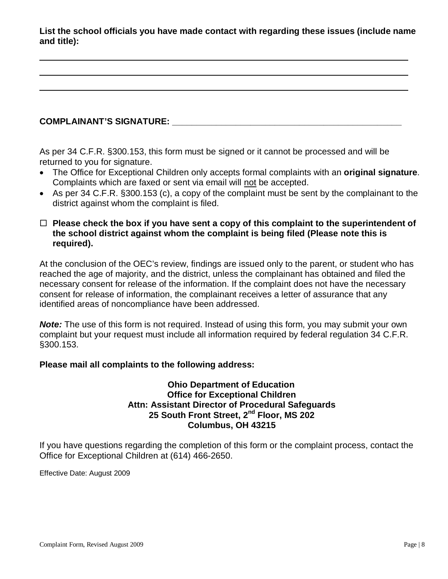**List the school officials you have made contact with regarding these issues (include name and title):**

# **COMPLAINANT'S SIGNATURE: \_\_\_\_\_\_\_\_\_\_\_\_\_\_\_\_\_\_\_\_\_\_\_\_\_\_\_\_\_\_\_\_\_\_\_\_\_\_\_\_\_\_\_\_\_\_\_**

As per 34 C.F.R. §300.153, this form must be signed or it cannot be processed and will be returned to you for signature.

- The Office for Exceptional Children only accepts formal complaints with an **original signature**. Complaints which are faxed or sent via email will not be accepted.
- As per 34 C.F.R. §300.153 (c), a copy of the complaint must be sent by the complainant to the district against whom the complaint is filed.

## **Please check the box if you have sent a copy of this complaint to the superintendent of the school district against whom the complaint is being filed (Please note this is required).**

At the conclusion of the OEC's review, findings are issued only to the parent, or student who has reached the age of majority, and the district, unless the complainant has obtained and filed the necessary consent for release of the information. If the complaint does not have the necessary consent for release of information, the complainant receives a letter of assurance that any identified areas of noncompliance have been addressed.

*Note:* The use of this form is not required. Instead of using this form, you may submit your own complaint but your request must include all information required by federal regulation 34 C.F.R. §300.153.

### **Please mail all complaints to the following address:**

## **Ohio Department of Education Office for Exceptional Children Attn: Assistant Director of Procedural Safeguards 25 South Front Street, 2nd Floor, MS 202 Columbus, OH 43215**

If you have questions regarding the completion of this form or the complaint process, contact the Office for Exceptional Children at (614) 466-2650.

Effective Date: August 2009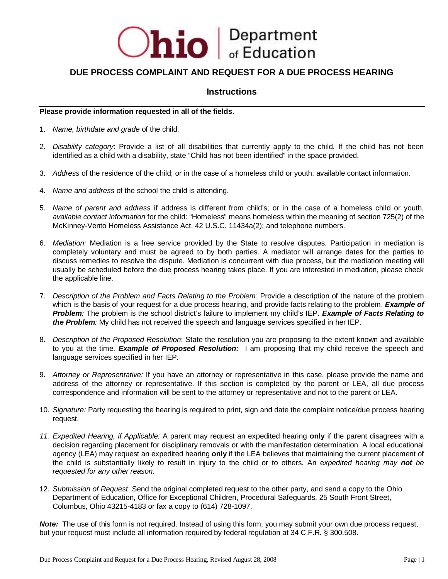

## **DUE PROCESS COMPLAINT AND REQUEST FOR A DUE PROCESS HEARING**

### **Instructions**

#### **Please provide information requested in all of the fields**.

- 1. *Name, birthdate and grade* of the child.
- 2. *Disability category*: Provide a list of all disabilities that currently apply to the child. If the child has not been identified as a child with a disability, state "Child has not been identified" in the space provided.
- 3. *Address* of the residence of the child; or in the case of a homeless child or youth, available contact information.
- 4. *Name and address* of the school the child is attending.
- 5. *Name of parent and address* if address is different from child's; or in the case of a homeless child or youth, *available contact information* for the child: "Homeless" means homeless within the meaning of section 725(2) of the McKinney-Vento Homeless Assistance Act, 42 U.S.C. 11434a(2); and telephone numbers.
- 6. *Mediation:* Mediation is a free service provided by the State to resolve disputes. Participation in mediation is completely voluntary and must be agreed to by both parties. A mediator will arrange dates for the parties to discuss remedies to resolve the dispute. Mediation is concurrent with due process, but the mediation meeting will usually be scheduled before the due process hearing takes place. If you are interested in mediation, please check the applicable line.
- 7. *Description of the Problem and Facts Relating to the Problem:* Provide a description of the nature of the problem which is the basis of your request for a due process hearing, and provide facts relating to the problem. *Example of Problem:* The problem is the school district's failure to implement my child's IEP. *Example of Facts Relating to the Problem:* My child has not received the speech and language services specified in her IEP.
- 8. *Description of the Proposed Resolution*: State the resolution you are proposing to the extent known and available to you at the time. *Example of Proposed Resolution:* I am proposing that my child receive the speech and language services specified in her IEP.
- 9. *Attorney or Representative:* If you have an attorney or representative in this case, please provide the name and address of the attorney or representative. If this section is completed by the parent or LEA, all due process correspondence and information will be sent to the attorney or representative and not to the parent or LEA.
- 10. *Signature:* Party requesting the hearing is required to print, sign and date the complaint notice/due process hearing request.
- *11. Expedited Hearing, if Applicable:* A parent may request an expedited hearing **only** if the parent disagrees with a decision regarding placement for disciplinary removals or with the manifestation determination. A local educational agency (LEA) may request an expedited hearing **only** if the LEA believes that maintaining the current placement of the child is substantially likely to result in injury to the child or to others. An e*xpedited hearing may not be requested for any other reason.*
- 12. *Submission of Request*: Send the original completed request to the other party, and send a copy to the Ohio Department of Education, Office for Exceptional Children, Procedural Safeguards, 25 South Front Street, Columbus, Ohio 43215-4183 or fax a copy to (614) 728-1097.

*Note:* The use of this form is not required. Instead of using this form, you may submit your own due process request, but your request must include all information required by federal regulation at 34 C.F.R. § 300.508.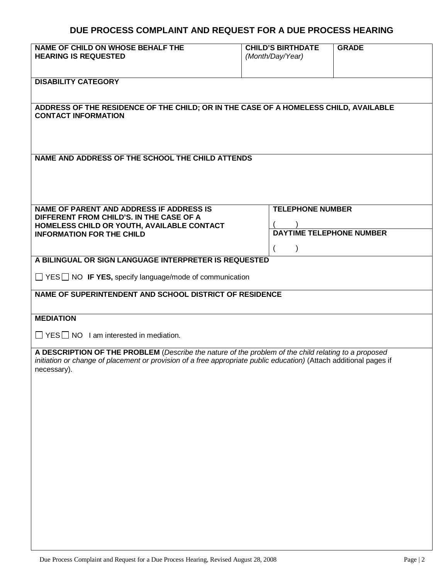# **DUE PROCESS COMPLAINT AND REQUEST FOR A DUE PROCESS HEARING**

| NAME OF CHILD ON WHOSE BEHALF THE<br><b>HEARING IS REQUESTED</b>                                                                                                                                                                          | <b>CHILD'S BIRTHDATE</b><br>(Month/Day/Year) | <b>GRADE</b> |  |
|-------------------------------------------------------------------------------------------------------------------------------------------------------------------------------------------------------------------------------------------|----------------------------------------------|--------------|--|
|                                                                                                                                                                                                                                           |                                              |              |  |
| <b>DISABILITY CATEGORY</b>                                                                                                                                                                                                                |                                              |              |  |
| ADDRESS OF THE RESIDENCE OF THE CHILD; OR IN THE CASE OF A HOMELESS CHILD, AVAILABLE<br><b>CONTACT INFORMATION</b>                                                                                                                        |                                              |              |  |
|                                                                                                                                                                                                                                           |                                              |              |  |
| NAME AND ADDRESS OF THE SCHOOL THE CHILD ATTENDS                                                                                                                                                                                          |                                              |              |  |
|                                                                                                                                                                                                                                           |                                              |              |  |
| <b>NAME OF PARENT AND ADDRESS IF ADDRESS IS</b>                                                                                                                                                                                           | <b>TELEPHONE NUMBER</b>                      |              |  |
| DIFFERENT FROM CHILD'S. IN THE CASE OF A                                                                                                                                                                                                  |                                              |              |  |
| HOMELESS CHILD OR YOUTH, AVAILABLE CONTACT                                                                                                                                                                                                | <b>DAYTIME TELEPHONE NUMBER</b>              |              |  |
| <b>INFORMATION FOR THE CHILD</b>                                                                                                                                                                                                          |                                              |              |  |
|                                                                                                                                                                                                                                           | $\mathcal{E}$<br>$\left($                    |              |  |
| A BILINGUAL OR SIGN LANGUAGE INTERPRETER IS REQUESTED                                                                                                                                                                                     |                                              |              |  |
| $\Box$ YES $\Box$ NO IF YES, specify language/mode of communication                                                                                                                                                                       |                                              |              |  |
| NAME OF SUPERINTENDENT AND SCHOOL DISTRICT OF RESIDENCE                                                                                                                                                                                   |                                              |              |  |
|                                                                                                                                                                                                                                           |                                              |              |  |
| <b>MEDIATION</b>                                                                                                                                                                                                                          |                                              |              |  |
| $\Box$ YES $\Box$ NO 1 am interested in mediation.                                                                                                                                                                                        |                                              |              |  |
| A DESCRIPTION OF THE PROBLEM (Describe the nature of the problem of the child relating to a proposed<br>initiation or change of placement or provision of a free appropriate public education) (Attach additional pages if<br>necessary). |                                              |              |  |
|                                                                                                                                                                                                                                           |                                              |              |  |
|                                                                                                                                                                                                                                           |                                              |              |  |
|                                                                                                                                                                                                                                           |                                              |              |  |
|                                                                                                                                                                                                                                           |                                              |              |  |
|                                                                                                                                                                                                                                           |                                              |              |  |
|                                                                                                                                                                                                                                           |                                              |              |  |
|                                                                                                                                                                                                                                           |                                              |              |  |
|                                                                                                                                                                                                                                           |                                              |              |  |
|                                                                                                                                                                                                                                           |                                              |              |  |
|                                                                                                                                                                                                                                           |                                              |              |  |
|                                                                                                                                                                                                                                           |                                              |              |  |
|                                                                                                                                                                                                                                           |                                              |              |  |
|                                                                                                                                                                                                                                           |                                              |              |  |
|                                                                                                                                                                                                                                           |                                              |              |  |
|                                                                                                                                                                                                                                           |                                              |              |  |
|                                                                                                                                                                                                                                           |                                              |              |  |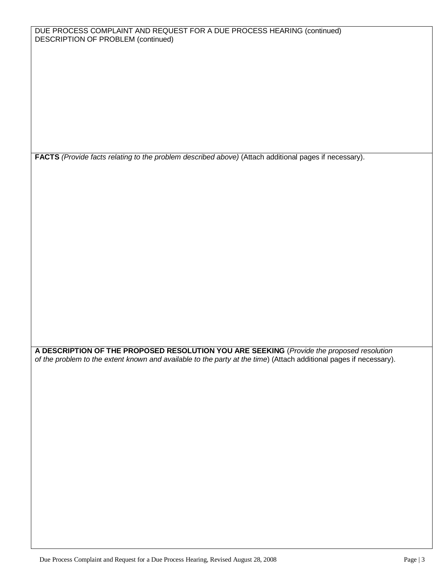| DUE PROCESS COMPLAINT AND REQUEST FOR A DUE PROCESS HEARING (continued) |  |
|-------------------------------------------------------------------------|--|
| DESCRIPTION OF PROBLEM (continued)                                      |  |

**FACTS** *(Provide facts relating to the problem described above)* (Attach additional pages if necessary).

**A DESCRIPTION OF THE PROPOSED RESOLUTION YOU ARE SEEKING** (*Provide the proposed resolution of the problem to the extent known and available to the party at the time*) (Attach additional pages if necessary).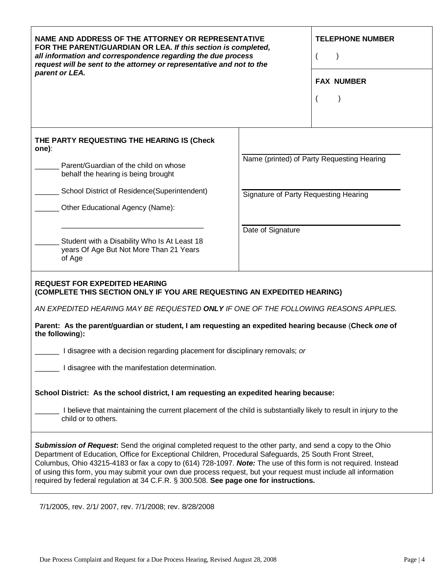| NAME AND ADDRESS OF THE ATTORNEY OR REPRESENTATIVE<br>FOR THE PARENT/GUARDIAN OR LEA. If this section is completed,<br>all information and correspondence regarding the due process<br>request will be sent to the attorney or representative and not to the<br>parent or LEA.                                                                                                                                                                                                                                                                                                                                                                                                                              |                                                                                                          | <b>TELEPHONE NUMBER</b><br><b>FAX NUMBER</b> |  |  |
|-------------------------------------------------------------------------------------------------------------------------------------------------------------------------------------------------------------------------------------------------------------------------------------------------------------------------------------------------------------------------------------------------------------------------------------------------------------------------------------------------------------------------------------------------------------------------------------------------------------------------------------------------------------------------------------------------------------|----------------------------------------------------------------------------------------------------------|----------------------------------------------|--|--|
| THE PARTY REQUESTING THE HEARING IS (Check<br>one):<br>Parent/Guardian of the child on whose<br>behalf the hearing is being brought<br>School District of Residence(Superintendent)<br>Other Educational Agency (Name):<br>Student with a Disability Who Is At Least 18<br>years Of Age But Not More Than 21 Years<br>of Age                                                                                                                                                                                                                                                                                                                                                                                | Name (printed) of Party Requesting Hearing<br>Signature of Party Requesting Hearing<br>Date of Signature |                                              |  |  |
| <b>REQUEST FOR EXPEDITED HEARING</b><br>(COMPLETE THIS SECTION ONLY IF YOU ARE REQUESTING AN EXPEDITED HEARING)<br>AN EXPEDITED HEARING MAY BE REQUESTED ONLY IF ONE OF THE FOLLOWING REASONS APPLIES.<br>Parent: As the parent/guardian or student, I am requesting an expedited hearing because (Check one of<br>the following):<br>I disagree with a decision regarding placement for disciplinary removals; or<br>I disagree with the manifestation determination.<br>School District: As the school district, I am requesting an expedited hearing because:<br>I believe that maintaining the current placement of the child is substantially likely to result in injury to the<br>child or to others. |                                                                                                          |                                              |  |  |
| <b>Submission of Request:</b> Send the original completed request to the other party, and send a copy to the Ohio<br>Department of Education, Office for Exceptional Children, Procedural Safeguards, 25 South Front Street,<br>Columbus, Ohio 43215-4183 or fax a copy to (614) 728-1097. Note: The use of this form is not required. Instead<br>of using this form, you may submit your own due process request, but your request must include all information<br>required by federal regulation at 34 C.F.R. § 300.508. See page one for instructions.                                                                                                                                                   |                                                                                                          |                                              |  |  |

7/1/2005, rev. 2/1/ 2007, rev. 7/1/2008; rev. 8/28/2008